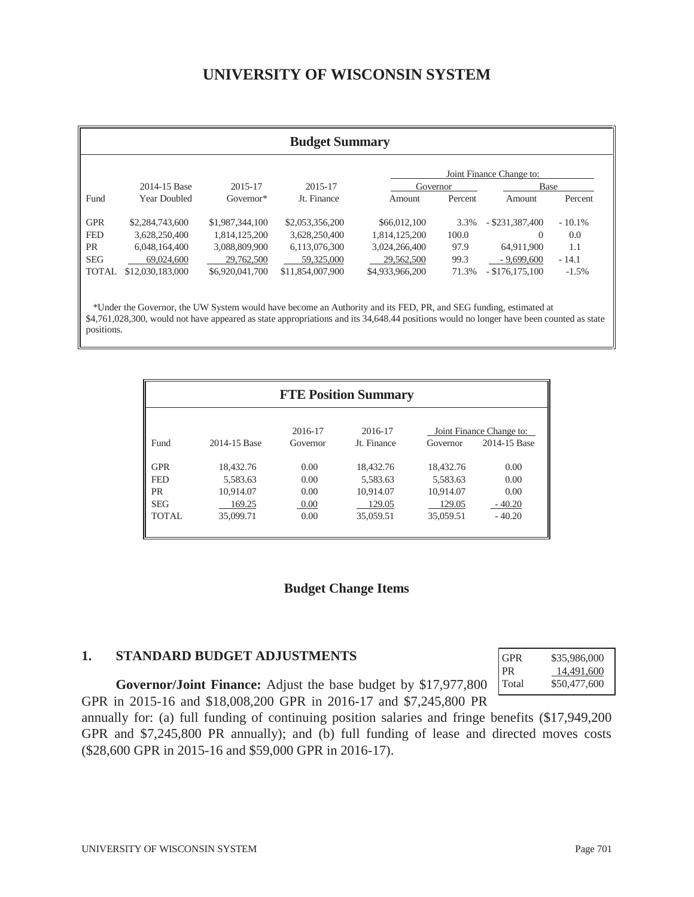# **UNIVERSITY OF WISCONSIN SYSTEM**

| <b>Budget Summary</b> |                     |                 |                  |                 |         |                          |           |
|-----------------------|---------------------|-----------------|------------------|-----------------|---------|--------------------------|-----------|
|                       |                     |                 |                  |                 |         | Joint Finance Change to: |           |
|                       | 2014-15 Base        | 2015-17         | 2015-17          | Governor        |         | Base                     |           |
| Fund                  | <b>Year Doubled</b> | $Gover nor*$    | Jt. Finance      | Amount          | Percent | Amount                   | Percent   |
| <b>GPR</b>            | \$2,284,743,600     | \$1,987,344,100 | \$2,053,356,200  | \$66,012,100    | 3.3%    | $-$ \$231,387,400        | $-10.1\%$ |
| <b>FED</b>            | 3,628,250,400       | 1,814,125,200   | 3,628,250,400    | 1,814,125,200   | 100.0   | $\Omega$                 | 0.0       |
| PR                    | 6,048,164,400       | 3,088,809,900   | 6,113,076,300    | 3,024,266,400   | 97.9    | 64,911,900               | 1.1       |
| <b>SEG</b>            | 69,024,600          | 29,762,500      | 59,325,000       | 29,562,500      | 99.3    | $-9,699,600$             | $-14.1$   |
| <b>TOTAL</b>          | \$12,030,183,000    | \$6,920,041,700 | \$11,854,007,900 | \$4,933,966,200 | 71.3%   | $-$ \$176,175,100        | $-1.5\%$  |

\$4,761,028,300, would not have appeared as state appropriations and its 34,648.44 positions would no longer have been counted as state positions.

|            |              |                     | <b>FTE Position Summary</b> |           |                                          |
|------------|--------------|---------------------|-----------------------------|-----------|------------------------------------------|
| Fund       | 2014-15 Base | 2016-17<br>Governor | 2016-17<br>Jt. Finance      | Governor  | Joint Finance Change to:<br>2014-15 Base |
| <b>GPR</b> | 18.432.76    | 0.00                | 18.432.76                   | 18.432.76 | 0.00                                     |
| <b>FED</b> | 5,583.63     | 0.00                | 5.583.63                    | 5.583.63  | 0.00                                     |
| <b>PR</b>  | 10.914.07    | 0.00                | 10.914.07                   | 10.914.07 | 0.00                                     |
| <b>SEG</b> | 169.25       | 0.00                | 129.05                      | 129.05    | $-40.20$                                 |
| TOTAL      | 35,099.71    | 0.00                | 35,059.51                   | 35,059.51 | $-40.20$                                 |

#### **Budget Change Items**

#### **1. STANDARD BUDGET ADJUSTMENTS**

**Governor/Joint Finance:** Adjust the base budget by \$17,977,800 GPR in 2015-16 and \$18,008,200 GPR in 2016-17 and \$7,245,800 PR

| <b>GPR</b> | \$35,986,000 |
|------------|--------------|
| PR.        | 14.491.600   |
| Total      | \$50,477,600 |

annually for: (a) full funding of continuing position salaries and fringe benefits (\$17,949,200 GPR and \$7,245,800 PR annually); and (b) full funding of lease and directed moves costs (\$28,600 GPR in 2015-16 and \$59,000 GPR in 2016-17).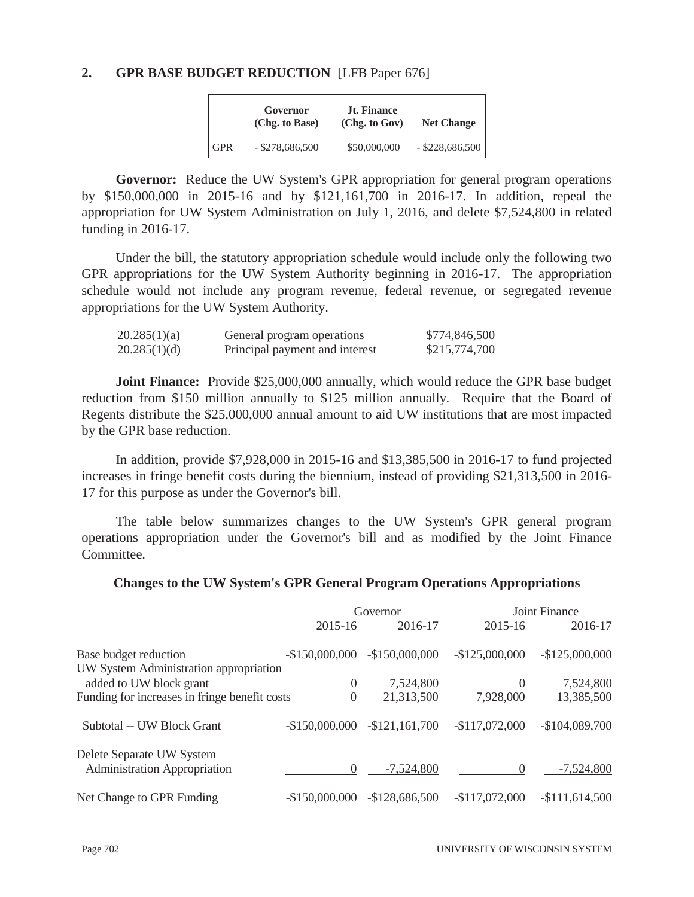#### **2. GPR BASE BUDGET REDUCTION** [LFB Paper 676]

|            | Governor<br>(Chg. to Base) | <b>Jt. Finance</b><br>(Chg. to Gov) | <b>Net Change</b> |
|------------|----------------------------|-------------------------------------|-------------------|
| <b>GPR</b> | $-$ \$278,686,500          | \$50,000,000                        | $-$ \$228,686,500 |

**Governor:** Reduce the UW System's GPR appropriation for general program operations by \$150,000,000 in 2015-16 and by \$121,161,700 in 2016-17. In addition, repeal the appropriation for UW System Administration on July 1, 2016, and delete \$7,524,800 in related funding in 2016-17.

 Under the bill, the statutory appropriation schedule would include only the following two GPR appropriations for the UW System Authority beginning in 2016-17. The appropriation schedule would not include any program revenue, federal revenue, or segregated revenue appropriations for the UW System Authority.

| 20.285(1)(a) | General program operations     | \$774,846,500 |
|--------------|--------------------------------|---------------|
| 20.285(1)(d) | Principal payment and interest | \$215,774,700 |

**Joint Finance:** Provide \$25,000,000 annually, which would reduce the GPR base budget reduction from \$150 million annually to \$125 million annually. Require that the Board of Regents distribute the \$25,000,000 annual amount to aid UW institutions that are most impacted by the GPR base reduction.

 In addition, provide \$7,928,000 in 2015-16 and \$13,385,500 in 2016-17 to fund projected increases in fringe benefit costs during the biennium, instead of providing \$21,313,500 in 2016- 17 for this purpose as under the Governor's bill.

 The table below summarizes changes to the UW System's GPR general program operations appropriation under the Governor's bill and as modified by the Joint Finance Committee.

#### **Changes to the UW System's GPR General Program Operations Appropriations**

|                                               |                 | Governor        |                 | <b>Joint Finance</b> |
|-----------------------------------------------|-----------------|-----------------|-----------------|----------------------|
|                                               | 2015-16         | 2016-17         | 2015-16         | 2016-17              |
| Base budget reduction                         | $-$150,000,000$ | $-$150,000,000$ | $-$125,000,000$ | $-$125,000,000$      |
| UW System Administration appropriation        |                 |                 |                 |                      |
| added to UW block grant                       | $\theta$        | 7,524,800       | $\Omega$        | 7,524,800            |
| Funding for increases in fringe benefit costs | $\theta$        | 21,313,500      | 7,928,000       | 13,385,500           |
| Subtotal -- UW Block Grant                    | $-$150,000,000$ | $-$121,161,700$ | $-$117,072,000$ | $-$104,089,700$      |
| Delete Separate UW System                     |                 |                 |                 |                      |
| <b>Administration Appropriation</b>           | 0               | $-7,524,800$    | $\Omega$        | $-7,524,800$         |
| Net Change to GPR Funding                     | $-$150,000,000$ | $-$128,686,500$ | $-$117,072,000$ | $-$111,614,500$      |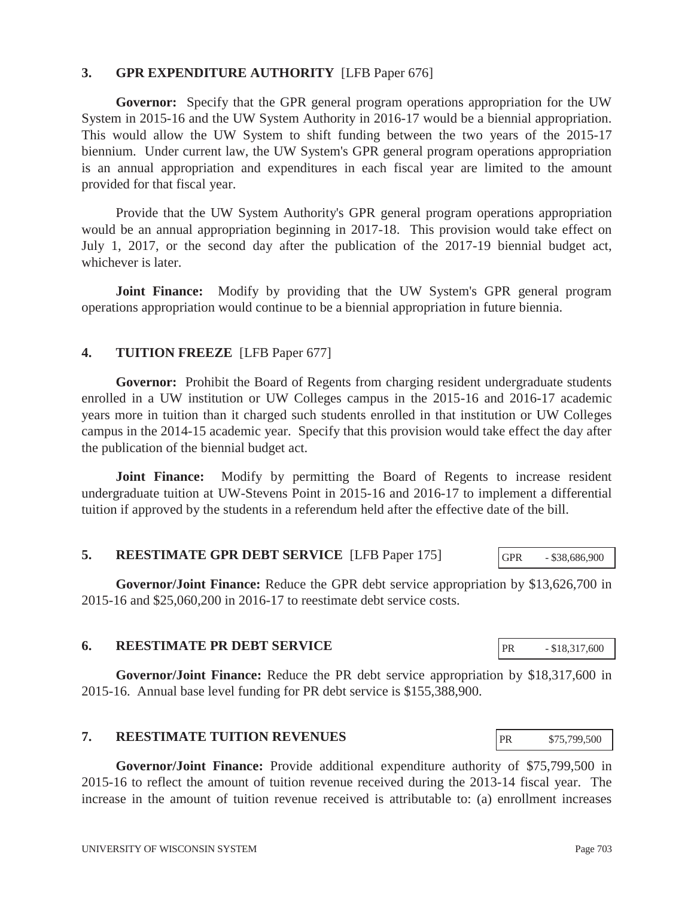## **3. GPR EXPENDITURE AUTHORITY** [LFB Paper 676]

**Governor:** Specify that the GPR general program operations appropriation for the UW System in 2015-16 and the UW System Authority in 2016-17 would be a biennial appropriation. This would allow the UW System to shift funding between the two years of the 2015-17 biennium. Under current law, the UW System's GPR general program operations appropriation is an annual appropriation and expenditures in each fiscal year are limited to the amount provided for that fiscal year.

 Provide that the UW System Authority's GPR general program operations appropriation would be an annual appropriation beginning in 2017-18. This provision would take effect on July 1, 2017, or the second day after the publication of the 2017-19 biennial budget act, whichever is later.

**Joint Finance:** Modify by providing that the UW System's GPR general program operations appropriation would continue to be a biennial appropriation in future biennia.

#### **4. TUITION FREEZE** [LFB Paper 677]

**Governor:** Prohibit the Board of Regents from charging resident undergraduate students enrolled in a UW institution or UW Colleges campus in the 2015-16 and 2016-17 academic years more in tuition than it charged such students enrolled in that institution or UW Colleges campus in the 2014-15 academic year. Specify that this provision would take effect the day after the publication of the biennial budget act.

**Joint Finance:** Modify by permitting the Board of Regents to increase resident undergraduate tuition at UW-Stevens Point in 2015-16 and 2016-17 to implement a differential tuition if approved by the students in a referendum held after the effective date of the bill.

#### **5. REESTIMATE GPR DEBT SERVICE** [LFB Paper 175]

**Governor/Joint Finance:** Reduce the GPR debt service appropriation by \$13,626,700 in 2015-16 and \$25,060,200 in 2016-17 to reestimate debt service costs.

#### **6. REESTIMATE PR DEBT SERVICE**

**Governor/Joint Finance:** Reduce the PR debt service appropriation by \$18,317,600 in 2015-16. Annual base level funding for PR debt service is \$155,388,900.

#### **7. REESTIMATE TUITION REVENUES**

**Governor/Joint Finance:** Provide additional expenditure authority of \$75,799,500 in 2015-16 to reflect the amount of tuition revenue received during the 2013-14 fiscal year. The increase in the amount of tuition revenue received is attributable to: (a) enrollment increases

PR - \$18,317,600

PR \$75,799,500

GPR - \$38,686,900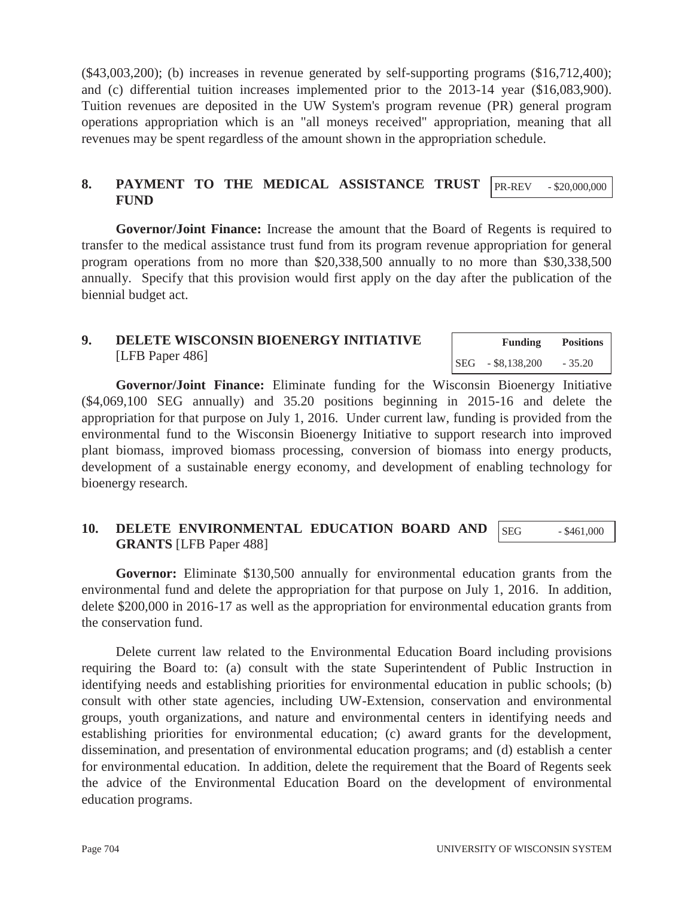(\$43,003,200); (b) increases in revenue generated by self-supporting programs (\$16,712,400); and (c) differential tuition increases implemented prior to the 2013-14 year (\$16,083,900). Tuition revenues are deposited in the UW System's program revenue (PR) general program operations appropriation which is an "all moneys received" appropriation, meaning that all revenues may be spent regardless of the amount shown in the appropriation schedule.

#### **8. PAYMENT TO THE MEDICAL ASSISTANCE TRUST FUND**  PR-REV - \$20,000,000

**Governor/Joint Finance:** Increase the amount that the Board of Regents is required to transfer to the medical assistance trust fund from its program revenue appropriation for general program operations from no more than \$20,338,500 annually to no more than \$30,338,500 annually. Specify that this provision would first apply on the day after the publication of the biennial budget act.

## **9. DELETE WISCONSIN BIOENERGY INITIATIVE**  [LFB Paper 486]

|     | <b>Funding</b>  | <b>Positions</b> |
|-----|-----------------|------------------|
| SEG | $-$ \$8,138,200 | $-35.20$         |

 **Governor/Joint Finance:** Eliminate funding for the Wisconsin Bioenergy Initiative (\$4,069,100 SEG annually) and 35.20 positions beginning in 2015-16 and delete the appropriation for that purpose on July 1, 2016. Under current law, funding is provided from the environmental fund to the Wisconsin Bioenergy Initiative to support research into improved plant biomass, improved biomass processing, conversion of biomass into energy products, development of a sustainable energy economy, and development of enabling technology for bioenergy research.

#### **10. DELETE ENVIRONMENTAL EDUCATION BOARD AND GRANTS** [LFB Paper 488] SEG  $-$  \$461,000

**Governor:** Eliminate \$130,500 annually for environmental education grants from the environmental fund and delete the appropriation for that purpose on July 1, 2016. In addition, delete \$200,000 in 2016-17 as well as the appropriation for environmental education grants from the conservation fund.

 Delete current law related to the Environmental Education Board including provisions requiring the Board to: (a) consult with the state Superintendent of Public Instruction in identifying needs and establishing priorities for environmental education in public schools; (b) consult with other state agencies, including UW-Extension, conservation and environmental groups, youth organizations, and nature and environmental centers in identifying needs and establishing priorities for environmental education; (c) award grants for the development, dissemination, and presentation of environmental education programs; and (d) establish a center for environmental education. In addition, delete the requirement that the Board of Regents seek the advice of the Environmental Education Board on the development of environmental education programs.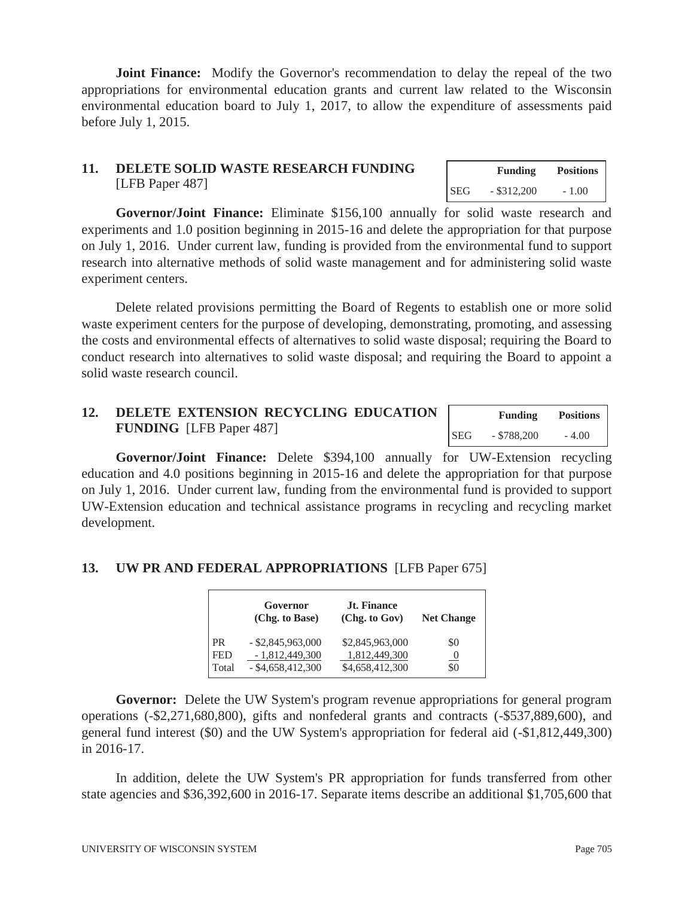**Joint Finance:** Modify the Governor's recommendation to delay the repeal of the two appropriations for environmental education grants and current law related to the Wisconsin environmental education board to July 1, 2017, to allow the expenditure of assessments paid before July 1, 2015.

## **11. DELETE SOLID WASTE RESEARCH FUNDING**  [LFB Paper 487]

**Governor/Joint Finance:** Eliminate \$156,100 annually for solid waste research and experiments and 1.0 position beginning in 2015-16 and delete the appropriation for that purpose on July 1, 2016. Under current law, funding is provided from the environmental fund to support research into alternative methods of solid waste management and for administering solid waste experiment centers.

 Delete related provisions permitting the Board of Regents to establish one or more solid waste experiment centers for the purpose of developing, demonstrating, promoting, and assessing the costs and environmental effects of alternatives to solid waste disposal; requiring the Board to conduct research into alternatives to solid waste disposal; and requiring the Board to appoint a solid waste research council.

| 12. | DELETE EXTENSION RECYCLING EDUCATION |            | <b>Funding</b> | <b>Positions</b> |
|-----|--------------------------------------|------------|----------------|------------------|
|     | <b>FUNDING</b> [LFB Paper 487]       | <b>SEG</b> | $-$ \$788,200  | $-4.00$          |

**Governor/Joint Finance:** Delete \$394,100 annually for UW-Extension recycling education and 4.0 positions beginning in 2015-16 and delete the appropriation for that purpose on July 1, 2016. Under current law, funding from the environmental fund is provided to support UW-Extension education and technical assistance programs in recycling and recycling market development.

## **13. UW PR AND FEDERAL APPROPRIATIONS** [LFB Paper 675]

|            | Governor<br>(Chg. to Base) | Jt. Finance<br>(Chg. to Gov) | <b>Net Change</b> |
|------------|----------------------------|------------------------------|-------------------|
| <b>PR</b>  | $-$ \$2,845,963,000        | \$2,845,963,000              | \$0               |
| <b>FED</b> | $-1,812,449,300$           | 1,812,449,300                | $\cup$            |
| Total      | $-$ \$4,658,412,300        | \$4,658,412,300              | \$0               |

**Governor:** Delete the UW System's program revenue appropriations for general program operations (-\$2,271,680,800), gifts and nonfederal grants and contracts (-\$537,889,600), and general fund interest (\$0) and the UW System's appropriation for federal aid (-\$1,812,449,300) in 2016-17.

 In addition, delete the UW System's PR appropriation for funds transferred from other state agencies and \$36,392,600 in 2016-17. Separate items describe an additional \$1,705,600 that

 **Funding Positions**  SEG - \$312,200 - 1.00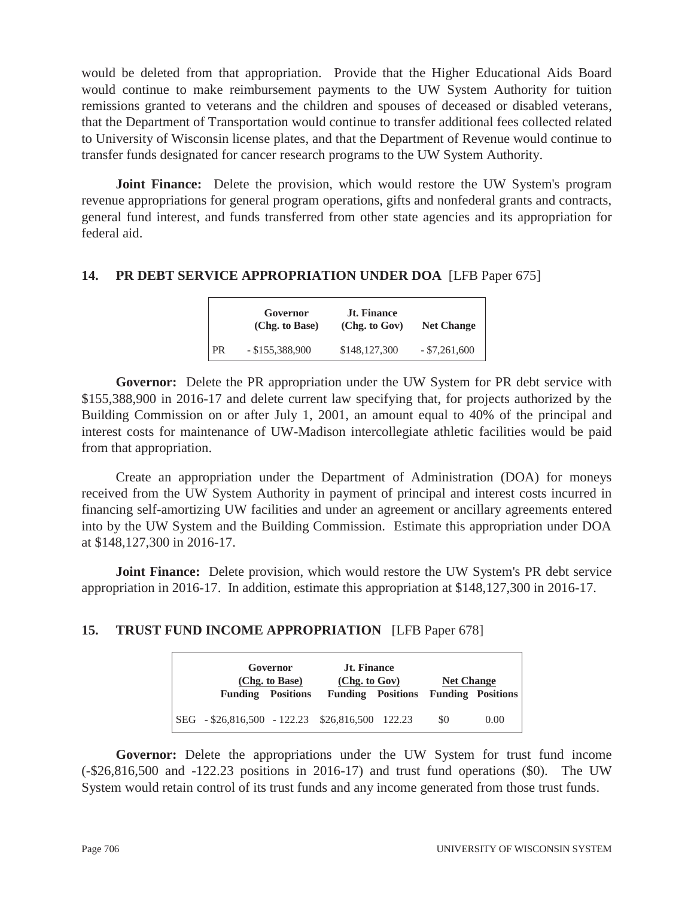would be deleted from that appropriation. Provide that the Higher Educational Aids Board would continue to make reimbursement payments to the UW System Authority for tuition remissions granted to veterans and the children and spouses of deceased or disabled veterans, that the Department of Transportation would continue to transfer additional fees collected related to University of Wisconsin license plates, and that the Department of Revenue would continue to transfer funds designated for cancer research programs to the UW System Authority.

**Joint Finance:** Delete the provision, which would restore the UW System's program revenue appropriations for general program operations, gifts and nonfederal grants and contracts, general fund interest, and funds transferred from other state agencies and its appropriation for federal aid.

#### **14. PR DEBT SERVICE APPROPRIATION UNDER DOA** [LFB Paper 675]

|      | Governor<br>(Chg. to Base) | <b>Jt. Finance</b><br>(Chg. to Gov) | <b>Net Change</b> |
|------|----------------------------|-------------------------------------|-------------------|
| l PR | $-$ \$155,388,900          | \$148,127,300                       | $-$ \$7,261,600   |

**Governor:** Delete the PR appropriation under the UW System for PR debt service with \$155,388,900 in 2016-17 and delete current law specifying that, for projects authorized by the Building Commission on or after July 1, 2001, an amount equal to 40% of the principal and interest costs for maintenance of UW-Madison intercollegiate athletic facilities would be paid from that appropriation.

 Create an appropriation under the Department of Administration (DOA) for moneys received from the UW System Authority in payment of principal and interest costs incurred in financing self-amortizing UW facilities and under an agreement or ancillary agreements entered into by the UW System and the Building Commission. Estimate this appropriation under DOA at \$148,127,300 in 2016-17.

**Joint Finance:** Delete provision, which would restore the UW System's PR debt service appropriation in 2016-17. In addition, estimate this appropriation at \$148,127,300 in 2016-17.

# **15. TRUST FUND INCOME APPROPRIATION** [LFB Paper 678]

|                                                             | Governor<br>(Chg. to Base) | <b>Jt. Finance</b><br>(Chg. to Gov) | <b>Net Change</b> |      |
|-------------------------------------------------------------|----------------------------|-------------------------------------|-------------------|------|
| <b>Funding</b> Positions                                    |                            | Funding Positions Funding Positions |                   |      |
| $\vert$ SEG $-$ \$26,816,500 $-$ 122.23 \$26,816,500 122.23 |                            |                                     | \$0               | 0.00 |

**Governor:** Delete the appropriations under the UW System for trust fund income (-\$26,816,500 and -122.23 positions in 2016-17) and trust fund operations (\$0). The UW System would retain control of its trust funds and any income generated from those trust funds.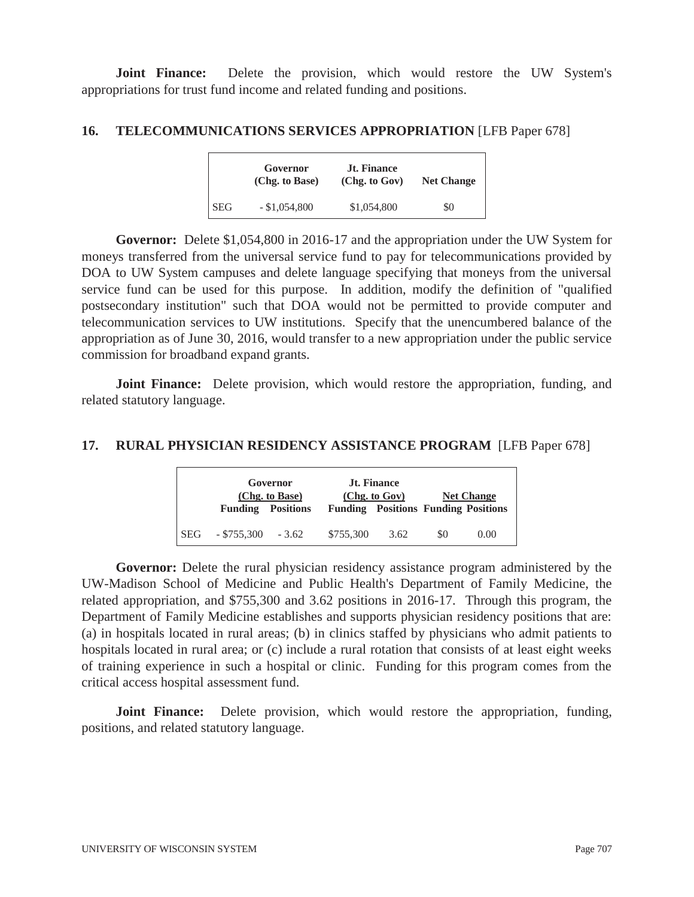**Joint Finance:** Delete the provision, which would restore the UW System's appropriations for trust fund income and related funding and positions.

#### 16. TELECOMMUNICATIONS SERVICES APPROPRIATION [LFB Paper 678]

|            | Governor<br>(Chg. to Base) | <b>Jt. Finance</b><br>(Chg. to Gov) | <b>Net Change</b> |
|------------|----------------------------|-------------------------------------|-------------------|
| <b>SEG</b> | $-$ \$1,054,800            | \$1,054,800                         | \$0               |

**Governor:** Delete \$1,054,800 in 2016-17 and the appropriation under the UW System for moneys transferred from the universal service fund to pay for telecommunications provided by DOA to UW System campuses and delete language specifying that moneys from the universal service fund can be used for this purpose. In addition, modify the definition of "qualified postsecondary institution" such that DOA would not be permitted to provide computer and telecommunication services to UW institutions. Specify that the unencumbered balance of the appropriation as of June 30, 2016, would transfer to a new appropriation under the public service commission for broadband expand grants.

**Joint Finance:** Delete provision, which would restore the appropriation, funding, and related statutory language.

#### **17. RURAL PHYSICIAN RESIDENCY ASSISTANCE PROGRAM** [LFB Paper 678]

|            | Governor<br>(Chg. to Base) |                  | <b>Jt. Finance</b><br>(Chg. to Gov) |                                            | <b>Net Change</b> |      |
|------------|----------------------------|------------------|-------------------------------------|--------------------------------------------|-------------------|------|
|            | <b>Funding</b>             | <b>Positions</b> |                                     | <b>Funding Positions Funding Positions</b> |                   |      |
| <b>SEG</b> | $-$ \$755,300              | $-3.62$          | \$755,300                           | 3.62                                       | \$0               | 0.00 |

**Governor:** Delete the rural physician residency assistance program administered by the UW-Madison School of Medicine and Public Health's Department of Family Medicine, the related appropriation, and \$755,300 and 3.62 positions in 2016-17. Through this program, the Department of Family Medicine establishes and supports physician residency positions that are: (a) in hospitals located in rural areas; (b) in clinics staffed by physicians who admit patients to hospitals located in rural area; or (c) include a rural rotation that consists of at least eight weeks of training experience in such a hospital or clinic. Funding for this program comes from the critical access hospital assessment fund.

**Joint Finance:** Delete provision, which would restore the appropriation, funding, positions, and related statutory language.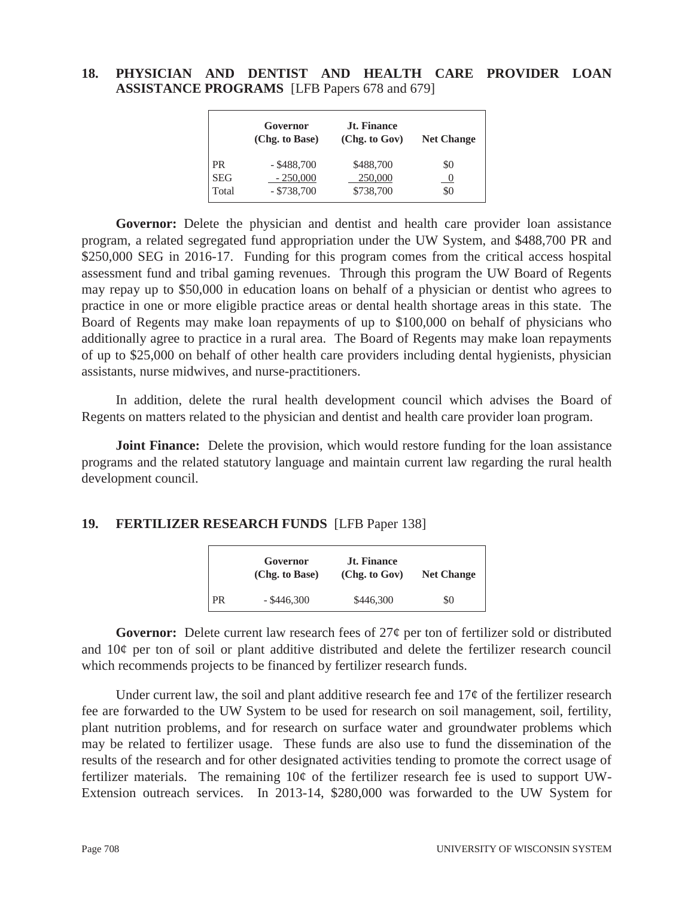#### **18. PHYSICIAN AND DENTIST AND HEALTH CARE PROVIDER LOAN ASSISTANCE PROGRAMS** [LFB Papers 678 and 679]

|            | Governor<br>(Chg. to Base) | <b>Jt. Finance</b><br>(Chg. to Gov) | <b>Net Change</b> |
|------------|----------------------------|-------------------------------------|-------------------|
| <b>PR</b>  | $-$ \$488,700              | \$488,700                           | \$0               |
| <b>SEG</b> | $-250,000$                 | 250,000                             |                   |
| Total      | $-$ \$738,700              | \$738,700                           | \$0               |

Governor: Delete the physician and dentist and health care provider loan assistance program, a related segregated fund appropriation under the UW System, and \$488,700 PR and \$250,000 SEG in 2016-17. Funding for this program comes from the critical access hospital assessment fund and tribal gaming revenues. Through this program the UW Board of Regents may repay up to \$50,000 in education loans on behalf of a physician or dentist who agrees to practice in one or more eligible practice areas or dental health shortage areas in this state. The Board of Regents may make loan repayments of up to \$100,000 on behalf of physicians who additionally agree to practice in a rural area. The Board of Regents may make loan repayments of up to \$25,000 on behalf of other health care providers including dental hygienists, physician assistants, nurse midwives, and nurse-practitioners.

 In addition, delete the rural health development council which advises the Board of Regents on matters related to the physician and dentist and health care provider loan program.

**Joint Finance:** Delete the provision, which would restore funding for the loan assistance programs and the related statutory language and maintain current law regarding the rural health development council.

#### **19. FERTILIZER RESEARCH FUNDS** [LFB Paper 138]

|           | Governor<br>(Chg. to Base) | <b>Jt. Finance</b><br>(Chg. to Gov) | <b>Net Change</b> |  |
|-----------|----------------------------|-------------------------------------|-------------------|--|
| <b>PR</b> | $-$ \$446,300              | \$446,300                           | \$0               |  |

**Governor:** Delete current law research fees of 27¢ per ton of fertilizer sold or distributed and 10¢ per ton of soil or plant additive distributed and delete the fertilizer research council which recommends projects to be financed by fertilizer research funds.

Under current law, the soil and plant additive research fee and  $17\phi$  of the fertilizer research fee are forwarded to the UW System to be used for research on soil management, soil, fertility, plant nutrition problems, and for research on surface water and groundwater problems which may be related to fertilizer usage. These funds are also use to fund the dissemination of the results of the research and for other designated activities tending to promote the correct usage of fertilizer materials. The remaining  $10¢$  of the fertilizer research fee is used to support UW-Extension outreach services. In 2013-14, \$280,000 was forwarded to the UW System for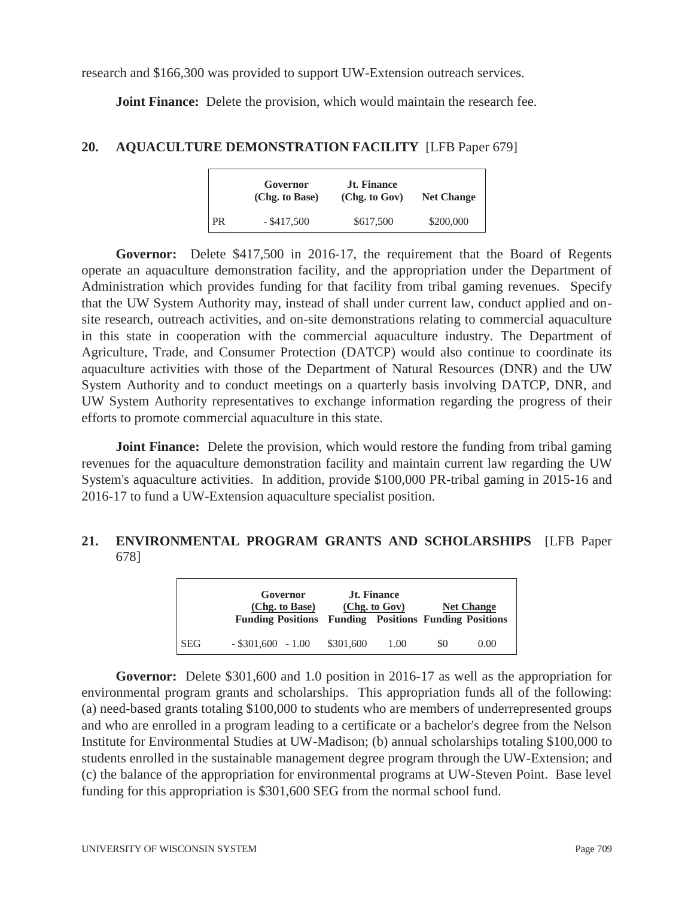research and \$166,300 was provided to support UW-Extension outreach services.

**Joint Finance:** Delete the provision, which would maintain the research fee.

#### **20. AQUACULTURE DEMONSTRATION FACILITY** [LFB Paper 679]

|           | Governor<br>(Chg. to Base) | <b>Jt. Finance</b><br>(Chg. to Gov) | <b>Net Change</b> |  |
|-----------|----------------------------|-------------------------------------|-------------------|--|
| <b>PR</b> | $-$ \$417,500              | \$617,500                           | \$200,000         |  |

**Governor:** Delete \$417,500 in 2016-17, the requirement that the Board of Regents operate an aquaculture demonstration facility, and the appropriation under the Department of Administration which provides funding for that facility from tribal gaming revenues. Specify that the UW System Authority may, instead of shall under current law, conduct applied and onsite research, outreach activities, and on-site demonstrations relating to commercial aquaculture in this state in cooperation with the commercial aquaculture industry. The Department of Agriculture, Trade, and Consumer Protection (DATCP) would also continue to coordinate its aquaculture activities with those of the Department of Natural Resources (DNR) and the UW System Authority and to conduct meetings on a quarterly basis involving DATCP, DNR, and UW System Authority representatives to exchange information regarding the progress of their efforts to promote commercial aquaculture in this state.

**Joint Finance:** Delete the provision, which would restore the funding from tribal gaming revenues for the aquaculture demonstration facility and maintain current law regarding the UW System's aquaculture activities. In addition, provide \$100,000 PR-tribal gaming in 2015-16 and 2016-17 to fund a UW-Extension aquaculture specialist position.

## **21. ENVIRONMENTAL PROGRAM GRANTS AND SCHOLARSHIPS** [LFB Paper 678]

|            | Governor<br>(Chg. to Base) | <b>Jt. Finance</b><br>(Chg. to Gov)<br><b>Funding Positions Funding Positions Funding Positions</b> |      | <b>Net Change</b> |      |
|------------|----------------------------|-----------------------------------------------------------------------------------------------------|------|-------------------|------|
| <b>SEG</b> | $-$ \$301,600 $-$ 1.00     | \$301,600                                                                                           | 1.00 | \$0               | 0.00 |

**Governor:** Delete \$301,600 and 1.0 position in 2016-17 as well as the appropriation for environmental program grants and scholarships. This appropriation funds all of the following: (a) need-based grants totaling \$100,000 to students who are members of underrepresented groups and who are enrolled in a program leading to a certificate or a bachelor's degree from the Nelson Institute for Environmental Studies at UW-Madison; (b) annual scholarships totaling \$100,000 to students enrolled in the sustainable management degree program through the UW-Extension; and (c) the balance of the appropriation for environmental programs at UW-Steven Point. Base level funding for this appropriation is \$301,600 SEG from the normal school fund.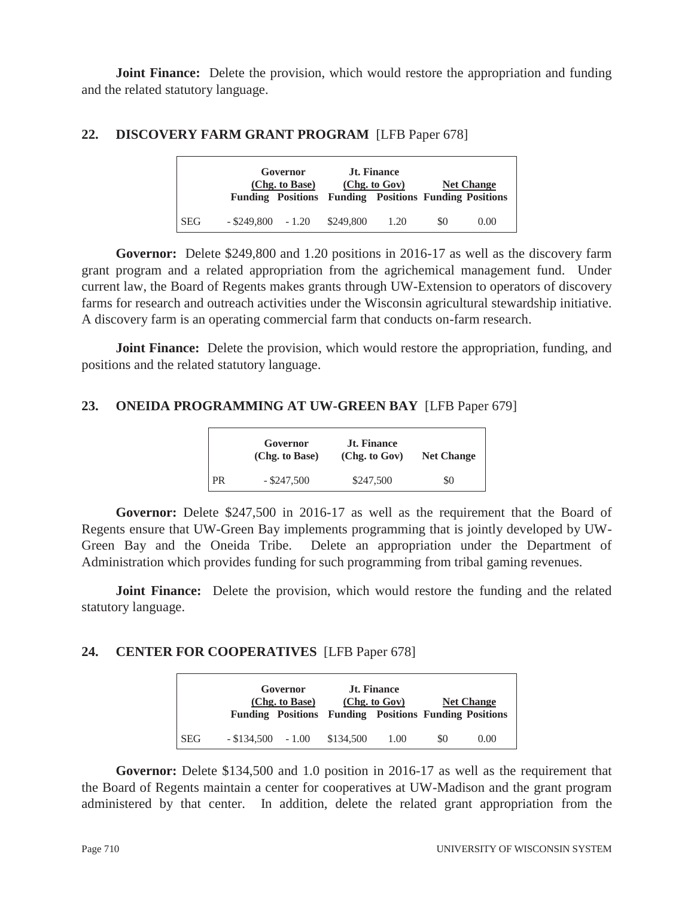**Joint Finance:** Delete the provision, which would restore the appropriation and funding and the related statutory language.

#### **22. DISCOVERY FARM GRANT PROGRAM** [LFB Paper 678]

|            |                        | Governor<br>(Chg. to Base) | <b>Funding Positions Funding Positions Funding Positions</b> | <b>Jt. Finance</b><br>(Chg. to Gov) |     | <b>Net Change</b> |
|------------|------------------------|----------------------------|--------------------------------------------------------------|-------------------------------------|-----|-------------------|
| <b>SEG</b> | $-$ \$249,800 $-$ 1.20 |                            | \$249.800                                                    | 1.20                                | \$0 | 0.00              |

**Governor:** Delete \$249,800 and 1.20 positions in 2016-17 as well as the discovery farm grant program and a related appropriation from the agrichemical management fund. Under current law, the Board of Regents makes grants through UW-Extension to operators of discovery farms for research and outreach activities under the Wisconsin agricultural stewardship initiative. A discovery farm is an operating commercial farm that conducts on-farm research.

**Joint Finance:** Delete the provision, which would restore the appropriation, funding, and positions and the related statutory language.

## **23. ONEIDA PROGRAMMING AT UW-GREEN BAY** [LFB Paper 679]

|      | Governor<br>(Chg. to Base) | <b>Jt. Finance</b><br>(Chg. to Gov) | <b>Net Change</b> |  |
|------|----------------------------|-------------------------------------|-------------------|--|
| I PR | $-$ \$247,500              | \$247,500                           | \$0               |  |

**Governor:** Delete \$247,500 in 2016-17 as well as the requirement that the Board of Regents ensure that UW-Green Bay implements programming that is jointly developed by UW-Green Bay and the Oneida Tribe. Delete an appropriation under the Department of Administration which provides funding for such programming from tribal gaming revenues.

**Joint Finance:** Delete the provision, which would restore the funding and the related statutory language.

#### **24. CENTER FOR COOPERATIVES** [LFB Paper 678]

|            | Governor<br>(Chg. to Base) |  | <b>Jt. Finance</b><br>(Chg. to Gov)<br><b>Funding Positions Funding Positions Funding Positions</b> |      | <b>Net Change</b> |      |
|------------|----------------------------|--|-----------------------------------------------------------------------------------------------------|------|-------------------|------|
| <b>SEG</b> | $-$ \$134,500 $-$ 1.00     |  | \$134.500                                                                                           | 1.00 | SO.               | 0.00 |

**Governor:** Delete \$134,500 and 1.0 position in 2016-17 as well as the requirement that the Board of Regents maintain a center for cooperatives at UW-Madison and the grant program administered by that center. In addition, delete the related grant appropriation from the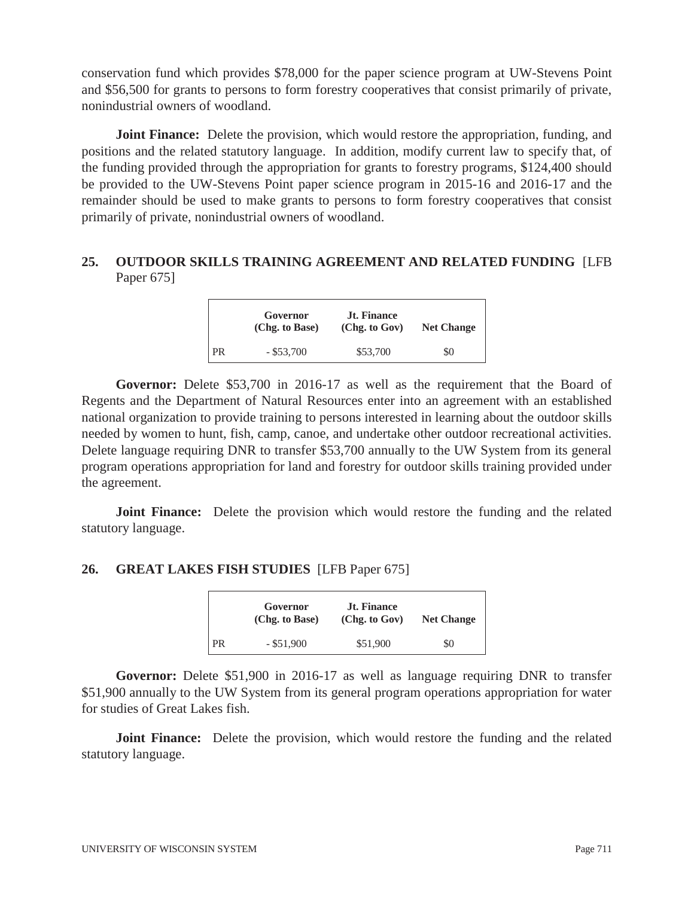conservation fund which provides \$78,000 for the paper science program at UW-Stevens Point and \$56,500 for grants to persons to form forestry cooperatives that consist primarily of private, nonindustrial owners of woodland.

**Joint Finance:** Delete the provision, which would restore the appropriation, funding, and positions and the related statutory language. In addition, modify current law to specify that, of the funding provided through the appropriation for grants to forestry programs, \$124,400 should be provided to the UW-Stevens Point paper science program in 2015-16 and 2016-17 and the remainder should be used to make grants to persons to form forestry cooperatives that consist primarily of private, nonindustrial owners of woodland.

## **25. OUTDOOR SKILLS TRAINING AGREEMENT AND RELATED FUNDING** [LFB Paper 675]

|      | Governor<br>(Chg. to Base) | <b>Jt. Finance</b><br>(Chg. to Gov) | <b>Net Change</b> |
|------|----------------------------|-------------------------------------|-------------------|
| l PR | $-$ \$53,700               | \$53,700                            | \$0               |

**Governor:** Delete \$53,700 in 2016-17 as well as the requirement that the Board of Regents and the Department of Natural Resources enter into an agreement with an established national organization to provide training to persons interested in learning about the outdoor skills needed by women to hunt, fish, camp, canoe, and undertake other outdoor recreational activities. Delete language requiring DNR to transfer \$53,700 annually to the UW System from its general program operations appropriation for land and forestry for outdoor skills training provided under the agreement.

**Joint Finance:** Delete the provision which would restore the funding and the related statutory language.

## **26. GREAT LAKES FISH STUDIES** [LFB Paper 675]

|    | Governor<br>(Chg. to Base) | <b>Jt. Finance</b><br>(Chg. to Gov) | <b>Net Change</b> |  |
|----|----------------------------|-------------------------------------|-------------------|--|
| PR | $-$ \$51,900               | \$51,900                            | \$0               |  |

**Governor:** Delete \$51,900 in 2016-17 as well as language requiring DNR to transfer \$51,900 annually to the UW System from its general program operations appropriation for water for studies of Great Lakes fish.

 **Joint Finance:** Delete the provision, which would restore the funding and the related statutory language.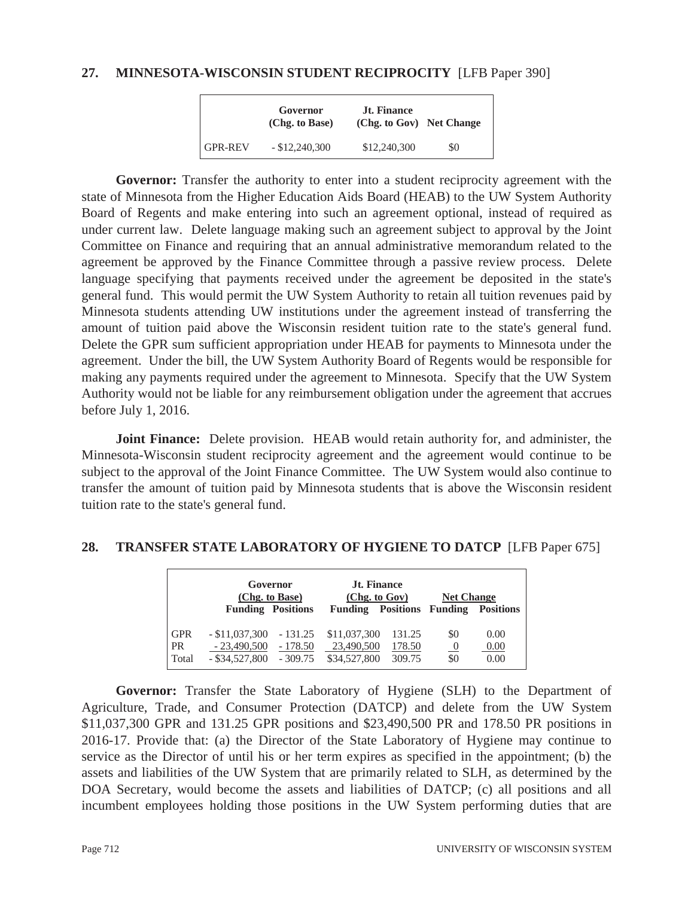#### **27. MINNESOTA-WISCONSIN STUDENT RECIPROCITY** [LFB Paper 390]

|                | Governor<br>(Chg. to Base) | <b>Jt. Finance</b><br>(Chg. to Gov) Net Change |     |
|----------------|----------------------------|------------------------------------------------|-----|
| <b>GPR-REV</b> | $-$ \$12,240,300           | \$12,240,300                                   | \$0 |

Governor: Transfer the authority to enter into a student reciprocity agreement with the state of Minnesota from the Higher Education Aids Board (HEAB) to the UW System Authority Board of Regents and make entering into such an agreement optional, instead of required as under current law. Delete language making such an agreement subject to approval by the Joint Committee on Finance and requiring that an annual administrative memorandum related to the agreement be approved by the Finance Committee through a passive review process. Delete language specifying that payments received under the agreement be deposited in the state's general fund. This would permit the UW System Authority to retain all tuition revenues paid by Minnesota students attending UW institutions under the agreement instead of transferring the amount of tuition paid above the Wisconsin resident tuition rate to the state's general fund. Delete the GPR sum sufficient appropriation under HEAB for payments to Minnesota under the agreement. Under the bill, the UW System Authority Board of Regents would be responsible for making any payments required under the agreement to Minnesota. Specify that the UW System Authority would not be liable for any reimbursement obligation under the agreement that accrues before July 1, 2016.

**Joint Finance:** Delete provision. HEAB would retain authority for, and administer, the Minnesota-Wisconsin student reciprocity agreement and the agreement would continue to be subject to the approval of the Joint Finance Committee. The UW System would also continue to transfer the amount of tuition paid by Minnesota students that is above the Wisconsin resident tuition rate to the state's general fund.

#### **28. TRANSFER STATE LABORATORY OF HYGIENE TO DATCP** [LFB Paper 675]

|            |                  | Governor<br>(Chg. to Base)<br><b>Funding Positions</b> | <b>Jt. Finance</b><br>(Chg. to Gov)<br><b>Funding</b> | <b>Positions Funding</b> | <b>Net Change</b> | <b>Positions</b> |
|------------|------------------|--------------------------------------------------------|-------------------------------------------------------|--------------------------|-------------------|------------------|
| <b>GPR</b> | $-$ \$11,037,300 | $-131.25$                                              | \$11,037,300                                          | 131.25                   | \$0               | 0.00             |
| <b>PR</b>  | $-23,490,500$    | $-178.50$                                              | 23,490,500                                            | 178.50                   | $\theta$          | 0.00             |
| Total      | $-$ \$34,527,800 | $-309.75$                                              | \$34,527,800                                          | 309.75                   | \$0               | 0.00             |

**Governor:** Transfer the State Laboratory of Hygiene (SLH) to the Department of Agriculture, Trade, and Consumer Protection (DATCP) and delete from the UW System \$11,037,300 GPR and 131.25 GPR positions and \$23,490,500 PR and 178.50 PR positions in 2016-17. Provide that: (a) the Director of the State Laboratory of Hygiene may continue to service as the Director of until his or her term expires as specified in the appointment; (b) the assets and liabilities of the UW System that are primarily related to SLH, as determined by the DOA Secretary, would become the assets and liabilities of DATCP; (c) all positions and all incumbent employees holding those positions in the UW System performing duties that are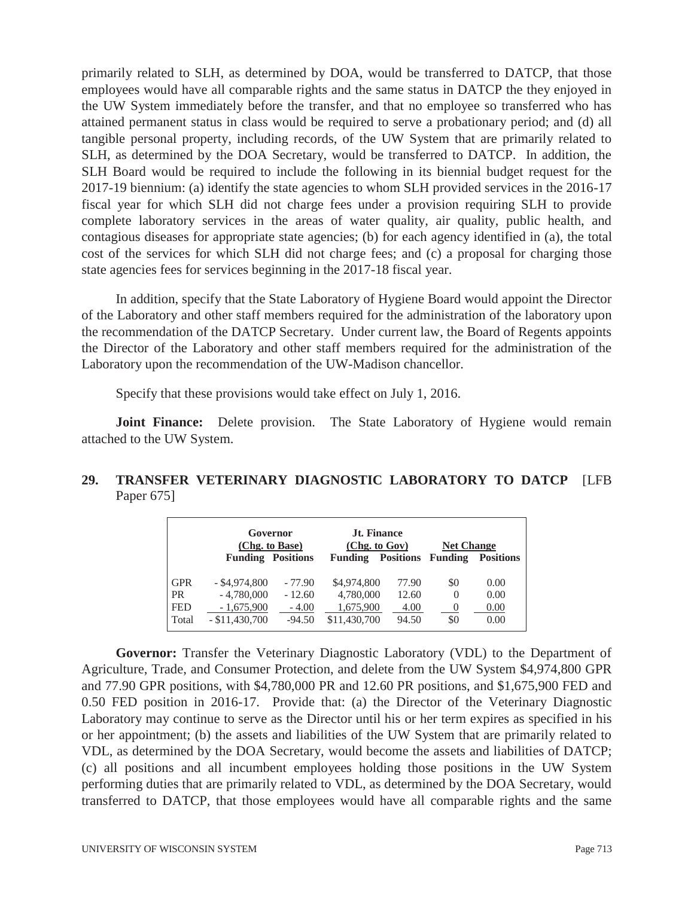primarily related to SLH, as determined by DOA, would be transferred to DATCP, that those employees would have all comparable rights and the same status in DATCP the they enjoyed in the UW System immediately before the transfer, and that no employee so transferred who has attained permanent status in class would be required to serve a probationary period; and (d) all tangible personal property, including records, of the UW System that are primarily related to SLH, as determined by the DOA Secretary, would be transferred to DATCP. In addition, the SLH Board would be required to include the following in its biennial budget request for the 2017-19 biennium: (a) identify the state agencies to whom SLH provided services in the 2016-17 fiscal year for which SLH did not charge fees under a provision requiring SLH to provide complete laboratory services in the areas of water quality, air quality, public health, and contagious diseases for appropriate state agencies; (b) for each agency identified in (a), the total cost of the services for which SLH did not charge fees; and (c) a proposal for charging those state agencies fees for services beginning in the 2017-18 fiscal year.

 In addition, specify that the State Laboratory of Hygiene Board would appoint the Director of the Laboratory and other staff members required for the administration of the laboratory upon the recommendation of the DATCP Secretary. Under current law, the Board of Regents appoints the Director of the Laboratory and other staff members required for the administration of the Laboratory upon the recommendation of the UW-Madison chancellor.

Specify that these provisions would take effect on July 1, 2016.

**Joint Finance:** Delete provision. The State Laboratory of Hygiene would remain attached to the UW System.

## **29. TRANSFER VETERINARY DIAGNOSTIC LABORATORY TO DATCP** [LFB Paper 675]

|                                                | Governor<br>(Chg. to Base)                                         |                                             | <b>Jt. Finance</b><br>(Chg. to Gov)                   |                                 | <b>Net Change</b>                  |                              |
|------------------------------------------------|--------------------------------------------------------------------|---------------------------------------------|-------------------------------------------------------|---------------------------------|------------------------------------|------------------------------|
|                                                | <b>Funding Positions</b>                                           |                                             | <b>Funding</b>                                        | <b>Positions</b> Funding        |                                    | <b>Positions</b>             |
| <b>GPR</b><br><b>PR</b><br><b>FED</b><br>Total | $-$ \$4,974,800<br>$-4,780,000$<br>$-1,675,900$<br>$- $11,430,700$ | $-77.90$<br>$-12.60$<br>$-4.00$<br>$-94.50$ | \$4,974,800<br>4,780,000<br>1,675,900<br>\$11,430,700 | 77.90<br>12.60<br>4.00<br>94.50 | \$0<br>$\Omega$<br>$\theta$<br>\$0 | 0.00<br>0.00<br>0.00<br>0.00 |

**Governor:** Transfer the Veterinary Diagnostic Laboratory (VDL) to the Department of Agriculture, Trade, and Consumer Protection, and delete from the UW System \$4,974,800 GPR and 77.90 GPR positions, with \$4,780,000 PR and 12.60 PR positions, and \$1,675,900 FED and 0.50 FED position in 2016-17. Provide that: (a) the Director of the Veterinary Diagnostic Laboratory may continue to serve as the Director until his or her term expires as specified in his or her appointment; (b) the assets and liabilities of the UW System that are primarily related to VDL, as determined by the DOA Secretary, would become the assets and liabilities of DATCP; (c) all positions and all incumbent employees holding those positions in the UW System performing duties that are primarily related to VDL, as determined by the DOA Secretary, would transferred to DATCP, that those employees would have all comparable rights and the same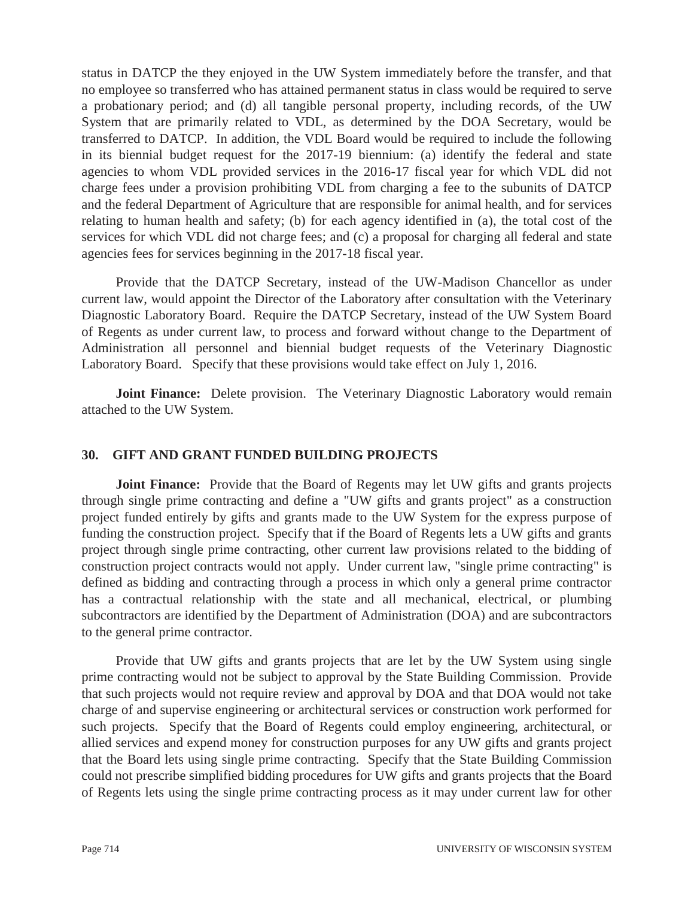status in DATCP the they enjoyed in the UW System immediately before the transfer, and that no employee so transferred who has attained permanent status in class would be required to serve a probationary period; and (d) all tangible personal property, including records, of the UW System that are primarily related to VDL, as determined by the DOA Secretary, would be transferred to DATCP. In addition, the VDL Board would be required to include the following in its biennial budget request for the 2017-19 biennium: (a) identify the federal and state agencies to whom VDL provided services in the 2016-17 fiscal year for which VDL did not charge fees under a provision prohibiting VDL from charging a fee to the subunits of DATCP and the federal Department of Agriculture that are responsible for animal health, and for services relating to human health and safety; (b) for each agency identified in (a), the total cost of the services for which VDL did not charge fees; and (c) a proposal for charging all federal and state agencies fees for services beginning in the 2017-18 fiscal year.

 Provide that the DATCP Secretary, instead of the UW-Madison Chancellor as under current law, would appoint the Director of the Laboratory after consultation with the Veterinary Diagnostic Laboratory Board. Require the DATCP Secretary, instead of the UW System Board of Regents as under current law, to process and forward without change to the Department of Administration all personnel and biennial budget requests of the Veterinary Diagnostic Laboratory Board. Specify that these provisions would take effect on July 1, 2016.

**Joint Finance:** Delete provision. The Veterinary Diagnostic Laboratory would remain attached to the UW System.

#### **30. GIFT AND GRANT FUNDED BUILDING PROJECTS**

**Joint Finance:** Provide that the Board of Regents may let UW gifts and grants projects through single prime contracting and define a "UW gifts and grants project" as a construction project funded entirely by gifts and grants made to the UW System for the express purpose of funding the construction project. Specify that if the Board of Regents lets a UW gifts and grants project through single prime contracting, other current law provisions related to the bidding of construction project contracts would not apply. Under current law, "single prime contracting" is defined as bidding and contracting through a process in which only a general prime contractor has a contractual relationship with the state and all mechanical, electrical, or plumbing subcontractors are identified by the Department of Administration (DOA) and are subcontractors to the general prime contractor.

Provide that UW gifts and grants projects that are let by the UW System using single prime contracting would not be subject to approval by the State Building Commission. Provide that such projects would not require review and approval by DOA and that DOA would not take charge of and supervise engineering or architectural services or construction work performed for such projects. Specify that the Board of Regents could employ engineering, architectural, or allied services and expend money for construction purposes for any UW gifts and grants project that the Board lets using single prime contracting. Specify that the State Building Commission could not prescribe simplified bidding procedures for UW gifts and grants projects that the Board of Regents lets using the single prime contracting process as it may under current law for other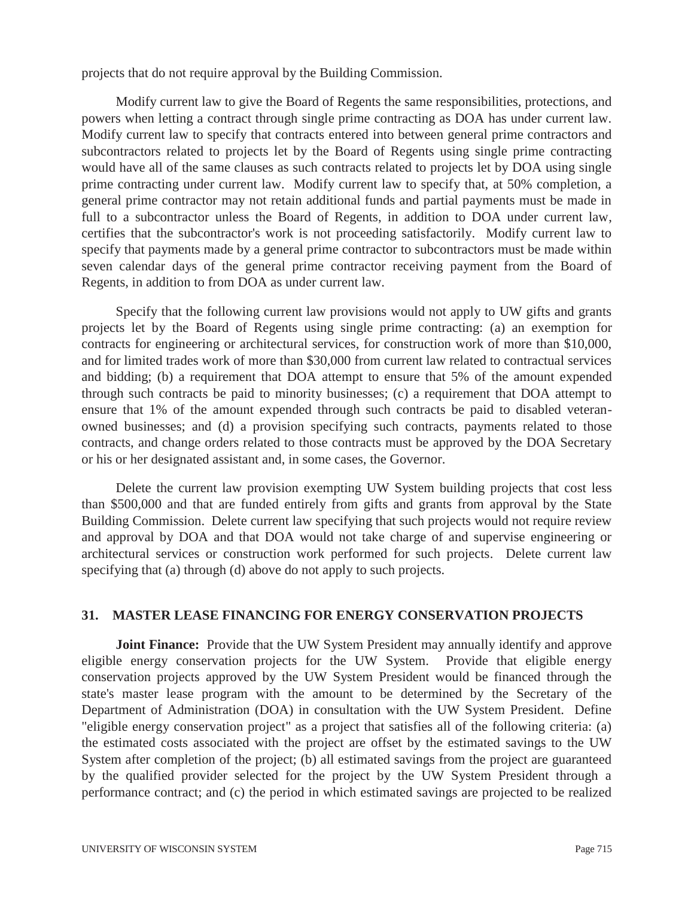projects that do not require approval by the Building Commission.

 Modify current law to give the Board of Regents the same responsibilities, protections, and powers when letting a contract through single prime contracting as DOA has under current law. Modify current law to specify that contracts entered into between general prime contractors and subcontractors related to projects let by the Board of Regents using single prime contracting would have all of the same clauses as such contracts related to projects let by DOA using single prime contracting under current law. Modify current law to specify that, at 50% completion, a general prime contractor may not retain additional funds and partial payments must be made in full to a subcontractor unless the Board of Regents, in addition to DOA under current law, certifies that the subcontractor's work is not proceeding satisfactorily. Modify current law to specify that payments made by a general prime contractor to subcontractors must be made within seven calendar days of the general prime contractor receiving payment from the Board of Regents, in addition to from DOA as under current law.

 Specify that the following current law provisions would not apply to UW gifts and grants projects let by the Board of Regents using single prime contracting: (a) an exemption for contracts for engineering or architectural services, for construction work of more than \$10,000, and for limited trades work of more than \$30,000 from current law related to contractual services and bidding; (b) a requirement that DOA attempt to ensure that 5% of the amount expended through such contracts be paid to minority businesses; (c) a requirement that DOA attempt to ensure that 1% of the amount expended through such contracts be paid to disabled veteranowned businesses; and (d) a provision specifying such contracts, payments related to those contracts, and change orders related to those contracts must be approved by the DOA Secretary or his or her designated assistant and, in some cases, the Governor.

 Delete the current law provision exempting UW System building projects that cost less than \$500,000 and that are funded entirely from gifts and grants from approval by the State Building Commission. Delete current law specifying that such projects would not require review and approval by DOA and that DOA would not take charge of and supervise engineering or architectural services or construction work performed for such projects. Delete current law specifying that (a) through (d) above do not apply to such projects.

#### **31. MASTER LEASE FINANCING FOR ENERGY CONSERVATION PROJECTS**

**Joint Finance:** Provide that the UW System President may annually identify and approve eligible energy conservation projects for the UW System. Provide that eligible energy conservation projects approved by the UW System President would be financed through the state's master lease program with the amount to be determined by the Secretary of the Department of Administration (DOA) in consultation with the UW System President. Define "eligible energy conservation project" as a project that satisfies all of the following criteria: (a) the estimated costs associated with the project are offset by the estimated savings to the UW System after completion of the project; (b) all estimated savings from the project are guaranteed by the qualified provider selected for the project by the UW System President through a performance contract; and (c) the period in which estimated savings are projected to be realized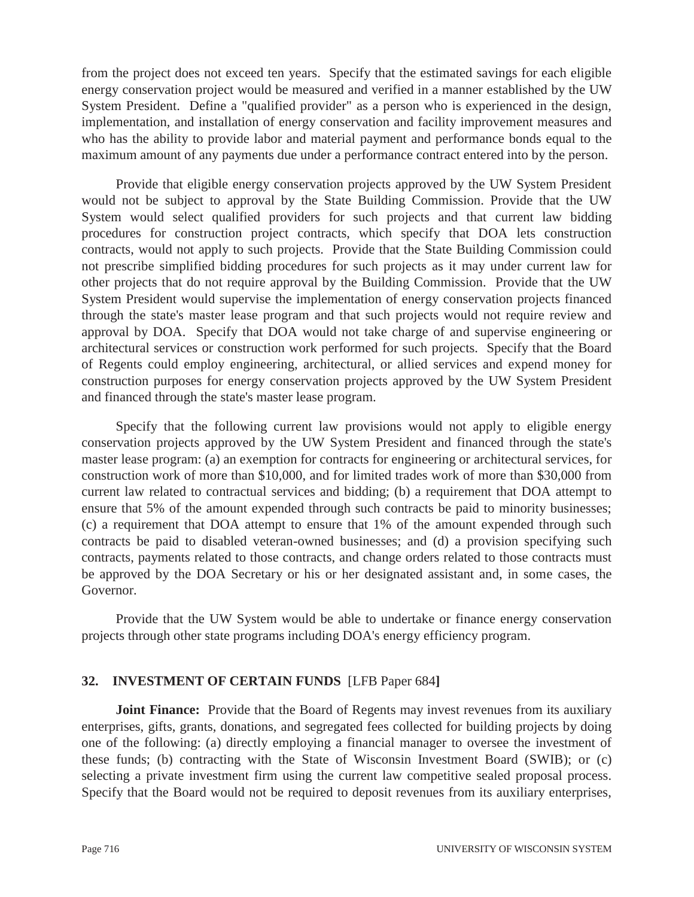from the project does not exceed ten years. Specify that the estimated savings for each eligible energy conservation project would be measured and verified in a manner established by the UW System President. Define a "qualified provider" as a person who is experienced in the design, implementation, and installation of energy conservation and facility improvement measures and who has the ability to provide labor and material payment and performance bonds equal to the maximum amount of any payments due under a performance contract entered into by the person.

 Provide that eligible energy conservation projects approved by the UW System President would not be subject to approval by the State Building Commission. Provide that the UW System would select qualified providers for such projects and that current law bidding procedures for construction project contracts, which specify that DOA lets construction contracts, would not apply to such projects. Provide that the State Building Commission could not prescribe simplified bidding procedures for such projects as it may under current law for other projects that do not require approval by the Building Commission. Provide that the UW System President would supervise the implementation of energy conservation projects financed through the state's master lease program and that such projects would not require review and approval by DOA. Specify that DOA would not take charge of and supervise engineering or architectural services or construction work performed for such projects. Specify that the Board of Regents could employ engineering, architectural, or allied services and expend money for construction purposes for energy conservation projects approved by the UW System President and financed through the state's master lease program.

 Specify that the following current law provisions would not apply to eligible energy conservation projects approved by the UW System President and financed through the state's master lease program: (a) an exemption for contracts for engineering or architectural services, for construction work of more than \$10,000, and for limited trades work of more than \$30,000 from current law related to contractual services and bidding; (b) a requirement that DOA attempt to ensure that 5% of the amount expended through such contracts be paid to minority businesses; (c) a requirement that DOA attempt to ensure that 1% of the amount expended through such contracts be paid to disabled veteran-owned businesses; and (d) a provision specifying such contracts, payments related to those contracts, and change orders related to those contracts must be approved by the DOA Secretary or his or her designated assistant and, in some cases, the Governor.

 Provide that the UW System would be able to undertake or finance energy conservation projects through other state programs including DOA's energy efficiency program.

## **32. INVESTMENT OF CERTAIN FUNDS** [LFB Paper 684**]**

**Joint Finance:** Provide that the Board of Regents may invest revenues from its auxiliary enterprises, gifts, grants, donations, and segregated fees collected for building projects by doing one of the following: (a) directly employing a financial manager to oversee the investment of these funds; (b) contracting with the State of Wisconsin Investment Board (SWIB); or (c) selecting a private investment firm using the current law competitive sealed proposal process. Specify that the Board would not be required to deposit revenues from its auxiliary enterprises,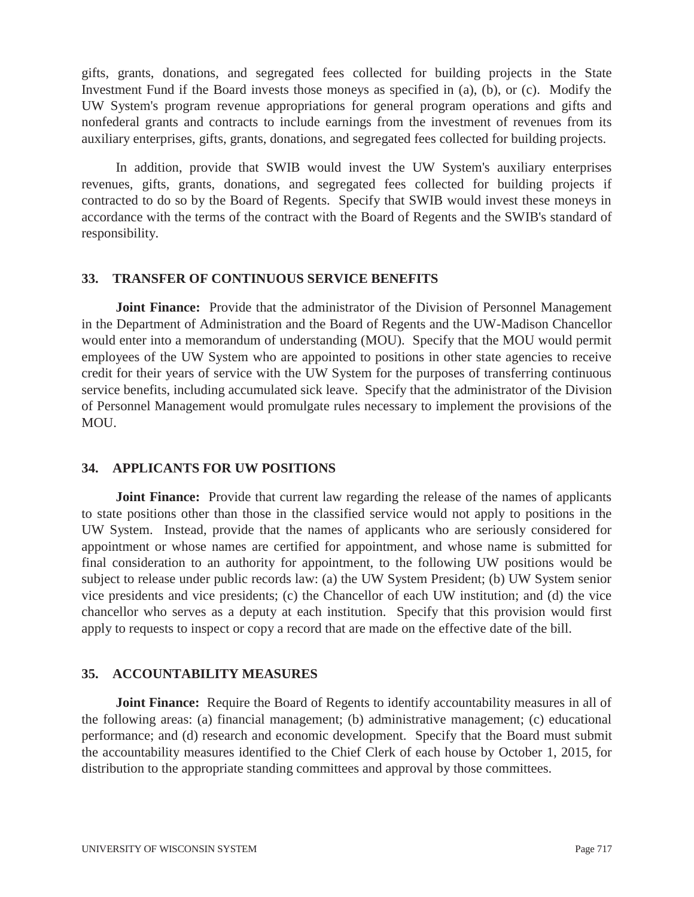gifts, grants, donations, and segregated fees collected for building projects in the State Investment Fund if the Board invests those moneys as specified in (a), (b), or (c). Modify the UW System's program revenue appropriations for general program operations and gifts and nonfederal grants and contracts to include earnings from the investment of revenues from its auxiliary enterprises, gifts, grants, donations, and segregated fees collected for building projects.

 In addition, provide that SWIB would invest the UW System's auxiliary enterprises revenues, gifts, grants, donations, and segregated fees collected for building projects if contracted to do so by the Board of Regents. Specify that SWIB would invest these moneys in accordance with the terms of the contract with the Board of Regents and the SWIB's standard of responsibility.

#### **33. TRANSFER OF CONTINUOUS SERVICE BENEFITS**

**Joint Finance:** Provide that the administrator of the Division of Personnel Management in the Department of Administration and the Board of Regents and the UW-Madison Chancellor would enter into a memorandum of understanding (MOU). Specify that the MOU would permit employees of the UW System who are appointed to positions in other state agencies to receive credit for their years of service with the UW System for the purposes of transferring continuous service benefits, including accumulated sick leave. Specify that the administrator of the Division of Personnel Management would promulgate rules necessary to implement the provisions of the MOU.

## **34. APPLICANTS FOR UW POSITIONS**

**Joint Finance:** Provide that current law regarding the release of the names of applicants to state positions other than those in the classified service would not apply to positions in the UW System. Instead, provide that the names of applicants who are seriously considered for appointment or whose names are certified for appointment, and whose name is submitted for final consideration to an authority for appointment, to the following UW positions would be subject to release under public records law: (a) the UW System President; (b) UW System senior vice presidents and vice presidents; (c) the Chancellor of each UW institution; and (d) the vice chancellor who serves as a deputy at each institution. Specify that this provision would first apply to requests to inspect or copy a record that are made on the effective date of the bill.

## **35. ACCOUNTABILITY MEASURES**

**Joint Finance:** Require the Board of Regents to identify accountability measures in all of the following areas: (a) financial management; (b) administrative management; (c) educational performance; and (d) research and economic development. Specify that the Board must submit the accountability measures identified to the Chief Clerk of each house by October 1, 2015, for distribution to the appropriate standing committees and approval by those committees.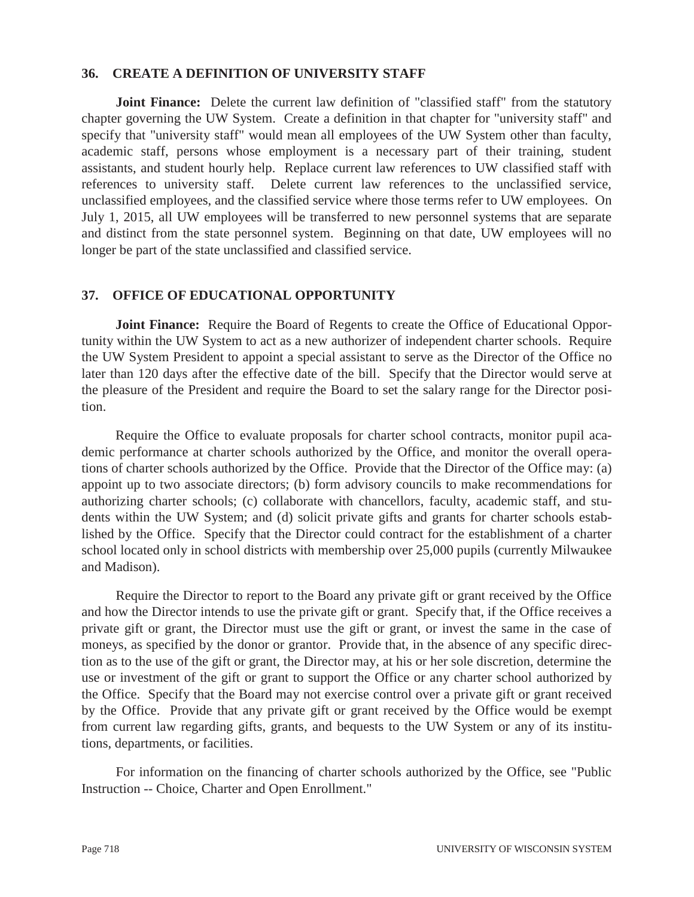#### **36. CREATE A DEFINITION OF UNIVERSITY STAFF**

**Joint Finance:** Delete the current law definition of "classified staff" from the statutory chapter governing the UW System. Create a definition in that chapter for "university staff" and specify that "university staff" would mean all employees of the UW System other than faculty, academic staff, persons whose employment is a necessary part of their training, student assistants, and student hourly help. Replace current law references to UW classified staff with references to university staff. Delete current law references to the unclassified service, unclassified employees, and the classified service where those terms refer to UW employees. On July 1, 2015, all UW employees will be transferred to new personnel systems that are separate and distinct from the state personnel system. Beginning on that date, UW employees will no longer be part of the state unclassified and classified service.

#### **37. OFFICE OF EDUCATIONAL OPPORTUNITY**

**Joint Finance:** Require the Board of Regents to create the Office of Educational Opportunity within the UW System to act as a new authorizer of independent charter schools. Require the UW System President to appoint a special assistant to serve as the Director of the Office no later than 120 days after the effective date of the bill. Specify that the Director would serve at the pleasure of the President and require the Board to set the salary range for the Director position.

 Require the Office to evaluate proposals for charter school contracts, monitor pupil academic performance at charter schools authorized by the Office, and monitor the overall operations of charter schools authorized by the Office. Provide that the Director of the Office may: (a) appoint up to two associate directors; (b) form advisory councils to make recommendations for authorizing charter schools; (c) collaborate with chancellors, faculty, academic staff, and students within the UW System; and (d) solicit private gifts and grants for charter schools established by the Office. Specify that the Director could contract for the establishment of a charter school located only in school districts with membership over 25,000 pupils (currently Milwaukee and Madison).

 Require the Director to report to the Board any private gift or grant received by the Office and how the Director intends to use the private gift or grant. Specify that, if the Office receives a private gift or grant, the Director must use the gift or grant, or invest the same in the case of moneys, as specified by the donor or grantor. Provide that, in the absence of any specific direction as to the use of the gift or grant, the Director may, at his or her sole discretion, determine the use or investment of the gift or grant to support the Office or any charter school authorized by the Office. Specify that the Board may not exercise control over a private gift or grant received by the Office. Provide that any private gift or grant received by the Office would be exempt from current law regarding gifts, grants, and bequests to the UW System or any of its institutions, departments, or facilities.

 For information on the financing of charter schools authorized by the Office, see "Public Instruction -- Choice, Charter and Open Enrollment."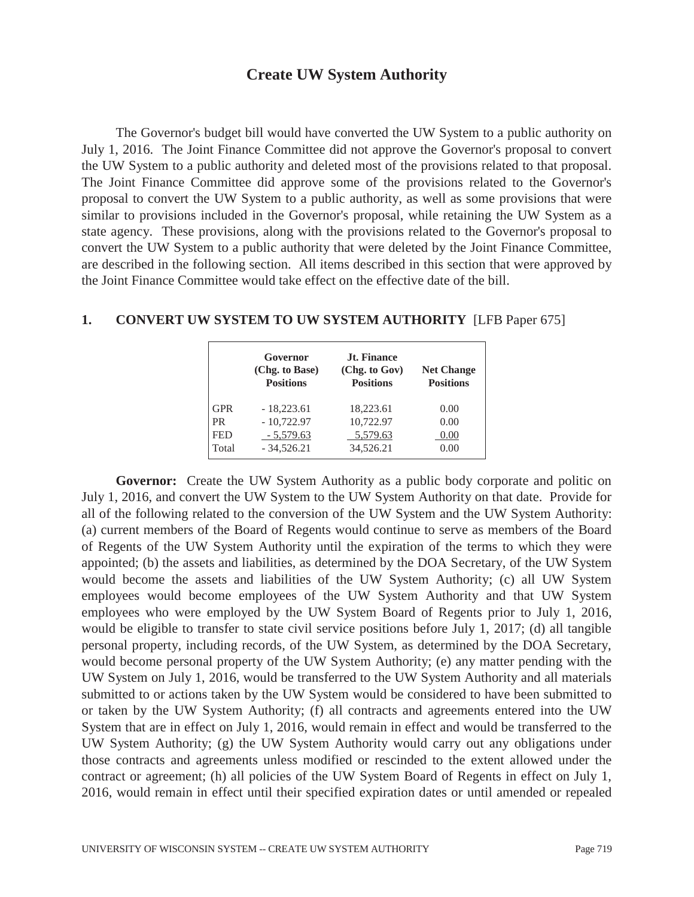# **Create UW System Authority**

 The Governor's budget bill would have converted the UW System to a public authority on July 1, 2016. The Joint Finance Committee did not approve the Governor's proposal to convert the UW System to a public authority and deleted most of the provisions related to that proposal. The Joint Finance Committee did approve some of the provisions related to the Governor's proposal to convert the UW System to a public authority, as well as some provisions that were similar to provisions included in the Governor's proposal, while retaining the UW System as a state agency. These provisions, along with the provisions related to the Governor's proposal to convert the UW System to a public authority that were deleted by the Joint Finance Committee, are described in the following section. All items described in this section that were approved by the Joint Finance Committee would take effect on the effective date of the bill.

|            | Governor<br>(Chg. to Base)<br><b>Positions</b> | Jt. Finance<br>(Chg. to Gov)<br><b>Positions</b> | <b>Net Change</b><br><b>Positions</b> |
|------------|------------------------------------------------|--------------------------------------------------|---------------------------------------|
| <b>GPR</b> | $-18,223.61$                                   | 18,223.61                                        | 0.00                                  |
| <b>PR</b>  | $-10,722.97$                                   | 10,722.97                                        | 0.00                                  |
| <b>FED</b> | $-5,579.63$                                    | 5,579.63                                         | 0.00                                  |
| Total      | $-34,526.21$                                   | 34,526.21                                        | 0.00                                  |

#### **1. CONVERT UW SYSTEM TO UW SYSTEM AUTHORITY** [LFB Paper 675]

**Governor:** Create the UW System Authority as a public body corporate and politic on July 1, 2016, and convert the UW System to the UW System Authority on that date. Provide for all of the following related to the conversion of the UW System and the UW System Authority: (a) current members of the Board of Regents would continue to serve as members of the Board of Regents of the UW System Authority until the expiration of the terms to which they were appointed; (b) the assets and liabilities, as determined by the DOA Secretary, of the UW System would become the assets and liabilities of the UW System Authority; (c) all UW System employees would become employees of the UW System Authority and that UW System employees who were employed by the UW System Board of Regents prior to July 1, 2016, would be eligible to transfer to state civil service positions before July 1, 2017; (d) all tangible personal property, including records, of the UW System, as determined by the DOA Secretary, would become personal property of the UW System Authority; (e) any matter pending with the UW System on July 1, 2016, would be transferred to the UW System Authority and all materials submitted to or actions taken by the UW System would be considered to have been submitted to or taken by the UW System Authority; (f) all contracts and agreements entered into the UW System that are in effect on July 1, 2016, would remain in effect and would be transferred to the UW System Authority; (g) the UW System Authority would carry out any obligations under those contracts and agreements unless modified or rescinded to the extent allowed under the contract or agreement; (h) all policies of the UW System Board of Regents in effect on July 1, 2016, would remain in effect until their specified expiration dates or until amended or repealed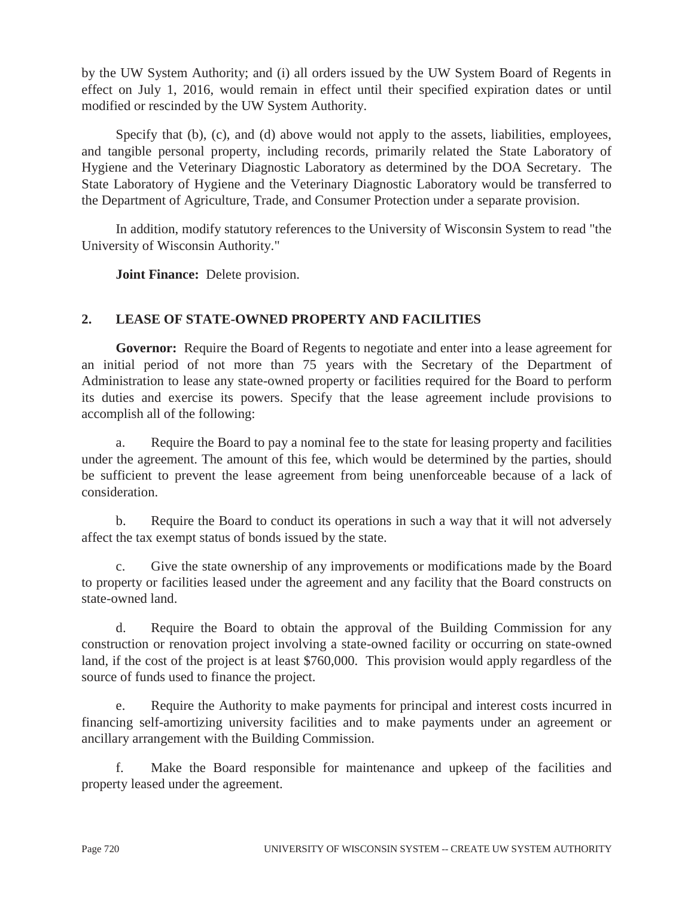by the UW System Authority; and (i) all orders issued by the UW System Board of Regents in effect on July 1, 2016, would remain in effect until their specified expiration dates or until modified or rescinded by the UW System Authority.

Specify that (b), (c), and (d) above would not apply to the assets, liabilities, employees, and tangible personal property, including records, primarily related the State Laboratory of Hygiene and the Veterinary Diagnostic Laboratory as determined by the DOA Secretary. The State Laboratory of Hygiene and the Veterinary Diagnostic Laboratory would be transferred to the Department of Agriculture, Trade, and Consumer Protection under a separate provision.

 In addition, modify statutory references to the University of Wisconsin System to read "the University of Wisconsin Authority."

 **Joint Finance:** Delete provision.

# **2. LEASE OF STATE-OWNED PROPERTY AND FACILITIES**

**Governor:** Require the Board of Regents to negotiate and enter into a lease agreement for an initial period of not more than 75 years with the Secretary of the Department of Administration to lease any state-owned property or facilities required for the Board to perform its duties and exercise its powers. Specify that the lease agreement include provisions to accomplish all of the following:

 a. Require the Board to pay a nominal fee to the state for leasing property and facilities under the agreement. The amount of this fee, which would be determined by the parties, should be sufficient to prevent the lease agreement from being unenforceable because of a lack of consideration.

 b. Require the Board to conduct its operations in such a way that it will not adversely affect the tax exempt status of bonds issued by the state.

 c. Give the state ownership of any improvements or modifications made by the Board to property or facilities leased under the agreement and any facility that the Board constructs on state-owned land.

 d. Require the Board to obtain the approval of the Building Commission for any construction or renovation project involving a state-owned facility or occurring on state-owned land, if the cost of the project is at least \$760,000. This provision would apply regardless of the source of funds used to finance the project.

 e. Require the Authority to make payments for principal and interest costs incurred in financing self-amortizing university facilities and to make payments under an agreement or ancillary arrangement with the Building Commission.

 f. Make the Board responsible for maintenance and upkeep of the facilities and property leased under the agreement.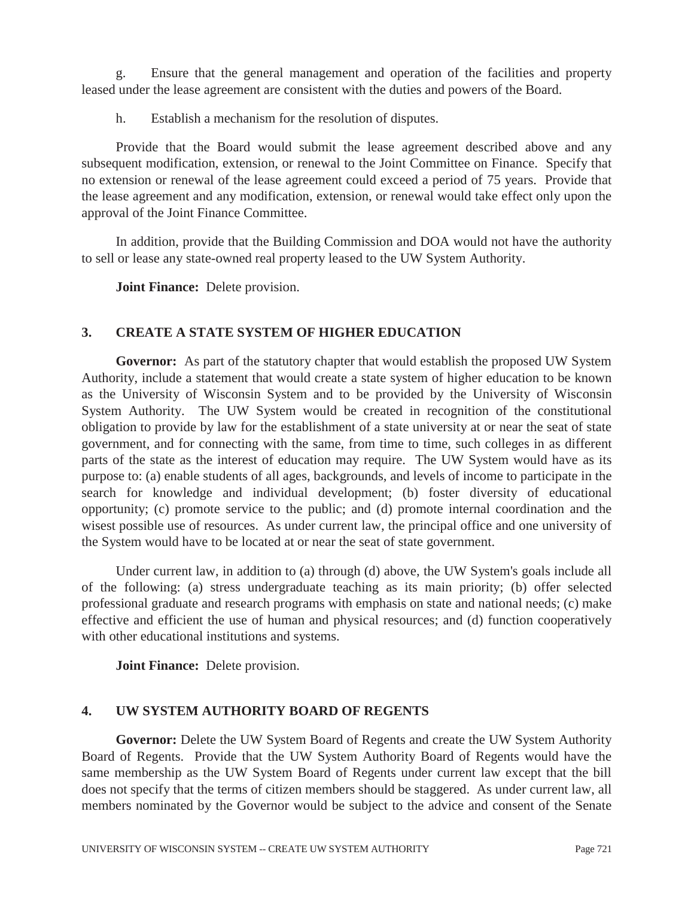g. Ensure that the general management and operation of the facilities and property leased under the lease agreement are consistent with the duties and powers of the Board.

h. Establish a mechanism for the resolution of disputes.

 Provide that the Board would submit the lease agreement described above and any subsequent modification, extension, or renewal to the Joint Committee on Finance. Specify that no extension or renewal of the lease agreement could exceed a period of 75 years. Provide that the lease agreement and any modification, extension, or renewal would take effect only upon the approval of the Joint Finance Committee.

 In addition, provide that the Building Commission and DOA would not have the authority to sell or lease any state-owned real property leased to the UW System Authority.

 **Joint Finance:** Delete provision.

## **3. CREATE A STATE SYSTEM OF HIGHER EDUCATION**

**Governor:** As part of the statutory chapter that would establish the proposed UW System Authority, include a statement that would create a state system of higher education to be known as the University of Wisconsin System and to be provided by the University of Wisconsin System Authority. The UW System would be created in recognition of the constitutional obligation to provide by law for the establishment of a state university at or near the seat of state government, and for connecting with the same, from time to time, such colleges in as different parts of the state as the interest of education may require. The UW System would have as its purpose to: (a) enable students of all ages, backgrounds, and levels of income to participate in the search for knowledge and individual development; (b) foster diversity of educational opportunity; (c) promote service to the public; and (d) promote internal coordination and the wisest possible use of resources. As under current law, the principal office and one university of the System would have to be located at or near the seat of state government.

 Under current law, in addition to (a) through (d) above, the UW System's goals include all of the following: (a) stress undergraduate teaching as its main priority; (b) offer selected professional graduate and research programs with emphasis on state and national needs; (c) make effective and efficient the use of human and physical resources; and (d) function cooperatively with other educational institutions and systems.

 **Joint Finance:** Delete provision.

## **4. UW SYSTEM AUTHORITY BOARD OF REGENTS**

**Governor:** Delete the UW System Board of Regents and create the UW System Authority Board of Regents. Provide that the UW System Authority Board of Regents would have the same membership as the UW System Board of Regents under current law except that the bill does not specify that the terms of citizen members should be staggered. As under current law, all members nominated by the Governor would be subject to the advice and consent of the Senate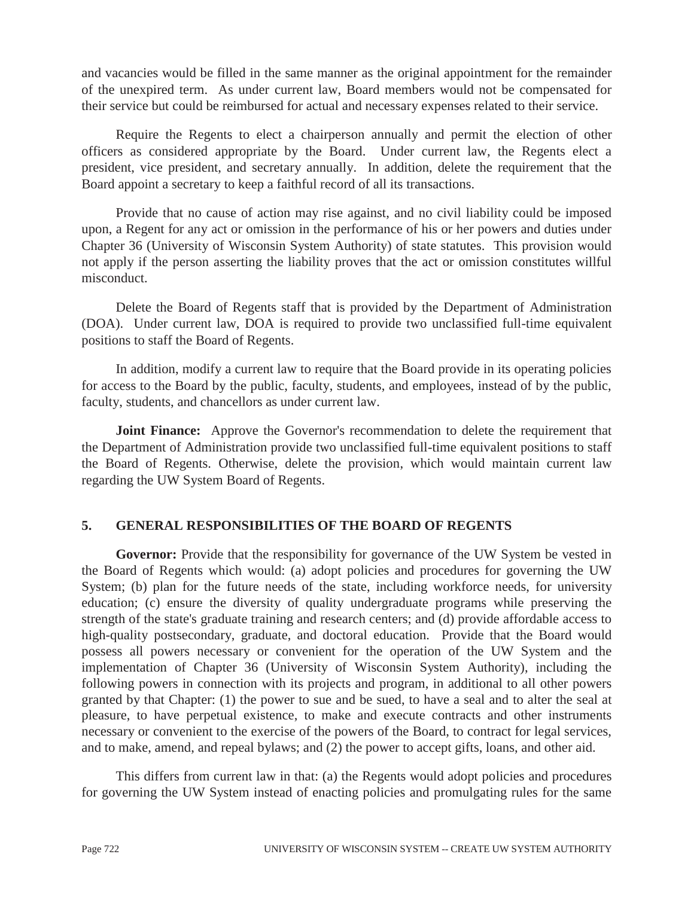and vacancies would be filled in the same manner as the original appointment for the remainder of the unexpired term. As under current law, Board members would not be compensated for their service but could be reimbursed for actual and necessary expenses related to their service.

 Require the Regents to elect a chairperson annually and permit the election of other officers as considered appropriate by the Board. Under current law, the Regents elect a president, vice president, and secretary annually. In addition, delete the requirement that the Board appoint a secretary to keep a faithful record of all its transactions.

 Provide that no cause of action may rise against, and no civil liability could be imposed upon, a Regent for any act or omission in the performance of his or her powers and duties under Chapter 36 (University of Wisconsin System Authority) of state statutes. This provision would not apply if the person asserting the liability proves that the act or omission constitutes willful misconduct.

 Delete the Board of Regents staff that is provided by the Department of Administration (DOA). Under current law, DOA is required to provide two unclassified full-time equivalent positions to staff the Board of Regents.

 In addition, modify a current law to require that the Board provide in its operating policies for access to the Board by the public, faculty, students, and employees, instead of by the public, faculty, students, and chancellors as under current law.

**Joint Finance:** Approve the Governor's recommendation to delete the requirement that the Department of Administration provide two unclassified full-time equivalent positions to staff the Board of Regents. Otherwise, delete the provision, which would maintain current law regarding the UW System Board of Regents.

## **5. GENERAL RESPONSIBILITIES OF THE BOARD OF REGENTS**

Governor: Provide that the responsibility for governance of the UW System be vested in the Board of Regents which would: (a) adopt policies and procedures for governing the UW System; (b) plan for the future needs of the state, including workforce needs, for university education; (c) ensure the diversity of quality undergraduate programs while preserving the strength of the state's graduate training and research centers; and (d) provide affordable access to high-quality postsecondary, graduate, and doctoral education. Provide that the Board would possess all powers necessary or convenient for the operation of the UW System and the implementation of Chapter 36 (University of Wisconsin System Authority), including the following powers in connection with its projects and program, in additional to all other powers granted by that Chapter: (1) the power to sue and be sued, to have a seal and to alter the seal at pleasure, to have perpetual existence, to make and execute contracts and other instruments necessary or convenient to the exercise of the powers of the Board, to contract for legal services, and to make, amend, and repeal bylaws; and (2) the power to accept gifts, loans, and other aid.

 This differs from current law in that: (a) the Regents would adopt policies and procedures for governing the UW System instead of enacting policies and promulgating rules for the same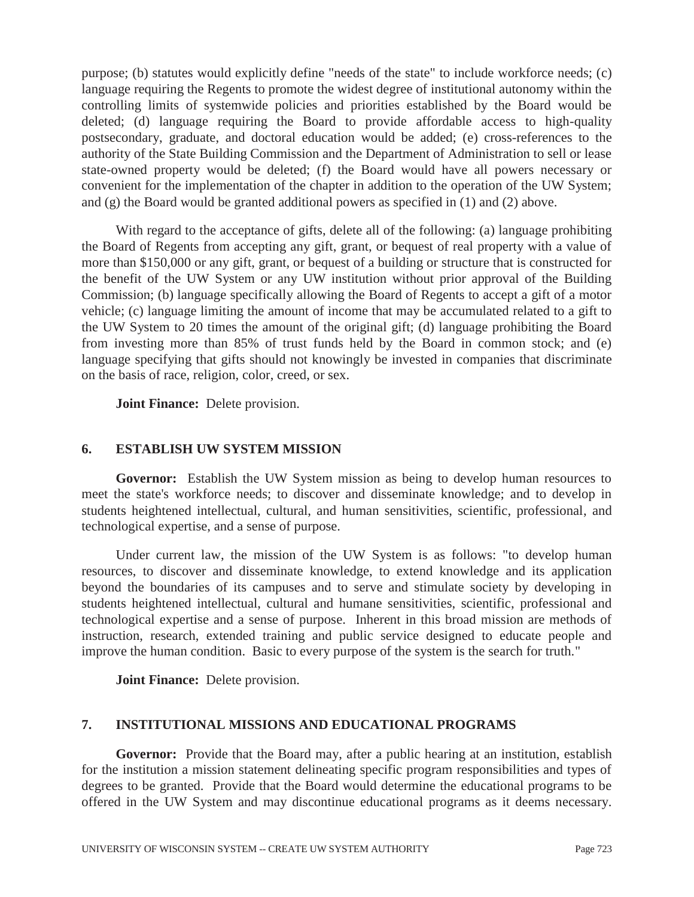purpose; (b) statutes would explicitly define "needs of the state" to include workforce needs; (c) language requiring the Regents to promote the widest degree of institutional autonomy within the controlling limits of systemwide policies and priorities established by the Board would be deleted; (d) language requiring the Board to provide affordable access to high-quality postsecondary, graduate, and doctoral education would be added; (e) cross-references to the authority of the State Building Commission and the Department of Administration to sell or lease state-owned property would be deleted; (f) the Board would have all powers necessary or convenient for the implementation of the chapter in addition to the operation of the UW System; and (g) the Board would be granted additional powers as specified in (1) and (2) above.

 With regard to the acceptance of gifts, delete all of the following: (a) language prohibiting the Board of Regents from accepting any gift, grant, or bequest of real property with a value of more than \$150,000 or any gift, grant, or bequest of a building or structure that is constructed for the benefit of the UW System or any UW institution without prior approval of the Building Commission; (b) language specifically allowing the Board of Regents to accept a gift of a motor vehicle; (c) language limiting the amount of income that may be accumulated related to a gift to the UW System to 20 times the amount of the original gift; (d) language prohibiting the Board from investing more than 85% of trust funds held by the Board in common stock; and (e) language specifying that gifts should not knowingly be invested in companies that discriminate on the basis of race, religion, color, creed, or sex.

 **Joint Finance:** Delete provision.

## **6. ESTABLISH UW SYSTEM MISSION**

**Governor:** Establish the UW System mission as being to develop human resources to meet the state's workforce needs; to discover and disseminate knowledge; and to develop in students heightened intellectual, cultural, and human sensitivities, scientific, professional, and technological expertise, and a sense of purpose.

 Under current law, the mission of the UW System is as follows: "to develop human resources, to discover and disseminate knowledge, to extend knowledge and its application beyond the boundaries of its campuses and to serve and stimulate society by developing in students heightened intellectual, cultural and humane sensitivities, scientific, professional and technological expertise and a sense of purpose. Inherent in this broad mission are methods of instruction, research, extended training and public service designed to educate people and improve the human condition. Basic to every purpose of the system is the search for truth."

 **Joint Finance:** Delete provision.

## **7. INSTITUTIONAL MISSIONS AND EDUCATIONAL PROGRAMS**

**Governor:** Provide that the Board may, after a public hearing at an institution, establish for the institution a mission statement delineating specific program responsibilities and types of degrees to be granted. Provide that the Board would determine the educational programs to be offered in the UW System and may discontinue educational programs as it deems necessary.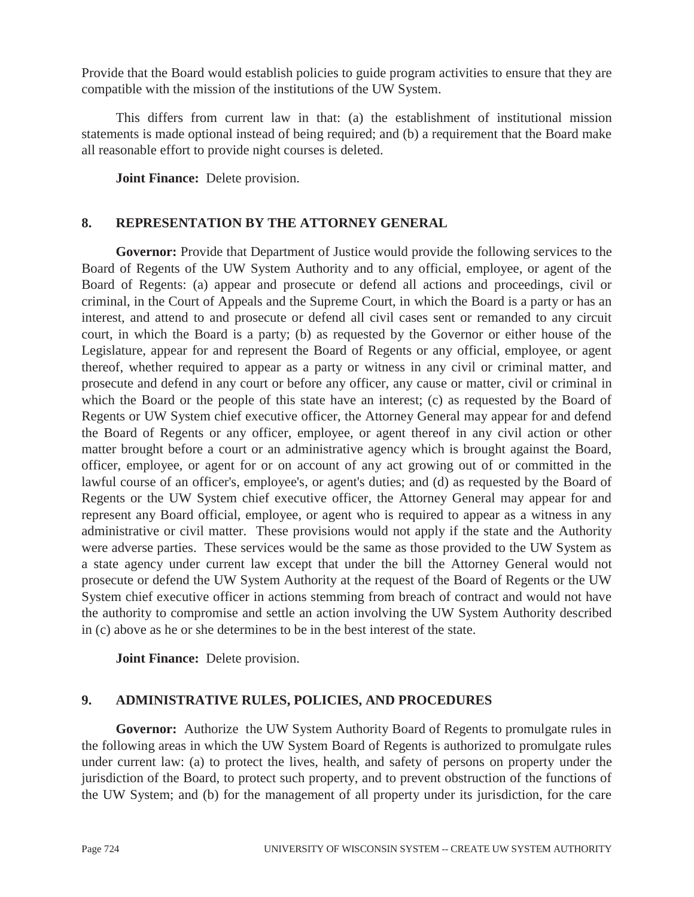Provide that the Board would establish policies to guide program activities to ensure that they are compatible with the mission of the institutions of the UW System.

 This differs from current law in that: (a) the establishment of institutional mission statements is made optional instead of being required; and (b) a requirement that the Board make all reasonable effort to provide night courses is deleted.

 **Joint Finance:** Delete provision.

#### **8. REPRESENTATION BY THE ATTORNEY GENERAL**

**Governor:** Provide that Department of Justice would provide the following services to the Board of Regents of the UW System Authority and to any official, employee, or agent of the Board of Regents: (a) appear and prosecute or defend all actions and proceedings, civil or criminal, in the Court of Appeals and the Supreme Court, in which the Board is a party or has an interest, and attend to and prosecute or defend all civil cases sent or remanded to any circuit court, in which the Board is a party; (b) as requested by the Governor or either house of the Legislature, appear for and represent the Board of Regents or any official, employee, or agent thereof, whether required to appear as a party or witness in any civil or criminal matter, and prosecute and defend in any court or before any officer, any cause or matter, civil or criminal in which the Board or the people of this state have an interest; (c) as requested by the Board of Regents or UW System chief executive officer, the Attorney General may appear for and defend the Board of Regents or any officer, employee, or agent thereof in any civil action or other matter brought before a court or an administrative agency which is brought against the Board, officer, employee, or agent for or on account of any act growing out of or committed in the lawful course of an officer's, employee's, or agent's duties; and (d) as requested by the Board of Regents or the UW System chief executive officer, the Attorney General may appear for and represent any Board official, employee, or agent who is required to appear as a witness in any administrative or civil matter. These provisions would not apply if the state and the Authority were adverse parties. These services would be the same as those provided to the UW System as a state agency under current law except that under the bill the Attorney General would not prosecute or defend the UW System Authority at the request of the Board of Regents or the UW System chief executive officer in actions stemming from breach of contract and would not have the authority to compromise and settle an action involving the UW System Authority described in (c) above as he or she determines to be in the best interest of the state.

 **Joint Finance:** Delete provision.

## **9. ADMINISTRATIVE RULES, POLICIES, AND PROCEDURES**

**Governor:** Authorize the UW System Authority Board of Regents to promulgate rules in the following areas in which the UW System Board of Regents is authorized to promulgate rules under current law: (a) to protect the lives, health, and safety of persons on property under the jurisdiction of the Board, to protect such property, and to prevent obstruction of the functions of the UW System; and (b) for the management of all property under its jurisdiction, for the care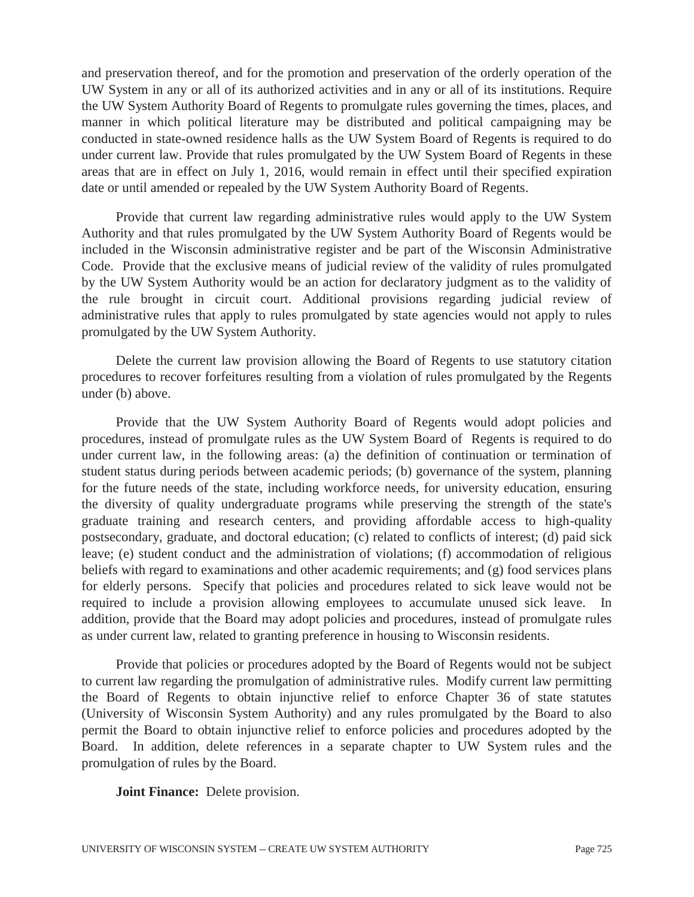and preservation thereof, and for the promotion and preservation of the orderly operation of the UW System in any or all of its authorized activities and in any or all of its institutions. Require the UW System Authority Board of Regents to promulgate rules governing the times, places, and manner in which political literature may be distributed and political campaigning may be conducted in state-owned residence halls as the UW System Board of Regents is required to do under current law. Provide that rules promulgated by the UW System Board of Regents in these areas that are in effect on July 1, 2016, would remain in effect until their specified expiration date or until amended or repealed by the UW System Authority Board of Regents.

 Provide that current law regarding administrative rules would apply to the UW System Authority and that rules promulgated by the UW System Authority Board of Regents would be included in the Wisconsin administrative register and be part of the Wisconsin Administrative Code. Provide that the exclusive means of judicial review of the validity of rules promulgated by the UW System Authority would be an action for declaratory judgment as to the validity of the rule brought in circuit court. Additional provisions regarding judicial review of administrative rules that apply to rules promulgated by state agencies would not apply to rules promulgated by the UW System Authority.

 Delete the current law provision allowing the Board of Regents to use statutory citation procedures to recover forfeitures resulting from a violation of rules promulgated by the Regents under (b) above.

 Provide that the UW System Authority Board of Regents would adopt policies and procedures, instead of promulgate rules as the UW System Board of Regents is required to do under current law, in the following areas: (a) the definition of continuation or termination of student status during periods between academic periods; (b) governance of the system, planning for the future needs of the state, including workforce needs, for university education, ensuring the diversity of quality undergraduate programs while preserving the strength of the state's graduate training and research centers, and providing affordable access to high-quality postsecondary, graduate, and doctoral education; (c) related to conflicts of interest; (d) paid sick leave; (e) student conduct and the administration of violations; (f) accommodation of religious beliefs with regard to examinations and other academic requirements; and (g) food services plans for elderly persons. Specify that policies and procedures related to sick leave would not be required to include a provision allowing employees to accumulate unused sick leave. In addition, provide that the Board may adopt policies and procedures, instead of promulgate rules as under current law, related to granting preference in housing to Wisconsin residents.

 Provide that policies or procedures adopted by the Board of Regents would not be subject to current law regarding the promulgation of administrative rules. Modify current law permitting the Board of Regents to obtain injunctive relief to enforce Chapter 36 of state statutes (University of Wisconsin System Authority) and any rules promulgated by the Board to also permit the Board to obtain injunctive relief to enforce policies and procedures adopted by the Board. In addition, delete references in a separate chapter to UW System rules and the promulgation of rules by the Board.

 **Joint Finance:** Delete provision.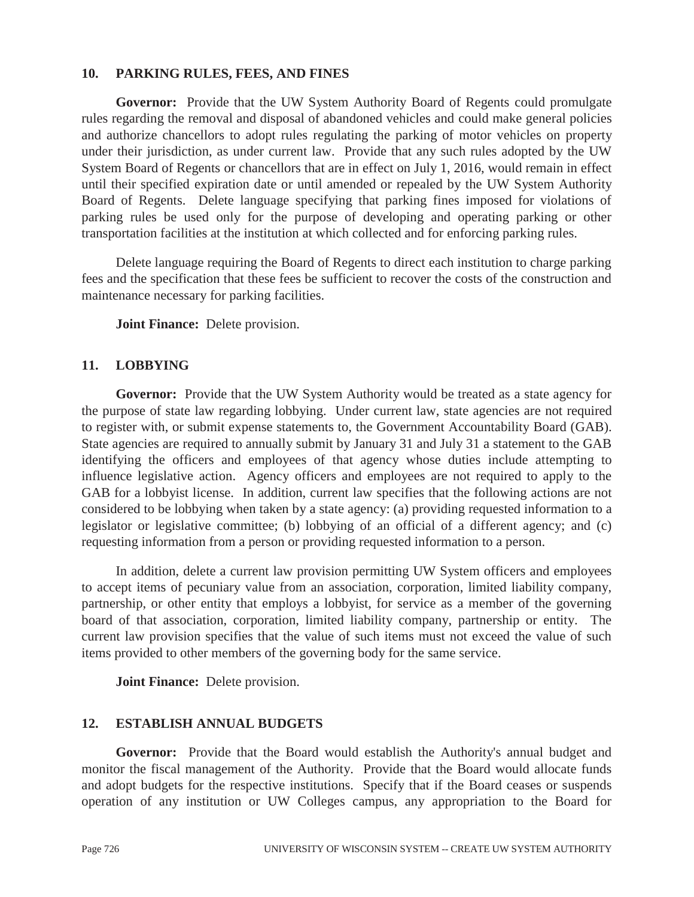#### **10. PARKING RULES, FEES, AND FINES**

**Governor:** Provide that the UW System Authority Board of Regents could promulgate rules regarding the removal and disposal of abandoned vehicles and could make general policies and authorize chancellors to adopt rules regulating the parking of motor vehicles on property under their jurisdiction, as under current law. Provide that any such rules adopted by the UW System Board of Regents or chancellors that are in effect on July 1, 2016, would remain in effect until their specified expiration date or until amended or repealed by the UW System Authority Board of Regents. Delete language specifying that parking fines imposed for violations of parking rules be used only for the purpose of developing and operating parking or other transportation facilities at the institution at which collected and for enforcing parking rules.

 Delete language requiring the Board of Regents to direct each institution to charge parking fees and the specification that these fees be sufficient to recover the costs of the construction and maintenance necessary for parking facilities.

 **Joint Finance:** Delete provision.

#### **11. LOBBYING**

**Governor:** Provide that the UW System Authority would be treated as a state agency for the purpose of state law regarding lobbying. Under current law, state agencies are not required to register with, or submit expense statements to, the Government Accountability Board (GAB). State agencies are required to annually submit by January 31 and July 31 a statement to the GAB identifying the officers and employees of that agency whose duties include attempting to influence legislative action. Agency officers and employees are not required to apply to the GAB for a lobbyist license. In addition, current law specifies that the following actions are not considered to be lobbying when taken by a state agency: (a) providing requested information to a legislator or legislative committee; (b) lobbying of an official of a different agency; and (c) requesting information from a person or providing requested information to a person.

 In addition, delete a current law provision permitting UW System officers and employees to accept items of pecuniary value from an association, corporation, limited liability company, partnership, or other entity that employs a lobbyist, for service as a member of the governing board of that association, corporation, limited liability company, partnership or entity. The current law provision specifies that the value of such items must not exceed the value of such items provided to other members of the governing body for the same service.

 **Joint Finance:** Delete provision.

#### **12. ESTABLISH ANNUAL BUDGETS**

**Governor:** Provide that the Board would establish the Authority's annual budget and monitor the fiscal management of the Authority. Provide that the Board would allocate funds and adopt budgets for the respective institutions. Specify that if the Board ceases or suspends operation of any institution or UW Colleges campus, any appropriation to the Board for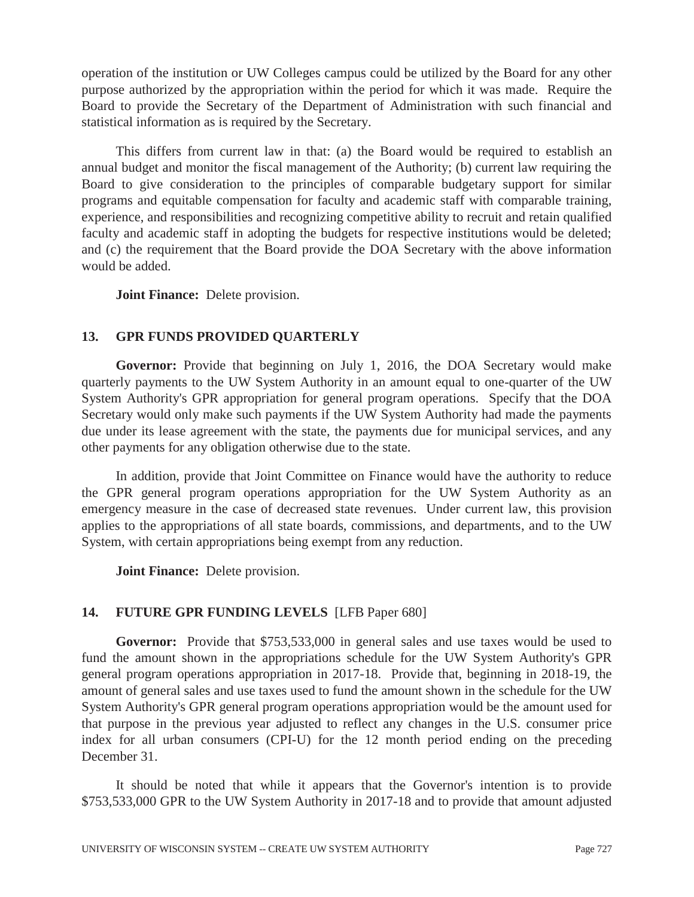operation of the institution or UW Colleges campus could be utilized by the Board for any other purpose authorized by the appropriation within the period for which it was made. Require the Board to provide the Secretary of the Department of Administration with such financial and statistical information as is required by the Secretary.

 This differs from current law in that: (a) the Board would be required to establish an annual budget and monitor the fiscal management of the Authority; (b) current law requiring the Board to give consideration to the principles of comparable budgetary support for similar programs and equitable compensation for faculty and academic staff with comparable training, experience, and responsibilities and recognizing competitive ability to recruit and retain qualified faculty and academic staff in adopting the budgets for respective institutions would be deleted; and (c) the requirement that the Board provide the DOA Secretary with the above information would be added.

 **Joint Finance:** Delete provision.

## **13. GPR FUNDS PROVIDED QUARTERLY**

**Governor:** Provide that beginning on July 1, 2016, the DOA Secretary would make quarterly payments to the UW System Authority in an amount equal to one-quarter of the UW System Authority's GPR appropriation for general program operations. Specify that the DOA Secretary would only make such payments if the UW System Authority had made the payments due under its lease agreement with the state, the payments due for municipal services, and any other payments for any obligation otherwise due to the state.

 In addition, provide that Joint Committee on Finance would have the authority to reduce the GPR general program operations appropriation for the UW System Authority as an emergency measure in the case of decreased state revenues. Under current law, this provision applies to the appropriations of all state boards, commissions, and departments, and to the UW System, with certain appropriations being exempt from any reduction.

 **Joint Finance:** Delete provision.

## **14. FUTURE GPR FUNDING LEVELS** [LFB Paper 680]

**Governor:** Provide that \$753,533,000 in general sales and use taxes would be used to fund the amount shown in the appropriations schedule for the UW System Authority's GPR general program operations appropriation in 2017-18. Provide that, beginning in 2018-19, the amount of general sales and use taxes used to fund the amount shown in the schedule for the UW System Authority's GPR general program operations appropriation would be the amount used for that purpose in the previous year adjusted to reflect any changes in the U.S. consumer price index for all urban consumers (CPI-U) for the 12 month period ending on the preceding December 31.

 It should be noted that while it appears that the Governor's intention is to provide \$753,533,000 GPR to the UW System Authority in 2017-18 and to provide that amount adjusted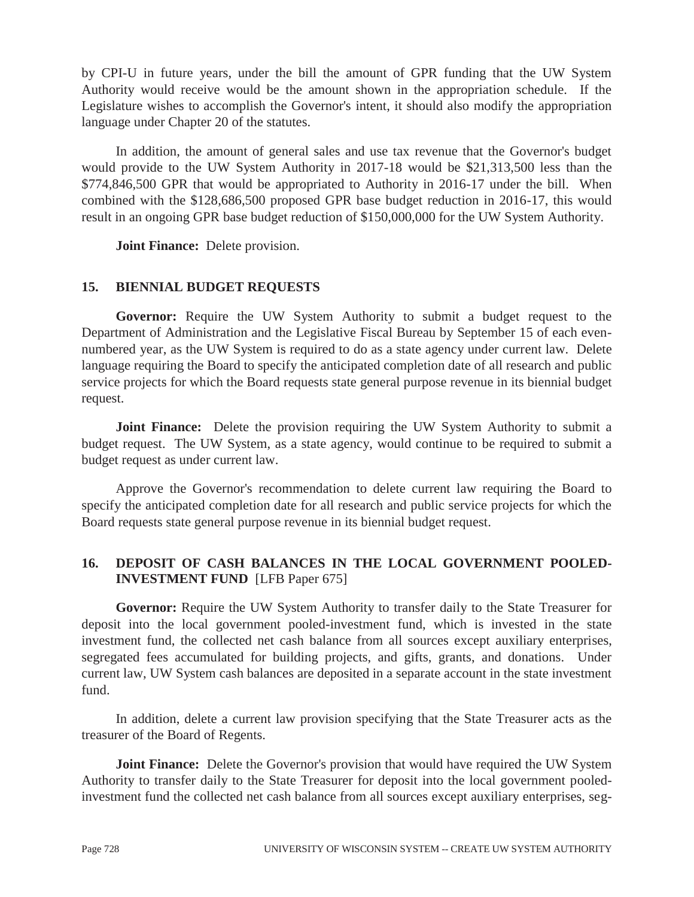by CPI-U in future years, under the bill the amount of GPR funding that the UW System Authority would receive would be the amount shown in the appropriation schedule. If the Legislature wishes to accomplish the Governor's intent, it should also modify the appropriation language under Chapter 20 of the statutes.

 In addition, the amount of general sales and use tax revenue that the Governor's budget would provide to the UW System Authority in 2017-18 would be \$21,313,500 less than the \$774,846,500 GPR that would be appropriated to Authority in 2016-17 under the bill. When combined with the \$128,686,500 proposed GPR base budget reduction in 2016-17, this would result in an ongoing GPR base budget reduction of \$150,000,000 for the UW System Authority.

 **Joint Finance:** Delete provision.

## **15. BIENNIAL BUDGET REQUESTS**

**Governor:** Require the UW System Authority to submit a budget request to the Department of Administration and the Legislative Fiscal Bureau by September 15 of each evennumbered year, as the UW System is required to do as a state agency under current law. Delete language requiring the Board to specify the anticipated completion date of all research and public service projects for which the Board requests state general purpose revenue in its biennial budget request.

**Joint Finance:** Delete the provision requiring the UW System Authority to submit a budget request. The UW System, as a state agency, would continue to be required to submit a budget request as under current law.

 Approve the Governor's recommendation to delete current law requiring the Board to specify the anticipated completion date for all research and public service projects for which the Board requests state general purpose revenue in its biennial budget request.

## **16. DEPOSIT OF CASH BALANCES IN THE LOCAL GOVERNMENT POOLED-INVESTMENT FUND** [LFB Paper 675]

**Governor:** Require the UW System Authority to transfer daily to the State Treasurer for deposit into the local government pooled-investment fund, which is invested in the state investment fund, the collected net cash balance from all sources except auxiliary enterprises, segregated fees accumulated for building projects, and gifts, grants, and donations. Under current law, UW System cash balances are deposited in a separate account in the state investment fund.

 In addition, delete a current law provision specifying that the State Treasurer acts as the treasurer of the Board of Regents.

**Joint Finance:** Delete the Governor's provision that would have required the UW System Authority to transfer daily to the State Treasurer for deposit into the local government pooledinvestment fund the collected net cash balance from all sources except auxiliary enterprises, seg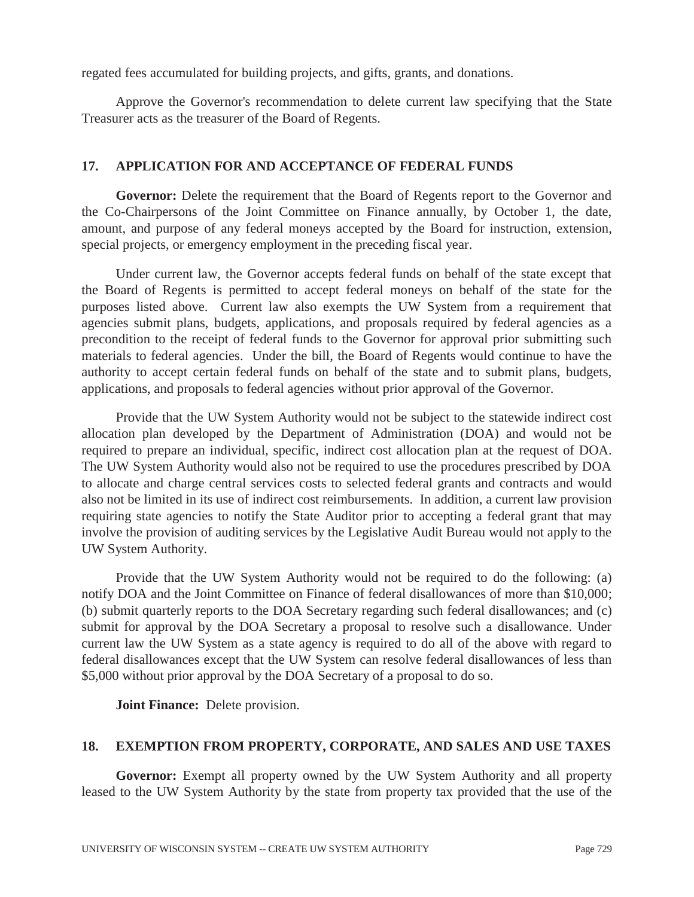regated fees accumulated for building projects, and gifts, grants, and donations.

 Approve the Governor's recommendation to delete current law specifying that the State Treasurer acts as the treasurer of the Board of Regents.

#### **17. APPLICATION FOR AND ACCEPTANCE OF FEDERAL FUNDS**

Governor: Delete the requirement that the Board of Regents report to the Governor and the Co-Chairpersons of the Joint Committee on Finance annually, by October 1, the date, amount, and purpose of any federal moneys accepted by the Board for instruction, extension, special projects, or emergency employment in the preceding fiscal year.

 Under current law, the Governor accepts federal funds on behalf of the state except that the Board of Regents is permitted to accept federal moneys on behalf of the state for the purposes listed above. Current law also exempts the UW System from a requirement that agencies submit plans, budgets, applications, and proposals required by federal agencies as a precondition to the receipt of federal funds to the Governor for approval prior submitting such materials to federal agencies. Under the bill, the Board of Regents would continue to have the authority to accept certain federal funds on behalf of the state and to submit plans, budgets, applications, and proposals to federal agencies without prior approval of the Governor.

 Provide that the UW System Authority would not be subject to the statewide indirect cost allocation plan developed by the Department of Administration (DOA) and would not be required to prepare an individual, specific, indirect cost allocation plan at the request of DOA. The UW System Authority would also not be required to use the procedures prescribed by DOA to allocate and charge central services costs to selected federal grants and contracts and would also not be limited in its use of indirect cost reimbursements. In addition, a current law provision requiring state agencies to notify the State Auditor prior to accepting a federal grant that may involve the provision of auditing services by the Legislative Audit Bureau would not apply to the UW System Authority.

 Provide that the UW System Authority would not be required to do the following: (a) notify DOA and the Joint Committee on Finance of federal disallowances of more than \$10,000; (b) submit quarterly reports to the DOA Secretary regarding such federal disallowances; and (c) submit for approval by the DOA Secretary a proposal to resolve such a disallowance. Under current law the UW System as a state agency is required to do all of the above with regard to federal disallowances except that the UW System can resolve federal disallowances of less than \$5,000 without prior approval by the DOA Secretary of a proposal to do so.

 **Joint Finance:** Delete provision.

## **18. EXEMPTION FROM PROPERTY, CORPORATE, AND SALES AND USE TAXES**

Governor: Exempt all property owned by the UW System Authority and all property leased to the UW System Authority by the state from property tax provided that the use of the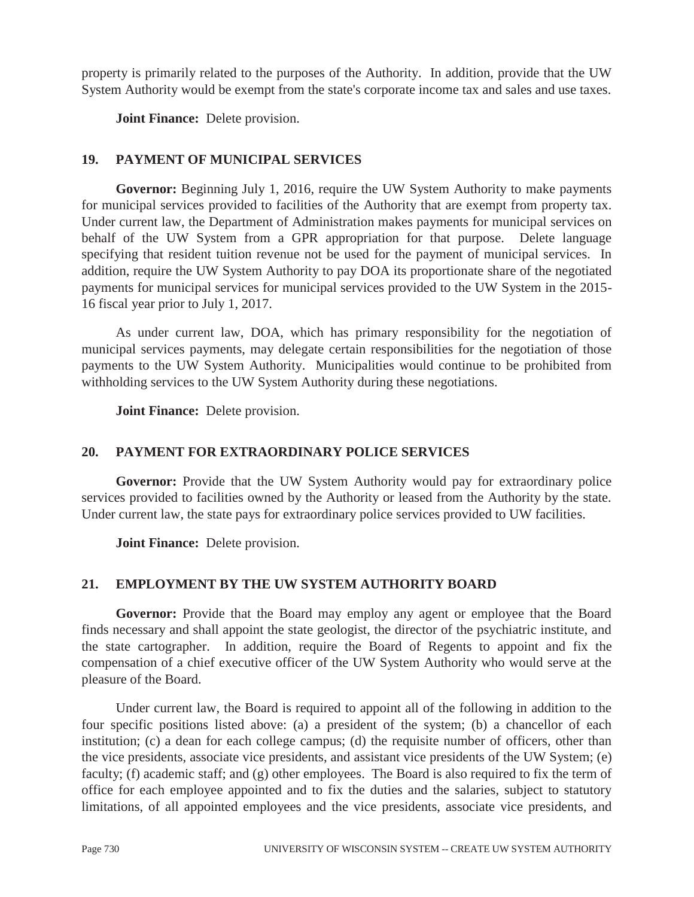property is primarily related to the purposes of the Authority. In addition, provide that the UW System Authority would be exempt from the state's corporate income tax and sales and use taxes.

 **Joint Finance:** Delete provision.

## **19. PAYMENT OF MUNICIPAL SERVICES**

**Governor:** Beginning July 1, 2016, require the UW System Authority to make payments for municipal services provided to facilities of the Authority that are exempt from property tax. Under current law, the Department of Administration makes payments for municipal services on behalf of the UW System from a GPR appropriation for that purpose. Delete language specifying that resident tuition revenue not be used for the payment of municipal services. In addition, require the UW System Authority to pay DOA its proportionate share of the negotiated payments for municipal services for municipal services provided to the UW System in the 2015- 16 fiscal year prior to July 1, 2017.

 As under current law, DOA, which has primary responsibility for the negotiation of municipal services payments, may delegate certain responsibilities for the negotiation of those payments to the UW System Authority. Municipalities would continue to be prohibited from withholding services to the UW System Authority during these negotiations.

 **Joint Finance:** Delete provision.

## **20. PAYMENT FOR EXTRAORDINARY POLICE SERVICES**

**Governor:** Provide that the UW System Authority would pay for extraordinary police services provided to facilities owned by the Authority or leased from the Authority by the state. Under current law, the state pays for extraordinary police services provided to UW facilities.

 **Joint Finance:** Delete provision.

## **21. EMPLOYMENT BY THE UW SYSTEM AUTHORITY BOARD**

Governor: Provide that the Board may employ any agent or employee that the Board finds necessary and shall appoint the state geologist, the director of the psychiatric institute, and the state cartographer. In addition, require the Board of Regents to appoint and fix the compensation of a chief executive officer of the UW System Authority who would serve at the pleasure of the Board.

 Under current law, the Board is required to appoint all of the following in addition to the four specific positions listed above: (a) a president of the system; (b) a chancellor of each institution; (c) a dean for each college campus; (d) the requisite number of officers, other than the vice presidents, associate vice presidents, and assistant vice presidents of the UW System; (e) faculty; (f) academic staff; and (g) other employees. The Board is also required to fix the term of office for each employee appointed and to fix the duties and the salaries, subject to statutory limitations, of all appointed employees and the vice presidents, associate vice presidents, and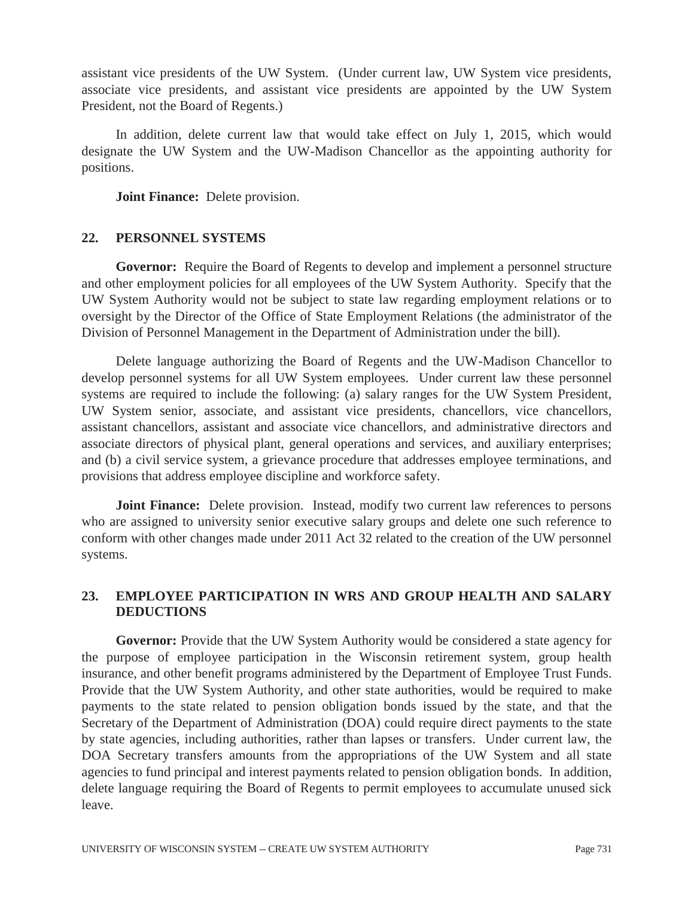assistant vice presidents of the UW System. (Under current law, UW System vice presidents, associate vice presidents, and assistant vice presidents are appointed by the UW System President, not the Board of Regents.)

 In addition, delete current law that would take effect on July 1, 2015, which would designate the UW System and the UW-Madison Chancellor as the appointing authority for positions.

 **Joint Finance:** Delete provision.

#### **22. PERSONNEL SYSTEMS**

**Governor:** Require the Board of Regents to develop and implement a personnel structure and other employment policies for all employees of the UW System Authority. Specify that the UW System Authority would not be subject to state law regarding employment relations or to oversight by the Director of the Office of State Employment Relations (the administrator of the Division of Personnel Management in the Department of Administration under the bill).

 Delete language authorizing the Board of Regents and the UW-Madison Chancellor to develop personnel systems for all UW System employees. Under current law these personnel systems are required to include the following: (a) salary ranges for the UW System President, UW System senior, associate, and assistant vice presidents, chancellors, vice chancellors, assistant chancellors, assistant and associate vice chancellors, and administrative directors and associate directors of physical plant, general operations and services, and auxiliary enterprises; and (b) a civil service system, a grievance procedure that addresses employee terminations, and provisions that address employee discipline and workforce safety.

**Joint Finance:** Delete provision. Instead, modify two current law references to persons who are assigned to university senior executive salary groups and delete one such reference to conform with other changes made under 2011 Act 32 related to the creation of the UW personnel systems.

#### **23. EMPLOYEE PARTICIPATION IN WRS AND GROUP HEALTH AND SALARY DEDUCTIONS**

**Governor:** Provide that the UW System Authority would be considered a state agency for the purpose of employee participation in the Wisconsin retirement system, group health insurance, and other benefit programs administered by the Department of Employee Trust Funds. Provide that the UW System Authority, and other state authorities, would be required to make payments to the state related to pension obligation bonds issued by the state, and that the Secretary of the Department of Administration (DOA) could require direct payments to the state by state agencies, including authorities, rather than lapses or transfers. Under current law, the DOA Secretary transfers amounts from the appropriations of the UW System and all state agencies to fund principal and interest payments related to pension obligation bonds. In addition, delete language requiring the Board of Regents to permit employees to accumulate unused sick leave.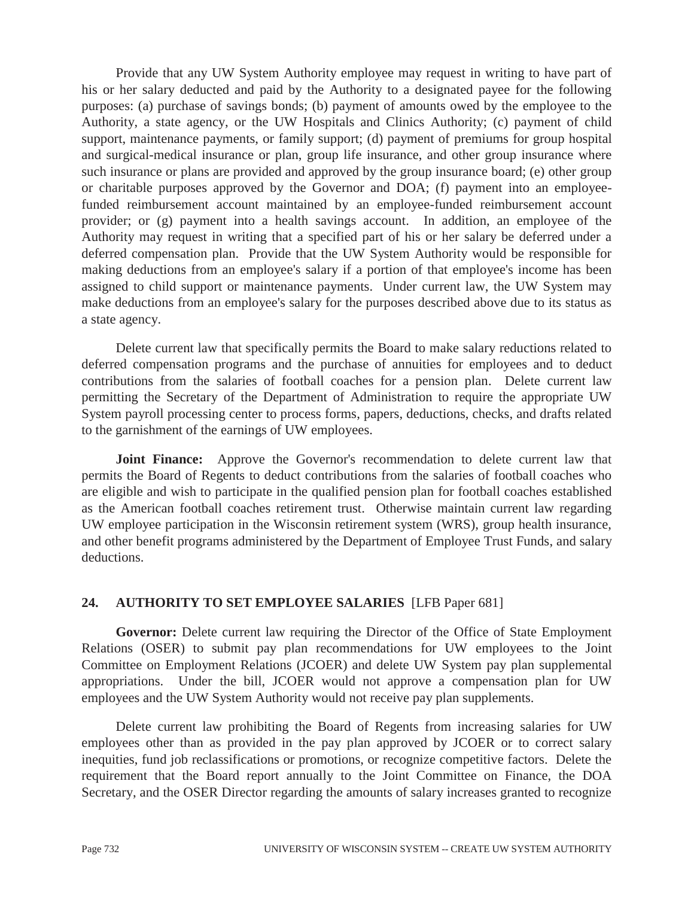Provide that any UW System Authority employee may request in writing to have part of his or her salary deducted and paid by the Authority to a designated payee for the following purposes: (a) purchase of savings bonds; (b) payment of amounts owed by the employee to the Authority, a state agency, or the UW Hospitals and Clinics Authority; (c) payment of child support, maintenance payments, or family support; (d) payment of premiums for group hospital and surgical-medical insurance or plan, group life insurance, and other group insurance where such insurance or plans are provided and approved by the group insurance board; (e) other group or charitable purposes approved by the Governor and DOA; (f) payment into an employeefunded reimbursement account maintained by an employee-funded reimbursement account provider; or (g) payment into a health savings account. In addition, an employee of the Authority may request in writing that a specified part of his or her salary be deferred under a deferred compensation plan. Provide that the UW System Authority would be responsible for making deductions from an employee's salary if a portion of that employee's income has been assigned to child support or maintenance payments. Under current law, the UW System may make deductions from an employee's salary for the purposes described above due to its status as a state agency.

 Delete current law that specifically permits the Board to make salary reductions related to deferred compensation programs and the purchase of annuities for employees and to deduct contributions from the salaries of football coaches for a pension plan. Delete current law permitting the Secretary of the Department of Administration to require the appropriate UW System payroll processing center to process forms, papers, deductions, checks, and drafts related to the garnishment of the earnings of UW employees.

 **Joint Finance:** Approve the Governor's recommendation to delete current law that permits the Board of Regents to deduct contributions from the salaries of football coaches who are eligible and wish to participate in the qualified pension plan for football coaches established as the American football coaches retirement trust. Otherwise maintain current law regarding UW employee participation in the Wisconsin retirement system (WRS), group health insurance, and other benefit programs administered by the Department of Employee Trust Funds, and salary deductions.

## **24. AUTHORITY TO SET EMPLOYEE SALARIES** [LFB Paper 681]

Governor: Delete current law requiring the Director of the Office of State Employment Relations (OSER) to submit pay plan recommendations for UW employees to the Joint Committee on Employment Relations (JCOER) and delete UW System pay plan supplemental appropriations. Under the bill, JCOER would not approve a compensation plan for UW employees and the UW System Authority would not receive pay plan supplements.

Delete current law prohibiting the Board of Regents from increasing salaries for UW employees other than as provided in the pay plan approved by JCOER or to correct salary inequities, fund job reclassifications or promotions, or recognize competitive factors. Delete the requirement that the Board report annually to the Joint Committee on Finance, the DOA Secretary, and the OSER Director regarding the amounts of salary increases granted to recognize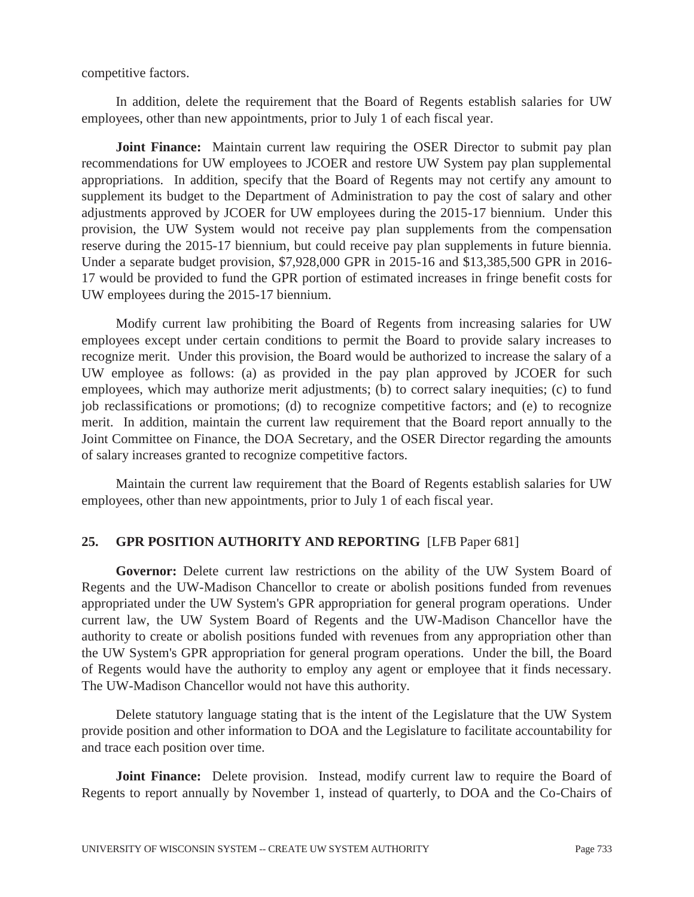competitive factors.

 In addition, delete the requirement that the Board of Regents establish salaries for UW employees, other than new appointments, prior to July 1 of each fiscal year.

**Joint Finance:** Maintain current law requiring the OSER Director to submit pay plan recommendations for UW employees to JCOER and restore UW System pay plan supplemental appropriations. In addition, specify that the Board of Regents may not certify any amount to supplement its budget to the Department of Administration to pay the cost of salary and other adjustments approved by JCOER for UW employees during the 2015-17 biennium. Under this provision, the UW System would not receive pay plan supplements from the compensation reserve during the 2015-17 biennium, but could receive pay plan supplements in future biennia. Under a separate budget provision, \$7,928,000 GPR in 2015-16 and \$13,385,500 GPR in 2016- 17 would be provided to fund the GPR portion of estimated increases in fringe benefit costs for UW employees during the 2015-17 biennium.

 Modify current law prohibiting the Board of Regents from increasing salaries for UW employees except under certain conditions to permit the Board to provide salary increases to recognize merit. Under this provision, the Board would be authorized to increase the salary of a UW employee as follows: (a) as provided in the pay plan approved by JCOER for such employees, which may authorize merit adjustments; (b) to correct salary inequities; (c) to fund job reclassifications or promotions; (d) to recognize competitive factors; and (e) to recognize merit. In addition, maintain the current law requirement that the Board report annually to the Joint Committee on Finance, the DOA Secretary, and the OSER Director regarding the amounts of salary increases granted to recognize competitive factors.

 Maintain the current law requirement that the Board of Regents establish salaries for UW employees, other than new appointments, prior to July 1 of each fiscal year.

## **25. GPR POSITION AUTHORITY AND REPORTING** [LFB Paper 681]

**Governor:** Delete current law restrictions on the ability of the UW System Board of Regents and the UW-Madison Chancellor to create or abolish positions funded from revenues appropriated under the UW System's GPR appropriation for general program operations. Under current law, the UW System Board of Regents and the UW-Madison Chancellor have the authority to create or abolish positions funded with revenues from any appropriation other than the UW System's GPR appropriation for general program operations. Under the bill, the Board of Regents would have the authority to employ any agent or employee that it finds necessary. The UW-Madison Chancellor would not have this authority.

 Delete statutory language stating that is the intent of the Legislature that the UW System provide position and other information to DOA and the Legislature to facilitate accountability for and trace each position over time.

**Joint Finance:** Delete provision. Instead, modify current law to require the Board of Regents to report annually by November 1, instead of quarterly, to DOA and the Co-Chairs of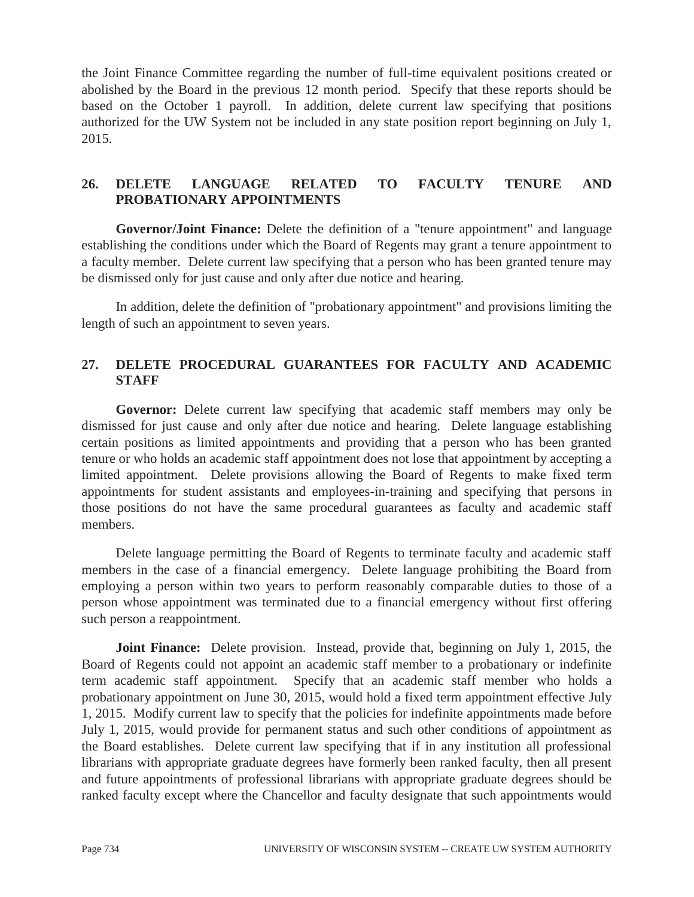the Joint Finance Committee regarding the number of full-time equivalent positions created or abolished by the Board in the previous 12 month period. Specify that these reports should be based on the October 1 payroll. In addition, delete current law specifying that positions authorized for the UW System not be included in any state position report beginning on July 1, 2015.

## **26. DELETE LANGUAGE RELATED TO FACULTY TENURE AND PROBATIONARY APPOINTMENTS**

**Governor/Joint Finance:** Delete the definition of a "tenure appointment" and language establishing the conditions under which the Board of Regents may grant a tenure appointment to a faculty member. Delete current law specifying that a person who has been granted tenure may be dismissed only for just cause and only after due notice and hearing.

 In addition, delete the definition of "probationary appointment" and provisions limiting the length of such an appointment to seven years.

## **27. DELETE PROCEDURAL GUARANTEES FOR FACULTY AND ACADEMIC STAFF**

**Governor:** Delete current law specifying that academic staff members may only be dismissed for just cause and only after due notice and hearing. Delete language establishing certain positions as limited appointments and providing that a person who has been granted tenure or who holds an academic staff appointment does not lose that appointment by accepting a limited appointment. Delete provisions allowing the Board of Regents to make fixed term appointments for student assistants and employees-in-training and specifying that persons in those positions do not have the same procedural guarantees as faculty and academic staff members.

 Delete language permitting the Board of Regents to terminate faculty and academic staff members in the case of a financial emergency. Delete language prohibiting the Board from employing a person within two years to perform reasonably comparable duties to those of a person whose appointment was terminated due to a financial emergency without first offering such person a reappointment.

**Joint Finance:** Delete provision. Instead, provide that, beginning on July 1, 2015, the Board of Regents could not appoint an academic staff member to a probationary or indefinite term academic staff appointment. Specify that an academic staff member who holds a probationary appointment on June 30, 2015, would hold a fixed term appointment effective July 1, 2015. Modify current law to specify that the policies for indefinite appointments made before July 1, 2015, would provide for permanent status and such other conditions of appointment as the Board establishes. Delete current law specifying that if in any institution all professional librarians with appropriate graduate degrees have formerly been ranked faculty, then all present and future appointments of professional librarians with appropriate graduate degrees should be ranked faculty except where the Chancellor and faculty designate that such appointments would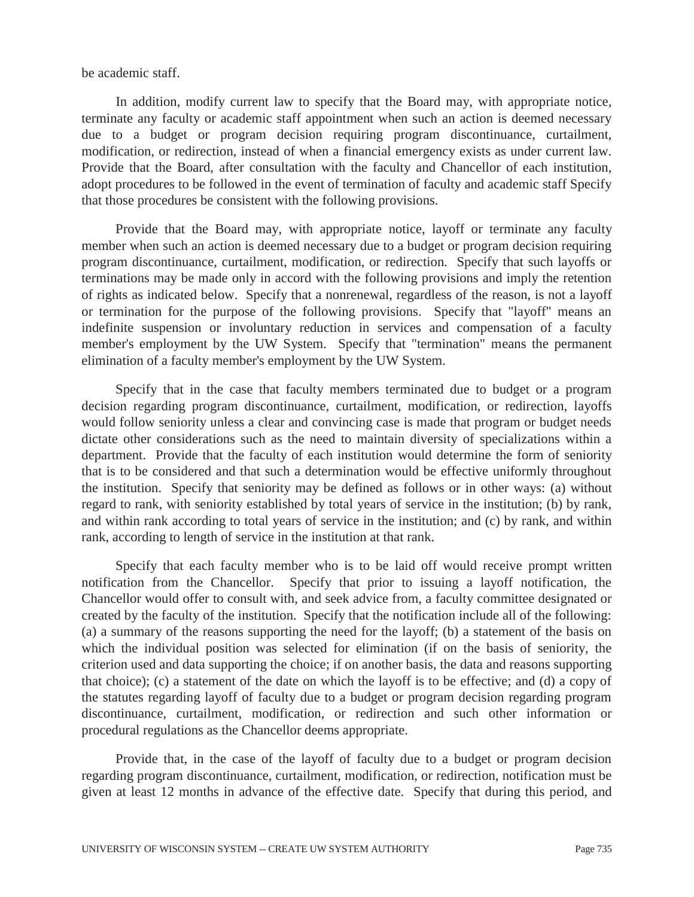be academic staff.

 In addition, modify current law to specify that the Board may, with appropriate notice, terminate any faculty or academic staff appointment when such an action is deemed necessary due to a budget or program decision requiring program discontinuance, curtailment, modification, or redirection, instead of when a financial emergency exists as under current law. Provide that the Board, after consultation with the faculty and Chancellor of each institution, adopt procedures to be followed in the event of termination of faculty and academic staff Specify that those procedures be consistent with the following provisions.

 Provide that the Board may, with appropriate notice, layoff or terminate any faculty member when such an action is deemed necessary due to a budget or program decision requiring program discontinuance, curtailment, modification, or redirection. Specify that such layoffs or terminations may be made only in accord with the following provisions and imply the retention of rights as indicated below. Specify that a nonrenewal, regardless of the reason, is not a layoff or termination for the purpose of the following provisions. Specify that "layoff" means an indefinite suspension or involuntary reduction in services and compensation of a faculty member's employment by the UW System. Specify that "termination" means the permanent elimination of a faculty member's employment by the UW System.

 Specify that in the case that faculty members terminated due to budget or a program decision regarding program discontinuance, curtailment, modification, or redirection, layoffs would follow seniority unless a clear and convincing case is made that program or budget needs dictate other considerations such as the need to maintain diversity of specializations within a department. Provide that the faculty of each institution would determine the form of seniority that is to be considered and that such a determination would be effective uniformly throughout the institution. Specify that seniority may be defined as follows or in other ways: (a) without regard to rank, with seniority established by total years of service in the institution; (b) by rank, and within rank according to total years of service in the institution; and (c) by rank, and within rank, according to length of service in the institution at that rank.

 Specify that each faculty member who is to be laid off would receive prompt written notification from the Chancellor. Specify that prior to issuing a layoff notification, the Chancellor would offer to consult with, and seek advice from, a faculty committee designated or created by the faculty of the institution. Specify that the notification include all of the following: (a) a summary of the reasons supporting the need for the layoff; (b) a statement of the basis on which the individual position was selected for elimination (if on the basis of seniority, the criterion used and data supporting the choice; if on another basis, the data and reasons supporting that choice); (c) a statement of the date on which the layoff is to be effective; and (d) a copy of the statutes regarding layoff of faculty due to a budget or program decision regarding program discontinuance, curtailment, modification, or redirection and such other information or procedural regulations as the Chancellor deems appropriate.

 Provide that, in the case of the layoff of faculty due to a budget or program decision regarding program discontinuance, curtailment, modification, or redirection, notification must be given at least 12 months in advance of the effective date. Specify that during this period, and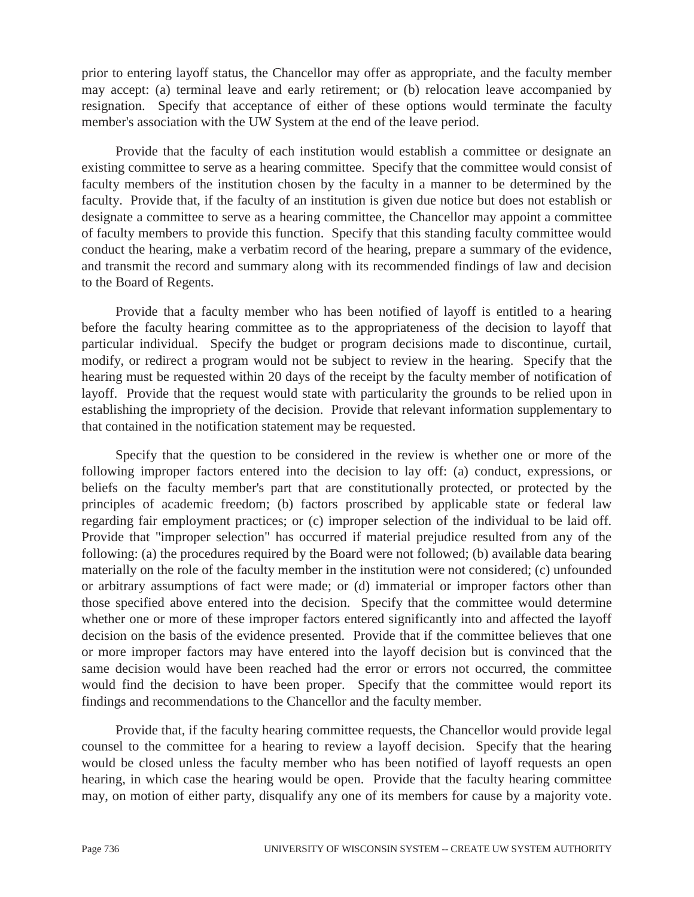prior to entering layoff status, the Chancellor may offer as appropriate, and the faculty member may accept: (a) terminal leave and early retirement; or (b) relocation leave accompanied by resignation. Specify that acceptance of either of these options would terminate the faculty member's association with the UW System at the end of the leave period.

 Provide that the faculty of each institution would establish a committee or designate an existing committee to serve as a hearing committee. Specify that the committee would consist of faculty members of the institution chosen by the faculty in a manner to be determined by the faculty. Provide that, if the faculty of an institution is given due notice but does not establish or designate a committee to serve as a hearing committee, the Chancellor may appoint a committee of faculty members to provide this function. Specify that this standing faculty committee would conduct the hearing, make a verbatim record of the hearing, prepare a summary of the evidence, and transmit the record and summary along with its recommended findings of law and decision to the Board of Regents.

 Provide that a faculty member who has been notified of layoff is entitled to a hearing before the faculty hearing committee as to the appropriateness of the decision to layoff that particular individual. Specify the budget or program decisions made to discontinue, curtail, modify, or redirect a program would not be subject to review in the hearing. Specify that the hearing must be requested within 20 days of the receipt by the faculty member of notification of layoff. Provide that the request would state with particularity the grounds to be relied upon in establishing the impropriety of the decision. Provide that relevant information supplementary to that contained in the notification statement may be requested.

 Specify that the question to be considered in the review is whether one or more of the following improper factors entered into the decision to lay off: (a) conduct, expressions, or beliefs on the faculty member's part that are constitutionally protected, or protected by the principles of academic freedom; (b) factors proscribed by applicable state or federal law regarding fair employment practices; or (c) improper selection of the individual to be laid off. Provide that "improper selection" has occurred if material prejudice resulted from any of the following: (a) the procedures required by the Board were not followed; (b) available data bearing materially on the role of the faculty member in the institution were not considered; (c) unfounded or arbitrary assumptions of fact were made; or (d) immaterial or improper factors other than those specified above entered into the decision. Specify that the committee would determine whether one or more of these improper factors entered significantly into and affected the layoff decision on the basis of the evidence presented. Provide that if the committee believes that one or more improper factors may have entered into the layoff decision but is convinced that the same decision would have been reached had the error or errors not occurred, the committee would find the decision to have been proper. Specify that the committee would report its findings and recommendations to the Chancellor and the faculty member.

 Provide that, if the faculty hearing committee requests, the Chancellor would provide legal counsel to the committee for a hearing to review a layoff decision. Specify that the hearing would be closed unless the faculty member who has been notified of layoff requests an open hearing, in which case the hearing would be open. Provide that the faculty hearing committee may, on motion of either party, disqualify any one of its members for cause by a majority vote.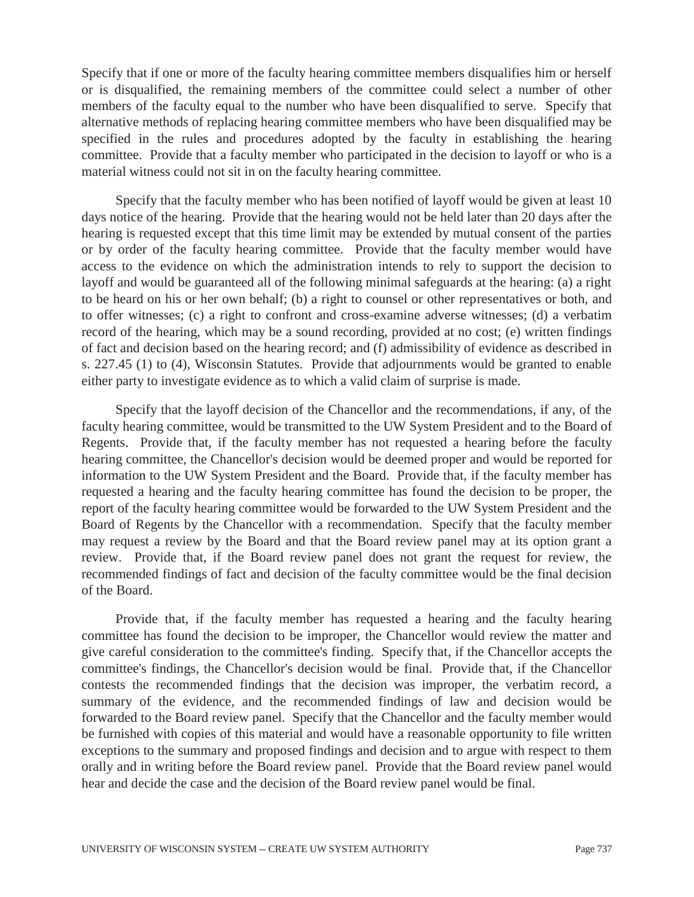Specify that if one or more of the faculty hearing committee members disqualifies him or herself or is disqualified, the remaining members of the committee could select a number of other members of the faculty equal to the number who have been disqualified to serve. Specify that alternative methods of replacing hearing committee members who have been disqualified may be specified in the rules and procedures adopted by the faculty in establishing the hearing committee. Provide that a faculty member who participated in the decision to layoff or who is a material witness could not sit in on the faculty hearing committee.

 Specify that the faculty member who has been notified of layoff would be given at least 10 days notice of the hearing. Provide that the hearing would not be held later than 20 days after the hearing is requested except that this time limit may be extended by mutual consent of the parties or by order of the faculty hearing committee. Provide that the faculty member would have access to the evidence on which the administration intends to rely to support the decision to layoff and would be guaranteed all of the following minimal safeguards at the hearing: (a) a right to be heard on his or her own behalf; (b) a right to counsel or other representatives or both, and to offer witnesses; (c) a right to confront and cross-examine adverse witnesses; (d) a verbatim record of the hearing, which may be a sound recording, provided at no cost; (e) written findings of fact and decision based on the hearing record; and (f) admissibility of evidence as described in s. 227.45 (1) to (4), Wisconsin Statutes. Provide that adjournments would be granted to enable either party to investigate evidence as to which a valid claim of surprise is made.

 Specify that the layoff decision of the Chancellor and the recommendations, if any, of the faculty hearing committee, would be transmitted to the UW System President and to the Board of Regents. Provide that, if the faculty member has not requested a hearing before the faculty hearing committee, the Chancellor's decision would be deemed proper and would be reported for information to the UW System President and the Board. Provide that, if the faculty member has requested a hearing and the faculty hearing committee has found the decision to be proper, the report of the faculty hearing committee would be forwarded to the UW System President and the Board of Regents by the Chancellor with a recommendation. Specify that the faculty member may request a review by the Board and that the Board review panel may at its option grant a review. Provide that, if the Board review panel does not grant the request for review, the recommended findings of fact and decision of the faculty committee would be the final decision of the Board.

 Provide that, if the faculty member has requested a hearing and the faculty hearing committee has found the decision to be improper, the Chancellor would review the matter and give careful consideration to the committee's finding. Specify that, if the Chancellor accepts the committee's findings, the Chancellor's decision would be final. Provide that, if the Chancellor contests the recommended findings that the decision was improper, the verbatim record, a summary of the evidence, and the recommended findings of law and decision would be forwarded to the Board review panel. Specify that the Chancellor and the faculty member would be furnished with copies of this material and would have a reasonable opportunity to file written exceptions to the summary and proposed findings and decision and to argue with respect to them orally and in writing before the Board review panel. Provide that the Board review panel would hear and decide the case and the decision of the Board review panel would be final.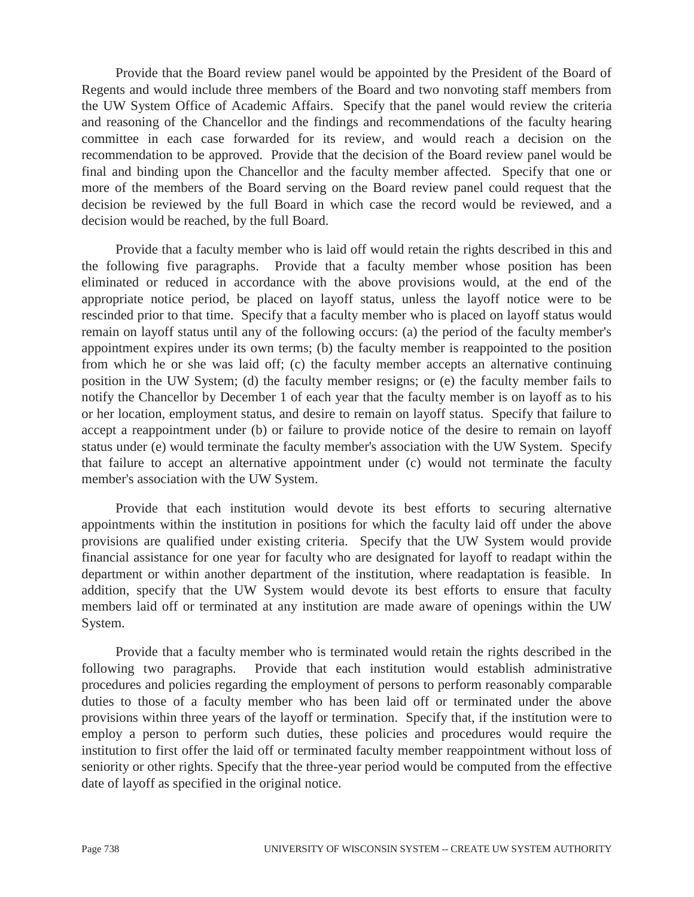Provide that the Board review panel would be appointed by the President of the Board of Regents and would include three members of the Board and two nonvoting staff members from the UW System Office of Academic Affairs. Specify that the panel would review the criteria and reasoning of the Chancellor and the findings and recommendations of the faculty hearing committee in each case forwarded for its review, and would reach a decision on the recommendation to be approved. Provide that the decision of the Board review panel would be final and binding upon the Chancellor and the faculty member affected. Specify that one or more of the members of the Board serving on the Board review panel could request that the decision be reviewed by the full Board in which case the record would be reviewed, and a decision would be reached, by the full Board.

 Provide that a faculty member who is laid off would retain the rights described in this and the following five paragraphs. Provide that a faculty member whose position has been eliminated or reduced in accordance with the above provisions would, at the end of the appropriate notice period, be placed on layoff status, unless the layoff notice were to be rescinded prior to that time. Specify that a faculty member who is placed on layoff status would remain on layoff status until any of the following occurs: (a) the period of the faculty member's appointment expires under its own terms; (b) the faculty member is reappointed to the position from which he or she was laid off; (c) the faculty member accepts an alternative continuing position in the UW System; (d) the faculty member resigns; or (e) the faculty member fails to notify the Chancellor by December 1 of each year that the faculty member is on layoff as to his or her location, employment status, and desire to remain on layoff status. Specify that failure to accept a reappointment under (b) or failure to provide notice of the desire to remain on layoff status under (e) would terminate the faculty member's association with the UW System. Specify that failure to accept an alternative appointment under (c) would not terminate the faculty member's association with the UW System.

 Provide that each institution would devote its best efforts to securing alternative appointments within the institution in positions for which the faculty laid off under the above provisions are qualified under existing criteria. Specify that the UW System would provide financial assistance for one year for faculty who are designated for layoff to readapt within the department or within another department of the institution, where readaptation is feasible. In addition, specify that the UW System would devote its best efforts to ensure that faculty members laid off or terminated at any institution are made aware of openings within the UW System.

 Provide that a faculty member who is terminated would retain the rights described in the following two paragraphs. Provide that each institution would establish administrative procedures and policies regarding the employment of persons to perform reasonably comparable duties to those of a faculty member who has been laid off or terminated under the above provisions within three years of the layoff or termination. Specify that, if the institution were to employ a person to perform such duties, these policies and procedures would require the institution to first offer the laid off or terminated faculty member reappointment without loss of seniority or other rights. Specify that the three-year period would be computed from the effective date of layoff as specified in the original notice.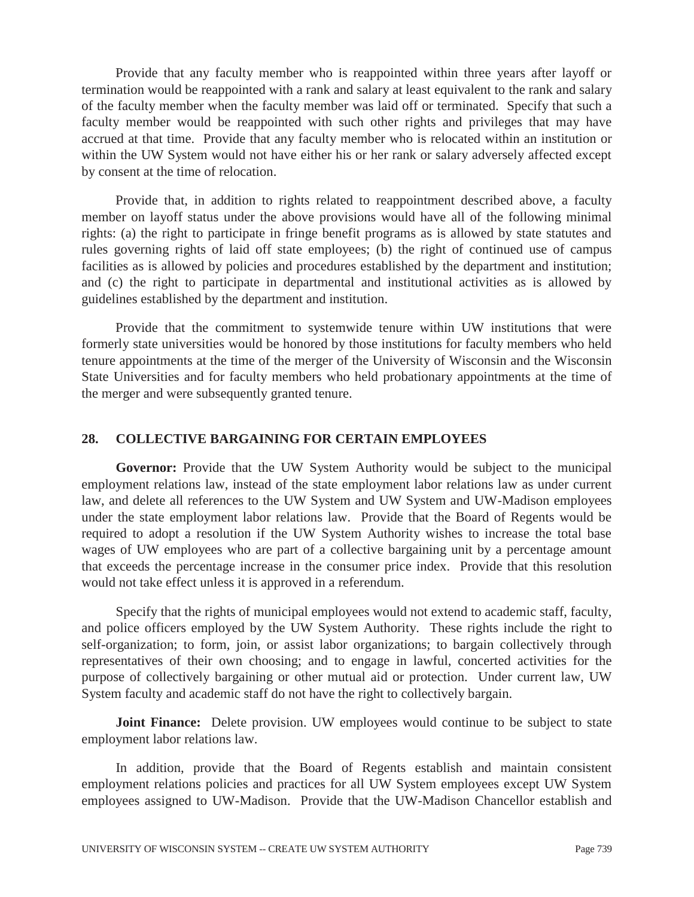Provide that any faculty member who is reappointed within three years after layoff or termination would be reappointed with a rank and salary at least equivalent to the rank and salary of the faculty member when the faculty member was laid off or terminated. Specify that such a faculty member would be reappointed with such other rights and privileges that may have accrued at that time. Provide that any faculty member who is relocated within an institution or within the UW System would not have either his or her rank or salary adversely affected except by consent at the time of relocation.

 Provide that, in addition to rights related to reappointment described above, a faculty member on layoff status under the above provisions would have all of the following minimal rights: (a) the right to participate in fringe benefit programs as is allowed by state statutes and rules governing rights of laid off state employees; (b) the right of continued use of campus facilities as is allowed by policies and procedures established by the department and institution; and (c) the right to participate in departmental and institutional activities as is allowed by guidelines established by the department and institution.

 Provide that the commitment to systemwide tenure within UW institutions that were formerly state universities would be honored by those institutions for faculty members who held tenure appointments at the time of the merger of the University of Wisconsin and the Wisconsin State Universities and for faculty members who held probationary appointments at the time of the merger and were subsequently granted tenure.

## **28. COLLECTIVE BARGAINING FOR CERTAIN EMPLOYEES**

**Governor:** Provide that the UW System Authority would be subject to the municipal employment relations law, instead of the state employment labor relations law as under current law, and delete all references to the UW System and UW System and UW-Madison employees under the state employment labor relations law. Provide that the Board of Regents would be required to adopt a resolution if the UW System Authority wishes to increase the total base wages of UW employees who are part of a collective bargaining unit by a percentage amount that exceeds the percentage increase in the consumer price index. Provide that this resolution would not take effect unless it is approved in a referendum.

 Specify that the rights of municipal employees would not extend to academic staff, faculty, and police officers employed by the UW System Authority. These rights include the right to self-organization; to form, join, or assist labor organizations; to bargain collectively through representatives of their own choosing; and to engage in lawful, concerted activities for the purpose of collectively bargaining or other mutual aid or protection. Under current law, UW System faculty and academic staff do not have the right to collectively bargain.

**Joint Finance:** Delete provision. UW employees would continue to be subject to state employment labor relations law.

 In addition, provide that the Board of Regents establish and maintain consistent employment relations policies and practices for all UW System employees except UW System employees assigned to UW-Madison. Provide that the UW-Madison Chancellor establish and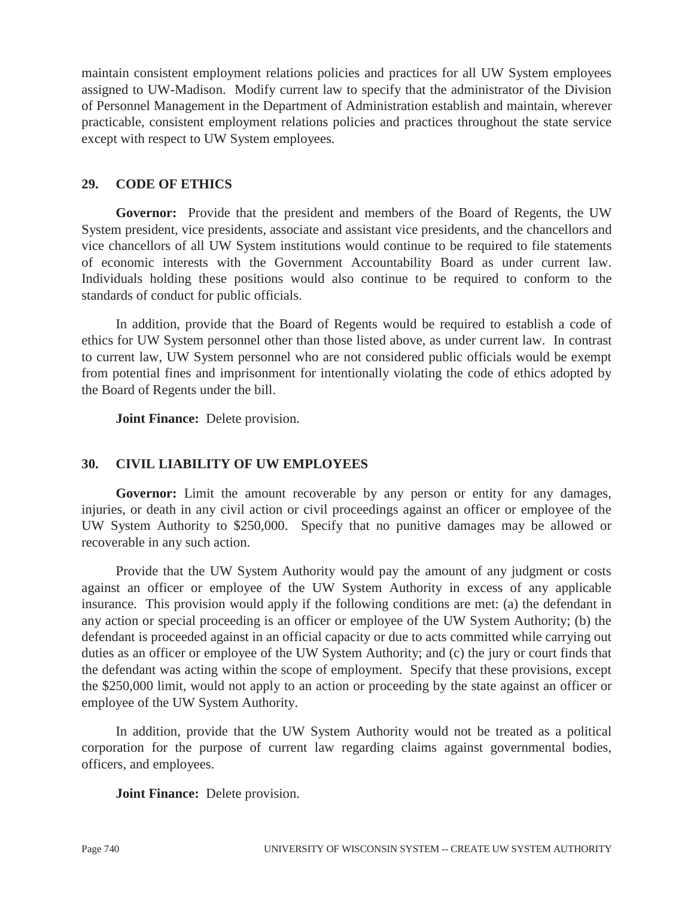maintain consistent employment relations policies and practices for all UW System employees assigned to UW-Madison. Modify current law to specify that the administrator of the Division of Personnel Management in the Department of Administration establish and maintain, wherever practicable, consistent employment relations policies and practices throughout the state service except with respect to UW System employees.

## **29. CODE OF ETHICS**

**Governor:** Provide that the president and members of the Board of Regents, the UW System president, vice presidents, associate and assistant vice presidents, and the chancellors and vice chancellors of all UW System institutions would continue to be required to file statements of economic interests with the Government Accountability Board as under current law. Individuals holding these positions would also continue to be required to conform to the standards of conduct for public officials.

 In addition, provide that the Board of Regents would be required to establish a code of ethics for UW System personnel other than those listed above, as under current law. In contrast to current law, UW System personnel who are not considered public officials would be exempt from potential fines and imprisonment for intentionally violating the code of ethics adopted by the Board of Regents under the bill.

 **Joint Finance:** Delete provision.

## **30. CIVIL LIABILITY OF UW EMPLOYEES**

Governor: Limit the amount recoverable by any person or entity for any damages, injuries, or death in any civil action or civil proceedings against an officer or employee of the UW System Authority to \$250,000. Specify that no punitive damages may be allowed or recoverable in any such action.

 Provide that the UW System Authority would pay the amount of any judgment or costs against an officer or employee of the UW System Authority in excess of any applicable insurance. This provision would apply if the following conditions are met: (a) the defendant in any action or special proceeding is an officer or employee of the UW System Authority; (b) the defendant is proceeded against in an official capacity or due to acts committed while carrying out duties as an officer or employee of the UW System Authority; and (c) the jury or court finds that the defendant was acting within the scope of employment. Specify that these provisions, except the \$250,000 limit, would not apply to an action or proceeding by the state against an officer or employee of the UW System Authority.

 In addition, provide that the UW System Authority would not be treated as a political corporation for the purpose of current law regarding claims against governmental bodies, officers, and employees.

 **Joint Finance:** Delete provision.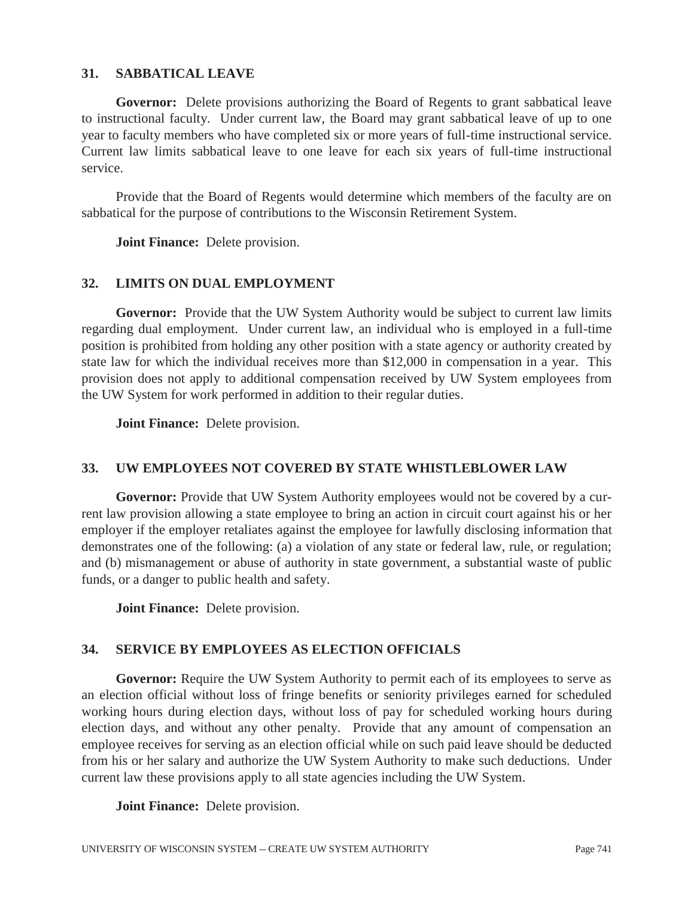### **31. SABBATICAL LEAVE**

**Governor:** Delete provisions authorizing the Board of Regents to grant sabbatical leave to instructional faculty. Under current law, the Board may grant sabbatical leave of up to one year to faculty members who have completed six or more years of full-time instructional service. Current law limits sabbatical leave to one leave for each six years of full-time instructional service.

 Provide that the Board of Regents would determine which members of the faculty are on sabbatical for the purpose of contributions to the Wisconsin Retirement System.

 **Joint Finance:** Delete provision.

### **32. LIMITS ON DUAL EMPLOYMENT**

**Governor:** Provide that the UW System Authority would be subject to current law limits regarding dual employment. Under current law, an individual who is employed in a full-time position is prohibited from holding any other position with a state agency or authority created by state law for which the individual receives more than \$12,000 in compensation in a year. This provision does not apply to additional compensation received by UW System employees from the UW System for work performed in addition to their regular duties.

 **Joint Finance:** Delete provision.

## **33. UW EMPLOYEES NOT COVERED BY STATE WHISTLEBLOWER LAW**

Governor: Provide that UW System Authority employees would not be covered by a current law provision allowing a state employee to bring an action in circuit court against his or her employer if the employer retaliates against the employee for lawfully disclosing information that demonstrates one of the following: (a) a violation of any state or federal law, rule, or regulation; and (b) mismanagement or abuse of authority in state government, a substantial waste of public funds, or a danger to public health and safety.

 **Joint Finance:** Delete provision.

### **34. SERVICE BY EMPLOYEES AS ELECTION OFFICIALS**

Governor: Require the UW System Authority to permit each of its employees to serve as an election official without loss of fringe benefits or seniority privileges earned for scheduled working hours during election days, without loss of pay for scheduled working hours during election days, and without any other penalty. Provide that any amount of compensation an employee receives for serving as an election official while on such paid leave should be deducted from his or her salary and authorize the UW System Authority to make such deductions. Under current law these provisions apply to all state agencies including the UW System.

 **Joint Finance:** Delete provision.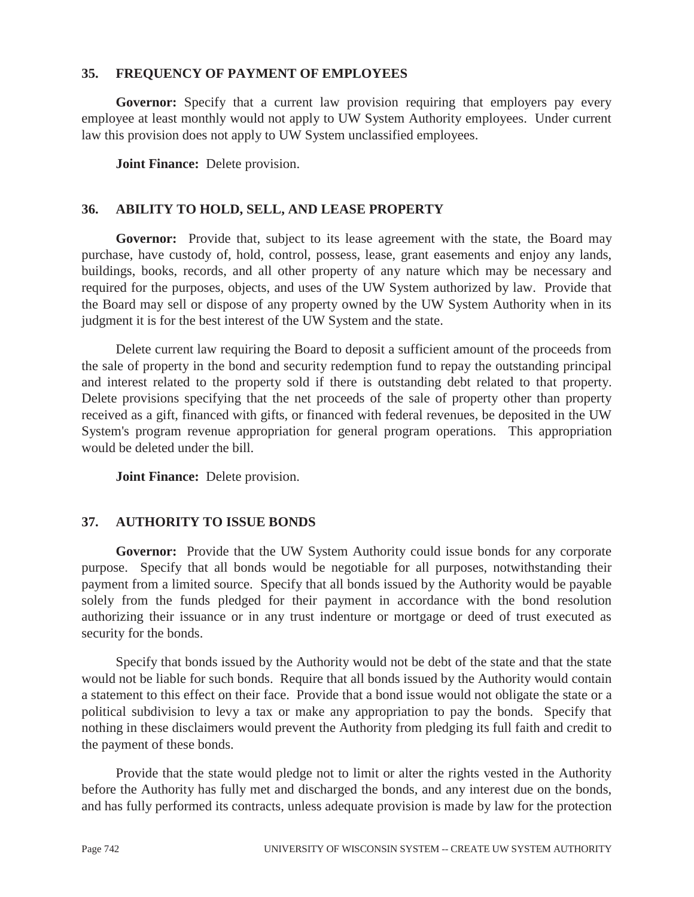### **35. FREQUENCY OF PAYMENT OF EMPLOYEES**

**Governor:** Specify that a current law provision requiring that employers pay every employee at least monthly would not apply to UW System Authority employees. Under current law this provision does not apply to UW System unclassified employees.

 **Joint Finance:** Delete provision.

### **36. ABILITY TO HOLD, SELL, AND LEASE PROPERTY**

**Governor:** Provide that, subject to its lease agreement with the state, the Board may purchase, have custody of, hold, control, possess, lease, grant easements and enjoy any lands, buildings, books, records, and all other property of any nature which may be necessary and required for the purposes, objects, and uses of the UW System authorized by law. Provide that the Board may sell or dispose of any property owned by the UW System Authority when in its judgment it is for the best interest of the UW System and the state.

 Delete current law requiring the Board to deposit a sufficient amount of the proceeds from the sale of property in the bond and security redemption fund to repay the outstanding principal and interest related to the property sold if there is outstanding debt related to that property. Delete provisions specifying that the net proceeds of the sale of property other than property received as a gift, financed with gifts, or financed with federal revenues, be deposited in the UW System's program revenue appropriation for general program operations. This appropriation would be deleted under the bill.

 **Joint Finance:** Delete provision.

### **37. AUTHORITY TO ISSUE BONDS**

**Governor:** Provide that the UW System Authority could issue bonds for any corporate purpose. Specify that all bonds would be negotiable for all purposes, notwithstanding their payment from a limited source. Specify that all bonds issued by the Authority would be payable solely from the funds pledged for their payment in accordance with the bond resolution authorizing their issuance or in any trust indenture or mortgage or deed of trust executed as security for the bonds.

 Specify that bonds issued by the Authority would not be debt of the state and that the state would not be liable for such bonds. Require that all bonds issued by the Authority would contain a statement to this effect on their face. Provide that a bond issue would not obligate the state or a political subdivision to levy a tax or make any appropriation to pay the bonds. Specify that nothing in these disclaimers would prevent the Authority from pledging its full faith and credit to the payment of these bonds.

 Provide that the state would pledge not to limit or alter the rights vested in the Authority before the Authority has fully met and discharged the bonds, and any interest due on the bonds, and has fully performed its contracts, unless adequate provision is made by law for the protection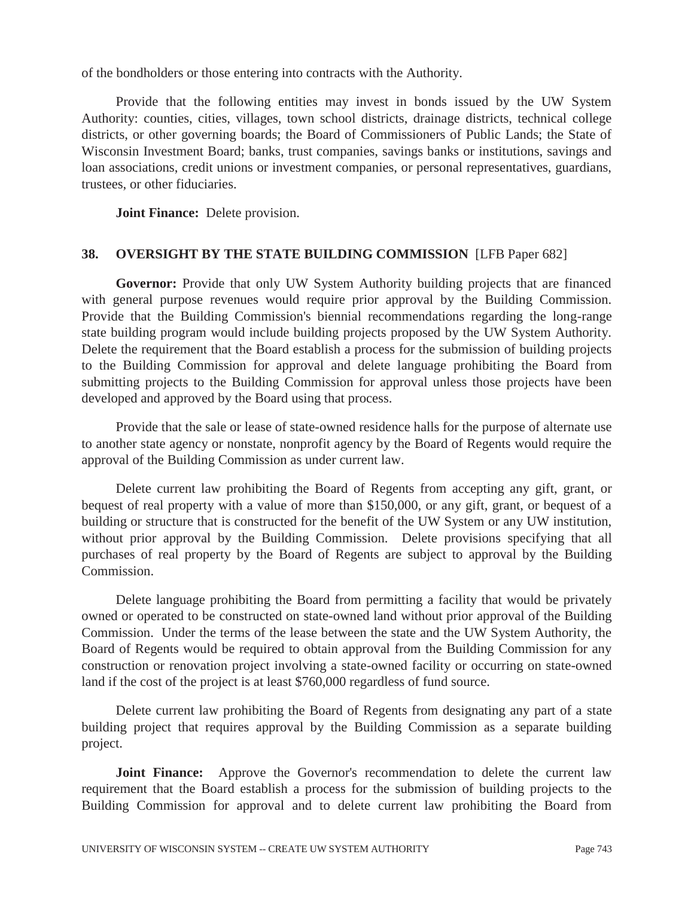of the bondholders or those entering into contracts with the Authority.

 Provide that the following entities may invest in bonds issued by the UW System Authority: counties, cities, villages, town school districts, drainage districts, technical college districts, or other governing boards; the Board of Commissioners of Public Lands; the State of Wisconsin Investment Board; banks, trust companies, savings banks or institutions, savings and loan associations, credit unions or investment companies, or personal representatives, guardians, trustees, or other fiduciaries.

 **Joint Finance:** Delete provision.

### **38. OVERSIGHT BY THE STATE BUILDING COMMISSION** [LFB Paper 682]

**Governor:** Provide that only UW System Authority building projects that are financed with general purpose revenues would require prior approval by the Building Commission. Provide that the Building Commission's biennial recommendations regarding the long-range state building program would include building projects proposed by the UW System Authority. Delete the requirement that the Board establish a process for the submission of building projects to the Building Commission for approval and delete language prohibiting the Board from submitting projects to the Building Commission for approval unless those projects have been developed and approved by the Board using that process.

 Provide that the sale or lease of state-owned residence halls for the purpose of alternate use to another state agency or nonstate, nonprofit agency by the Board of Regents would require the approval of the Building Commission as under current law.

 Delete current law prohibiting the Board of Regents from accepting any gift, grant, or bequest of real property with a value of more than \$150,000, or any gift, grant, or bequest of a building or structure that is constructed for the benefit of the UW System or any UW institution, without prior approval by the Building Commission. Delete provisions specifying that all purchases of real property by the Board of Regents are subject to approval by the Building Commission.

 Delete language prohibiting the Board from permitting a facility that would be privately owned or operated to be constructed on state-owned land without prior approval of the Building Commission. Under the terms of the lease between the state and the UW System Authority, the Board of Regents would be required to obtain approval from the Building Commission for any construction or renovation project involving a state-owned facility or occurring on state-owned land if the cost of the project is at least \$760,000 regardless of fund source.

 Delete current law prohibiting the Board of Regents from designating any part of a state building project that requires approval by the Building Commission as a separate building project.

**Joint Finance:** Approve the Governor's recommendation to delete the current law requirement that the Board establish a process for the submission of building projects to the Building Commission for approval and to delete current law prohibiting the Board from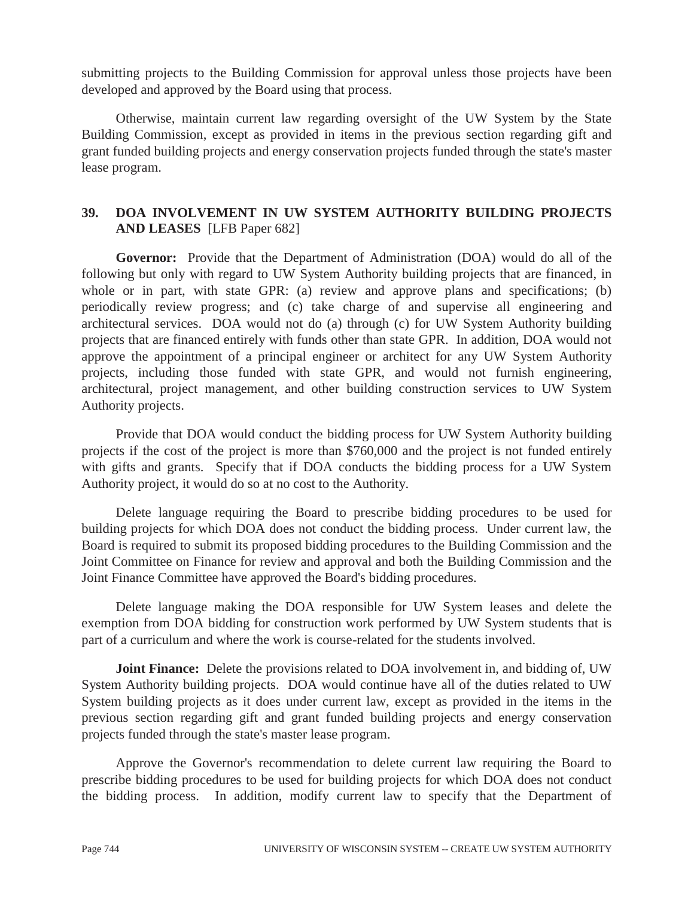submitting projects to the Building Commission for approval unless those projects have been developed and approved by the Board using that process.

 Otherwise, maintain current law regarding oversight of the UW System by the State Building Commission, except as provided in items in the previous section regarding gift and grant funded building projects and energy conservation projects funded through the state's master lease program.

## **39. DOA INVOLVEMENT IN UW SYSTEM AUTHORITY BUILDING PROJECTS AND LEASES** [LFB Paper 682]

**Governor:** Provide that the Department of Administration (DOA) would do all of the following but only with regard to UW System Authority building projects that are financed, in whole or in part, with state GPR: (a) review and approve plans and specifications; (b) periodically review progress; and (c) take charge of and supervise all engineering and architectural services. DOA would not do (a) through (c) for UW System Authority building projects that are financed entirely with funds other than state GPR. In addition, DOA would not approve the appointment of a principal engineer or architect for any UW System Authority projects, including those funded with state GPR, and would not furnish engineering, architectural, project management, and other building construction services to UW System Authority projects.

 Provide that DOA would conduct the bidding process for UW System Authority building projects if the cost of the project is more than \$760,000 and the project is not funded entirely with gifts and grants. Specify that if DOA conducts the bidding process for a UW System Authority project, it would do so at no cost to the Authority.

 Delete language requiring the Board to prescribe bidding procedures to be used for building projects for which DOA does not conduct the bidding process. Under current law, the Board is required to submit its proposed bidding procedures to the Building Commission and the Joint Committee on Finance for review and approval and both the Building Commission and the Joint Finance Committee have approved the Board's bidding procedures.

 Delete language making the DOA responsible for UW System leases and delete the exemption from DOA bidding for construction work performed by UW System students that is part of a curriculum and where the work is course-related for the students involved.

**Joint Finance:** Delete the provisions related to DOA involvement in, and bidding of, UW System Authority building projects. DOA would continue have all of the duties related to UW System building projects as it does under current law, except as provided in the items in the previous section regarding gift and grant funded building projects and energy conservation projects funded through the state's master lease program.

 Approve the Governor's recommendation to delete current law requiring the Board to prescribe bidding procedures to be used for building projects for which DOA does not conduct the bidding process. In addition, modify current law to specify that the Department of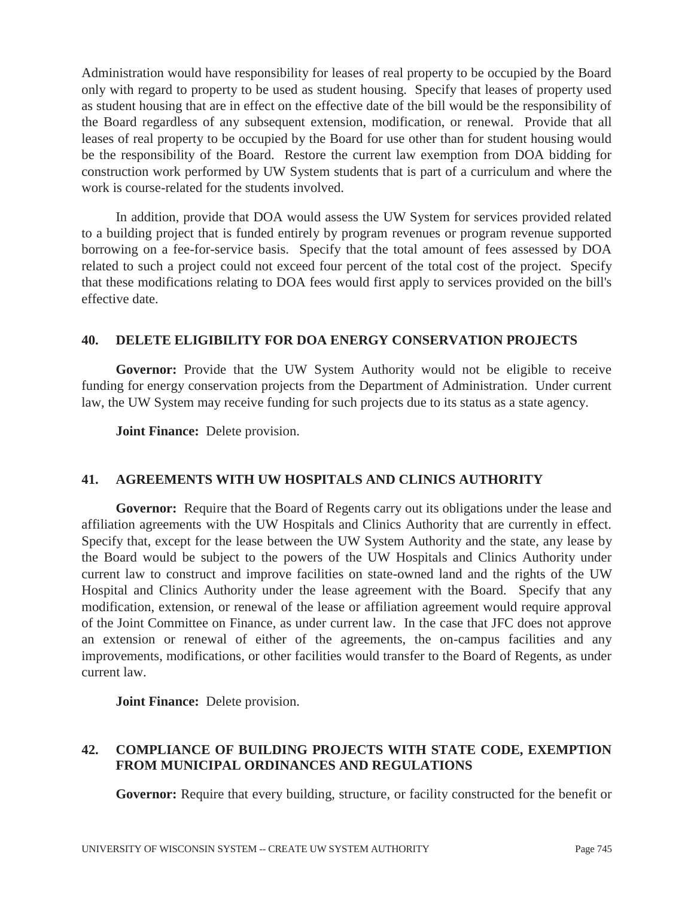Administration would have responsibility for leases of real property to be occupied by the Board only with regard to property to be used as student housing. Specify that leases of property used as student housing that are in effect on the effective date of the bill would be the responsibility of the Board regardless of any subsequent extension, modification, or renewal. Provide that all leases of real property to be occupied by the Board for use other than for student housing would be the responsibility of the Board. Restore the current law exemption from DOA bidding for construction work performed by UW System students that is part of a curriculum and where the work is course-related for the students involved.

 In addition, provide that DOA would assess the UW System for services provided related to a building project that is funded entirely by program revenues or program revenue supported borrowing on a fee-for-service basis. Specify that the total amount of fees assessed by DOA related to such a project could not exceed four percent of the total cost of the project. Specify that these modifications relating to DOA fees would first apply to services provided on the bill's effective date.

## **40. DELETE ELIGIBILITY FOR DOA ENERGY CONSERVATION PROJECTS**

**Governor:** Provide that the UW System Authority would not be eligible to receive funding for energy conservation projects from the Department of Administration. Under current law, the UW System may receive funding for such projects due to its status as a state agency.

 **Joint Finance:** Delete provision.

## **41. AGREEMENTS WITH UW HOSPITALS AND CLINICS AUTHORITY**

**Governor:** Require that the Board of Regents carry out its obligations under the lease and affiliation agreements with the UW Hospitals and Clinics Authority that are currently in effect. Specify that, except for the lease between the UW System Authority and the state, any lease by the Board would be subject to the powers of the UW Hospitals and Clinics Authority under current law to construct and improve facilities on state-owned land and the rights of the UW Hospital and Clinics Authority under the lease agreement with the Board. Specify that any modification, extension, or renewal of the lease or affiliation agreement would require approval of the Joint Committee on Finance, as under current law. In the case that JFC does not approve an extension or renewal of either of the agreements, the on-campus facilities and any improvements, modifications, or other facilities would transfer to the Board of Regents, as under current law.

 **Joint Finance:** Delete provision.

## **42. COMPLIANCE OF BUILDING PROJECTS WITH STATE CODE, EXEMPTION FROM MUNICIPAL ORDINANCES AND REGULATIONS**

Governor: Require that every building, structure, or facility constructed for the benefit or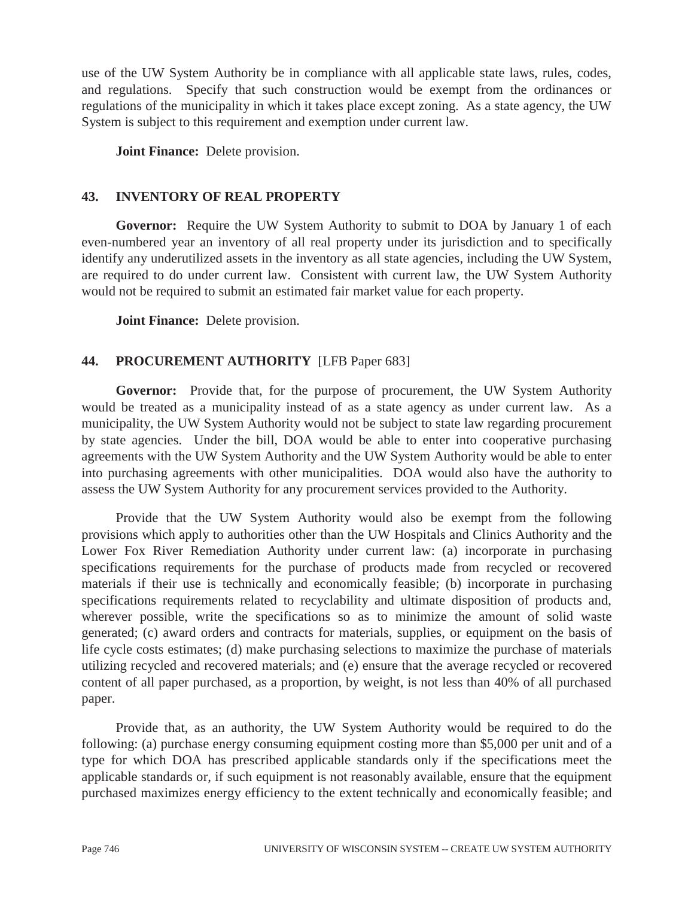use of the UW System Authority be in compliance with all applicable state laws, rules, codes, and regulations. Specify that such construction would be exempt from the ordinances or regulations of the municipality in which it takes place except zoning. As a state agency, the UW System is subject to this requirement and exemption under current law.

 **Joint Finance:** Delete provision.

# **43. INVENTORY OF REAL PROPERTY**

**Governor:** Require the UW System Authority to submit to DOA by January 1 of each even-numbered year an inventory of all real property under its jurisdiction and to specifically identify any underutilized assets in the inventory as all state agencies, including the UW System, are required to do under current law. Consistent with current law, the UW System Authority would not be required to submit an estimated fair market value for each property.

 **Joint Finance:** Delete provision.

# **44. PROCUREMENT AUTHORITY** [LFB Paper 683]

**Governor:** Provide that, for the purpose of procurement, the UW System Authority would be treated as a municipality instead of as a state agency as under current law. As a municipality, the UW System Authority would not be subject to state law regarding procurement by state agencies. Under the bill, DOA would be able to enter into cooperative purchasing agreements with the UW System Authority and the UW System Authority would be able to enter into purchasing agreements with other municipalities. DOA would also have the authority to assess the UW System Authority for any procurement services provided to the Authority.

 Provide that the UW System Authority would also be exempt from the following provisions which apply to authorities other than the UW Hospitals and Clinics Authority and the Lower Fox River Remediation Authority under current law: (a) incorporate in purchasing specifications requirements for the purchase of products made from recycled or recovered materials if their use is technically and economically feasible; (b) incorporate in purchasing specifications requirements related to recyclability and ultimate disposition of products and, wherever possible, write the specifications so as to minimize the amount of solid waste generated; (c) award orders and contracts for materials, supplies, or equipment on the basis of life cycle costs estimates; (d) make purchasing selections to maximize the purchase of materials utilizing recycled and recovered materials; and (e) ensure that the average recycled or recovered content of all paper purchased, as a proportion, by weight, is not less than 40% of all purchased paper.

 Provide that, as an authority, the UW System Authority would be required to do the following: (a) purchase energy consuming equipment costing more than \$5,000 per unit and of a type for which DOA has prescribed applicable standards only if the specifications meet the applicable standards or, if such equipment is not reasonably available, ensure that the equipment purchased maximizes energy efficiency to the extent technically and economically feasible; and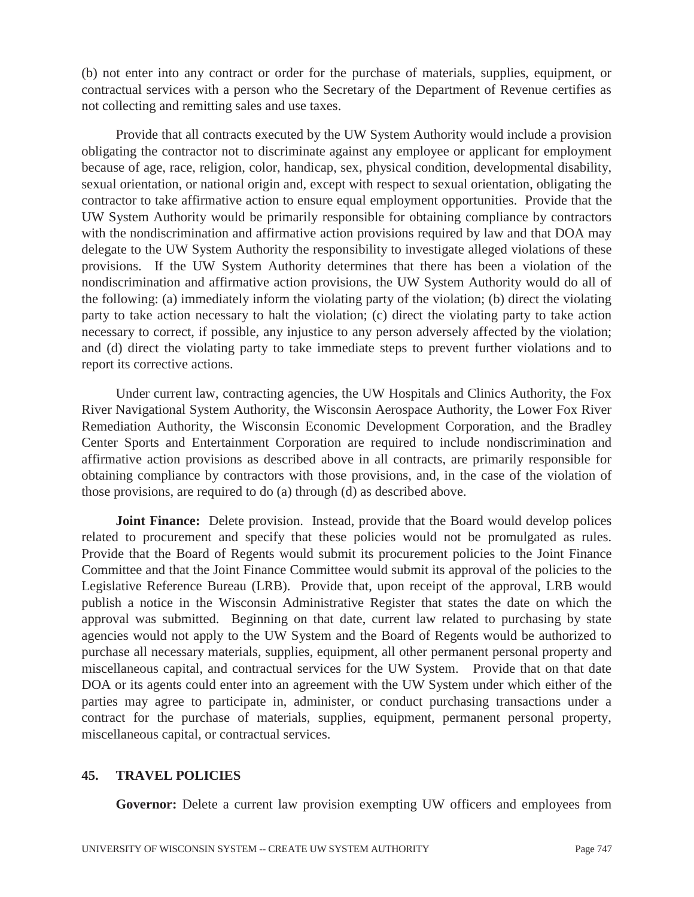(b) not enter into any contract or order for the purchase of materials, supplies, equipment, or contractual services with a person who the Secretary of the Department of Revenue certifies as not collecting and remitting sales and use taxes.

 Provide that all contracts executed by the UW System Authority would include a provision obligating the contractor not to discriminate against any employee or applicant for employment because of age, race, religion, color, handicap, sex, physical condition, developmental disability, sexual orientation, or national origin and, except with respect to sexual orientation, obligating the contractor to take affirmative action to ensure equal employment opportunities. Provide that the UW System Authority would be primarily responsible for obtaining compliance by contractors with the nondiscrimination and affirmative action provisions required by law and that DOA may delegate to the UW System Authority the responsibility to investigate alleged violations of these provisions. If the UW System Authority determines that there has been a violation of the nondiscrimination and affirmative action provisions, the UW System Authority would do all of the following: (a) immediately inform the violating party of the violation; (b) direct the violating party to take action necessary to halt the violation; (c) direct the violating party to take action necessary to correct, if possible, any injustice to any person adversely affected by the violation; and (d) direct the violating party to take immediate steps to prevent further violations and to report its corrective actions.

 Under current law, contracting agencies, the UW Hospitals and Clinics Authority, the Fox River Navigational System Authority, the Wisconsin Aerospace Authority, the Lower Fox River Remediation Authority, the Wisconsin Economic Development Corporation, and the Bradley Center Sports and Entertainment Corporation are required to include nondiscrimination and affirmative action provisions as described above in all contracts, are primarily responsible for obtaining compliance by contractors with those provisions, and, in the case of the violation of those provisions, are required to do (a) through (d) as described above.

**Joint Finance:** Delete provision. Instead, provide that the Board would develop polices related to procurement and specify that these policies would not be promulgated as rules. Provide that the Board of Regents would submit its procurement policies to the Joint Finance Committee and that the Joint Finance Committee would submit its approval of the policies to the Legislative Reference Bureau (LRB). Provide that, upon receipt of the approval, LRB would publish a notice in the Wisconsin Administrative Register that states the date on which the approval was submitted. Beginning on that date, current law related to purchasing by state agencies would not apply to the UW System and the Board of Regents would be authorized to purchase all necessary materials, supplies, equipment, all other permanent personal property and miscellaneous capital, and contractual services for the UW System. Provide that on that date DOA or its agents could enter into an agreement with the UW System under which either of the parties may agree to participate in, administer, or conduct purchasing transactions under a contract for the purchase of materials, supplies, equipment, permanent personal property, miscellaneous capital, or contractual services.

### **45. TRAVEL POLICIES**

**Governor:** Delete a current law provision exempting UW officers and employees from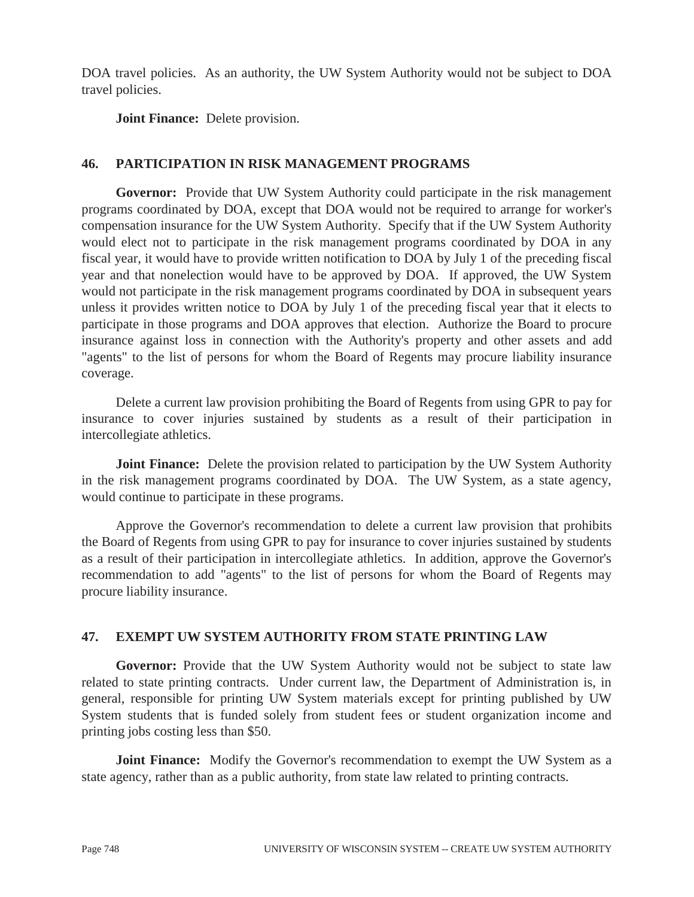DOA travel policies. As an authority, the UW System Authority would not be subject to DOA travel policies.

 **Joint Finance:** Delete provision.

## **46. PARTICIPATION IN RISK MANAGEMENT PROGRAMS**

**Governor:** Provide that UW System Authority could participate in the risk management programs coordinated by DOA, except that DOA would not be required to arrange for worker's compensation insurance for the UW System Authority. Specify that if the UW System Authority would elect not to participate in the risk management programs coordinated by DOA in any fiscal year, it would have to provide written notification to DOA by July 1 of the preceding fiscal year and that nonelection would have to be approved by DOA. If approved, the UW System would not participate in the risk management programs coordinated by DOA in subsequent years unless it provides written notice to DOA by July 1 of the preceding fiscal year that it elects to participate in those programs and DOA approves that election. Authorize the Board to procure insurance against loss in connection with the Authority's property and other assets and add "agents" to the list of persons for whom the Board of Regents may procure liability insurance coverage.

 Delete a current law provision prohibiting the Board of Regents from using GPR to pay for insurance to cover injuries sustained by students as a result of their participation in intercollegiate athletics.

**Joint Finance:** Delete the provision related to participation by the UW System Authority in the risk management programs coordinated by DOA. The UW System, as a state agency, would continue to participate in these programs.

 Approve the Governor's recommendation to delete a current law provision that prohibits the Board of Regents from using GPR to pay for insurance to cover injuries sustained by students as a result of their participation in intercollegiate athletics. In addition, approve the Governor's recommendation to add "agents" to the list of persons for whom the Board of Regents may procure liability insurance.

## **47. EXEMPT UW SYSTEM AUTHORITY FROM STATE PRINTING LAW**

Governor: Provide that the UW System Authority would not be subject to state law related to state printing contracts. Under current law, the Department of Administration is, in general, responsible for printing UW System materials except for printing published by UW System students that is funded solely from student fees or student organization income and printing jobs costing less than \$50.

**Joint Finance:** Modify the Governor's recommendation to exempt the UW System as a state agency, rather than as a public authority, from state law related to printing contracts.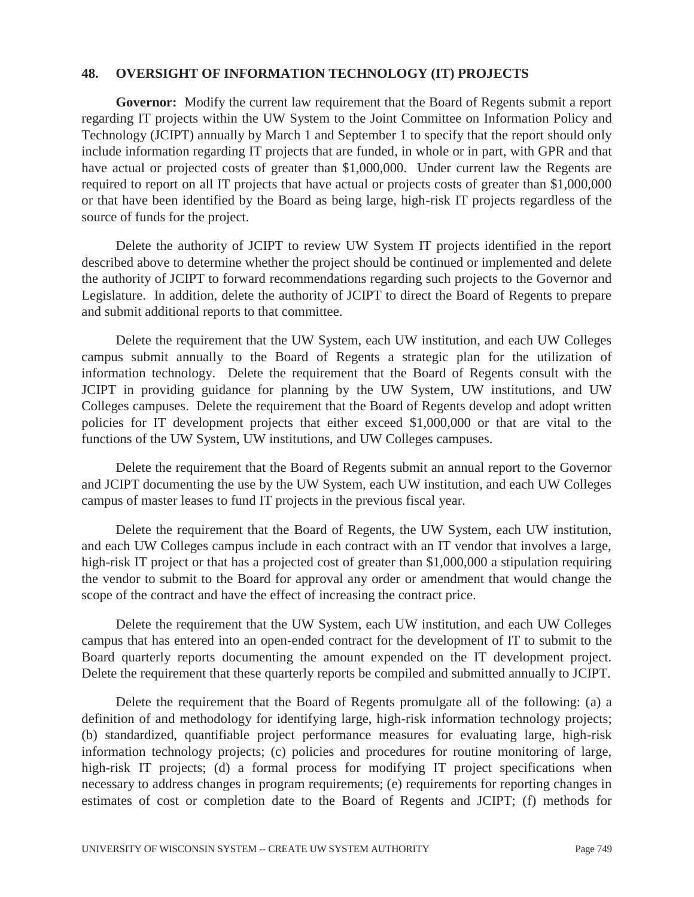### **48. OVERSIGHT OF INFORMATION TECHNOLOGY (IT) PROJECTS**

**Governor:** Modify the current law requirement that the Board of Regents submit a report regarding IT projects within the UW System to the Joint Committee on Information Policy and Technology (JCIPT) annually by March 1 and September 1 to specify that the report should only include information regarding IT projects that are funded, in whole or in part, with GPR and that have actual or projected costs of greater than \$1,000,000. Under current law the Regents are required to report on all IT projects that have actual or projects costs of greater than \$1,000,000 or that have been identified by the Board as being large, high-risk IT projects regardless of the source of funds for the project.

 Delete the authority of JCIPT to review UW System IT projects identified in the report described above to determine whether the project should be continued or implemented and delete the authority of JCIPT to forward recommendations regarding such projects to the Governor and Legislature. In addition, delete the authority of JCIPT to direct the Board of Regents to prepare and submit additional reports to that committee.

 Delete the requirement that the UW System, each UW institution, and each UW Colleges campus submit annually to the Board of Regents a strategic plan for the utilization of information technology. Delete the requirement that the Board of Regents consult with the JCIPT in providing guidance for planning by the UW System, UW institutions, and UW Colleges campuses. Delete the requirement that the Board of Regents develop and adopt written policies for IT development projects that either exceed \$1,000,000 or that are vital to the functions of the UW System, UW institutions, and UW Colleges campuses.

 Delete the requirement that the Board of Regents submit an annual report to the Governor and JCIPT documenting the use by the UW System, each UW institution, and each UW Colleges campus of master leases to fund IT projects in the previous fiscal year.

 Delete the requirement that the Board of Regents, the UW System, each UW institution, and each UW Colleges campus include in each contract with an IT vendor that involves a large, high-risk IT project or that has a projected cost of greater than \$1,000,000 a stipulation requiring the vendor to submit to the Board for approval any order or amendment that would change the scope of the contract and have the effect of increasing the contract price.

 Delete the requirement that the UW System, each UW institution, and each UW Colleges campus that has entered into an open-ended contract for the development of IT to submit to the Board quarterly reports documenting the amount expended on the IT development project. Delete the requirement that these quarterly reports be compiled and submitted annually to JCIPT.

 Delete the requirement that the Board of Regents promulgate all of the following: (a) a definition of and methodology for identifying large, high-risk information technology projects; (b) standardized, quantifiable project performance measures for evaluating large, high-risk information technology projects; (c) policies and procedures for routine monitoring of large, high-risk IT projects; (d) a formal process for modifying IT project specifications when necessary to address changes in program requirements; (e) requirements for reporting changes in estimates of cost or completion date to the Board of Regents and JCIPT; (f) methods for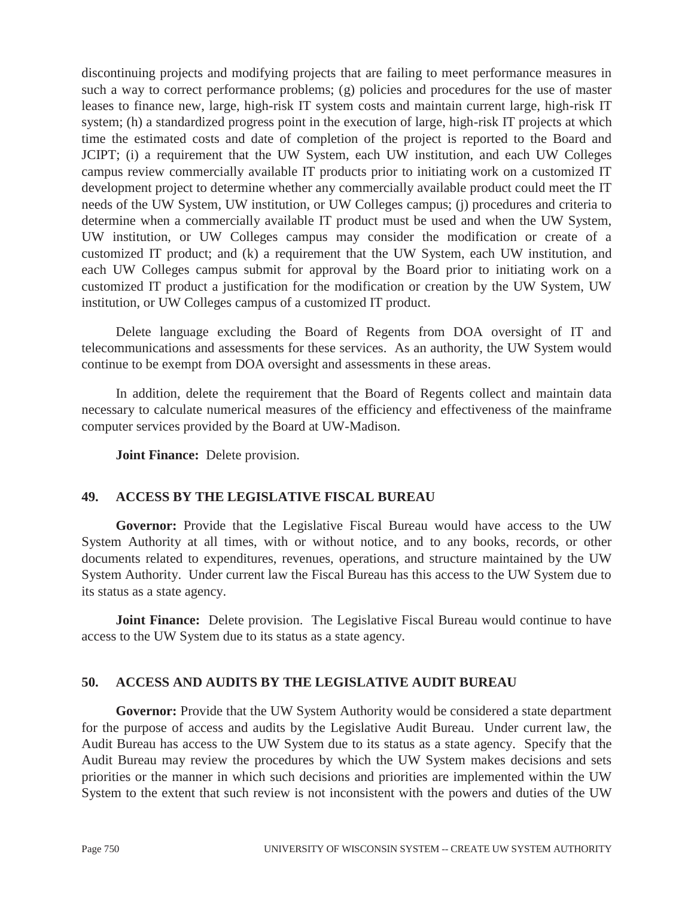discontinuing projects and modifying projects that are failing to meet performance measures in such a way to correct performance problems; (g) policies and procedures for the use of master leases to finance new, large, high-risk IT system costs and maintain current large, high-risk IT system; (h) a standardized progress point in the execution of large, high-risk IT projects at which time the estimated costs and date of completion of the project is reported to the Board and JCIPT; (i) a requirement that the UW System, each UW institution, and each UW Colleges campus review commercially available IT products prior to initiating work on a customized IT development project to determine whether any commercially available product could meet the IT needs of the UW System, UW institution, or UW Colleges campus; (j) procedures and criteria to determine when a commercially available IT product must be used and when the UW System, UW institution, or UW Colleges campus may consider the modification or create of a customized IT product; and (k) a requirement that the UW System, each UW institution, and each UW Colleges campus submit for approval by the Board prior to initiating work on a customized IT product a justification for the modification or creation by the UW System, UW institution, or UW Colleges campus of a customized IT product.

 Delete language excluding the Board of Regents from DOA oversight of IT and telecommunications and assessments for these services. As an authority, the UW System would continue to be exempt from DOA oversight and assessments in these areas.

 In addition, delete the requirement that the Board of Regents collect and maintain data necessary to calculate numerical measures of the efficiency and effectiveness of the mainframe computer services provided by the Board at UW-Madison.

 **Joint Finance:** Delete provision.

### **49. ACCESS BY THE LEGISLATIVE FISCAL BUREAU**

**Governor:** Provide that the Legislative Fiscal Bureau would have access to the UW System Authority at all times, with or without notice, and to any books, records, or other documents related to expenditures, revenues, operations, and structure maintained by the UW System Authority. Under current law the Fiscal Bureau has this access to the UW System due to its status as a state agency.

**Joint Finance:** Delete provision. The Legislative Fiscal Bureau would continue to have access to the UW System due to its status as a state agency.

## **50. ACCESS AND AUDITS BY THE LEGISLATIVE AUDIT BUREAU**

**Governor:** Provide that the UW System Authority would be considered a state department for the purpose of access and audits by the Legislative Audit Bureau. Under current law, the Audit Bureau has access to the UW System due to its status as a state agency. Specify that the Audit Bureau may review the procedures by which the UW System makes decisions and sets priorities or the manner in which such decisions and priorities are implemented within the UW System to the extent that such review is not inconsistent with the powers and duties of the UW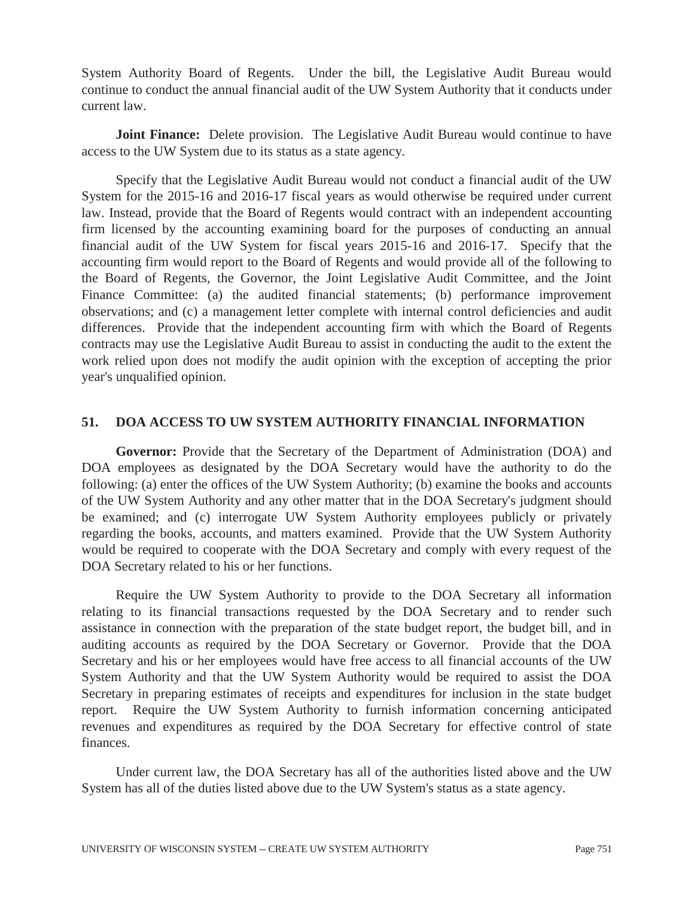System Authority Board of Regents. Under the bill, the Legislative Audit Bureau would continue to conduct the annual financial audit of the UW System Authority that it conducts under current law.

 **Joint Finance:** Delete provision. The Legislative Audit Bureau would continue to have access to the UW System due to its status as a state agency.

 Specify that the Legislative Audit Bureau would not conduct a financial audit of the UW System for the 2015-16 and 2016-17 fiscal years as would otherwise be required under current law. Instead, provide that the Board of Regents would contract with an independent accounting firm licensed by the accounting examining board for the purposes of conducting an annual financial audit of the UW System for fiscal years 2015-16 and 2016-17. Specify that the accounting firm would report to the Board of Regents and would provide all of the following to the Board of Regents, the Governor, the Joint Legislative Audit Committee, and the Joint Finance Committee: (a) the audited financial statements; (b) performance improvement observations; and (c) a management letter complete with internal control deficiencies and audit differences. Provide that the independent accounting firm with which the Board of Regents contracts may use the Legislative Audit Bureau to assist in conducting the audit to the extent the work relied upon does not modify the audit opinion with the exception of accepting the prior year's unqualified opinion.

## **51. DOA ACCESS TO UW SYSTEM AUTHORITY FINANCIAL INFORMATION**

**Governor:** Provide that the Secretary of the Department of Administration (DOA) and DOA employees as designated by the DOA Secretary would have the authority to do the following: (a) enter the offices of the UW System Authority; (b) examine the books and accounts of the UW System Authority and any other matter that in the DOA Secretary's judgment should be examined; and (c) interrogate UW System Authority employees publicly or privately regarding the books, accounts, and matters examined. Provide that the UW System Authority would be required to cooperate with the DOA Secretary and comply with every request of the DOA Secretary related to his or her functions.

 Require the UW System Authority to provide to the DOA Secretary all information relating to its financial transactions requested by the DOA Secretary and to render such assistance in connection with the preparation of the state budget report, the budget bill, and in auditing accounts as required by the DOA Secretary or Governor. Provide that the DOA Secretary and his or her employees would have free access to all financial accounts of the UW System Authority and that the UW System Authority would be required to assist the DOA Secretary in preparing estimates of receipts and expenditures for inclusion in the state budget report. Require the UW System Authority to furnish information concerning anticipated revenues and expenditures as required by the DOA Secretary for effective control of state finances.

 Under current law, the DOA Secretary has all of the authorities listed above and the UW System has all of the duties listed above due to the UW System's status as a state agency.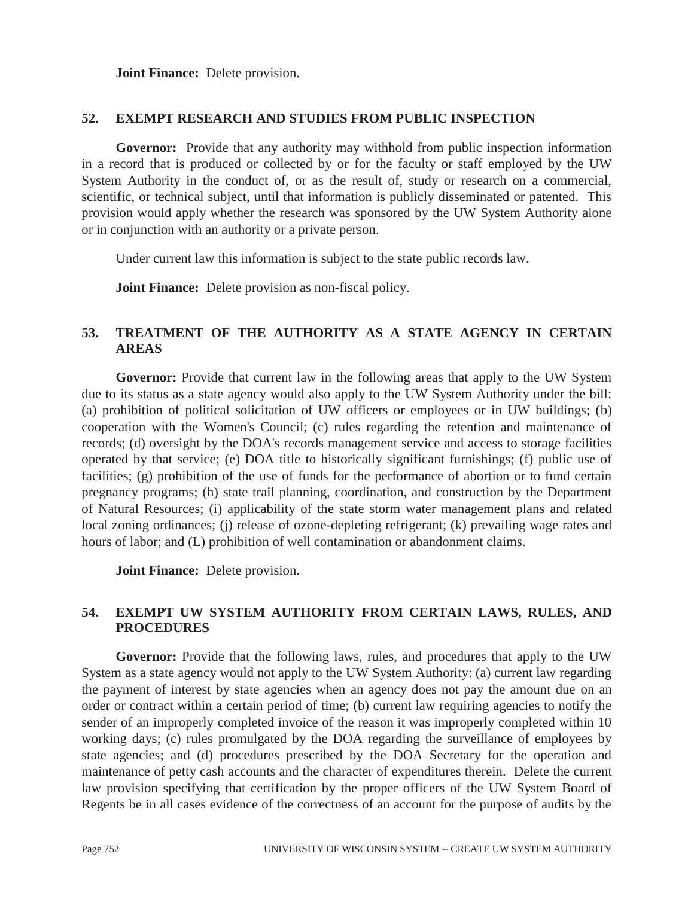**Joint Finance:** Delete provision.

### **52. EXEMPT RESEARCH AND STUDIES FROM PUBLIC INSPECTION**

**Governor:** Provide that any authority may withhold from public inspection information in a record that is produced or collected by or for the faculty or staff employed by the UW System Authority in the conduct of, or as the result of, study or research on a commercial, scientific, or technical subject, until that information is publicly disseminated or patented. This provision would apply whether the research was sponsored by the UW System Authority alone or in conjunction with an authority or a private person.

Under current law this information is subject to the state public records law.

**Joint Finance:** Delete provision as non-fiscal policy.

## **53. TREATMENT OF THE AUTHORITY AS A STATE AGENCY IN CERTAIN AREAS**

**Governor:** Provide that current law in the following areas that apply to the UW System due to its status as a state agency would also apply to the UW System Authority under the bill: (a) prohibition of political solicitation of UW officers or employees or in UW buildings; (b) cooperation with the Women's Council; (c) rules regarding the retention and maintenance of records; (d) oversight by the DOA's records management service and access to storage facilities operated by that service; (e) DOA title to historically significant furnishings; (f) public use of facilities; (g) prohibition of the use of funds for the performance of abortion or to fund certain pregnancy programs; (h) state trail planning, coordination, and construction by the Department of Natural Resources; (i) applicability of the state storm water management plans and related local zoning ordinances; (i) release of ozone-depleting refrigerant; (k) prevailing wage rates and hours of labor; and (L) prohibition of well contamination or abandonment claims.

 **Joint Finance:** Delete provision.

## **54. EXEMPT UW SYSTEM AUTHORITY FROM CERTAIN LAWS, RULES, AND PROCEDURES**

Governor: Provide that the following laws, rules, and procedures that apply to the UW System as a state agency would not apply to the UW System Authority: (a) current law regarding the payment of interest by state agencies when an agency does not pay the amount due on an order or contract within a certain period of time; (b) current law requiring agencies to notify the sender of an improperly completed invoice of the reason it was improperly completed within 10 working days; (c) rules promulgated by the DOA regarding the surveillance of employees by state agencies; and (d) procedures prescribed by the DOA Secretary for the operation and maintenance of petty cash accounts and the character of expenditures therein. Delete the current law provision specifying that certification by the proper officers of the UW System Board of Regents be in all cases evidence of the correctness of an account for the purpose of audits by the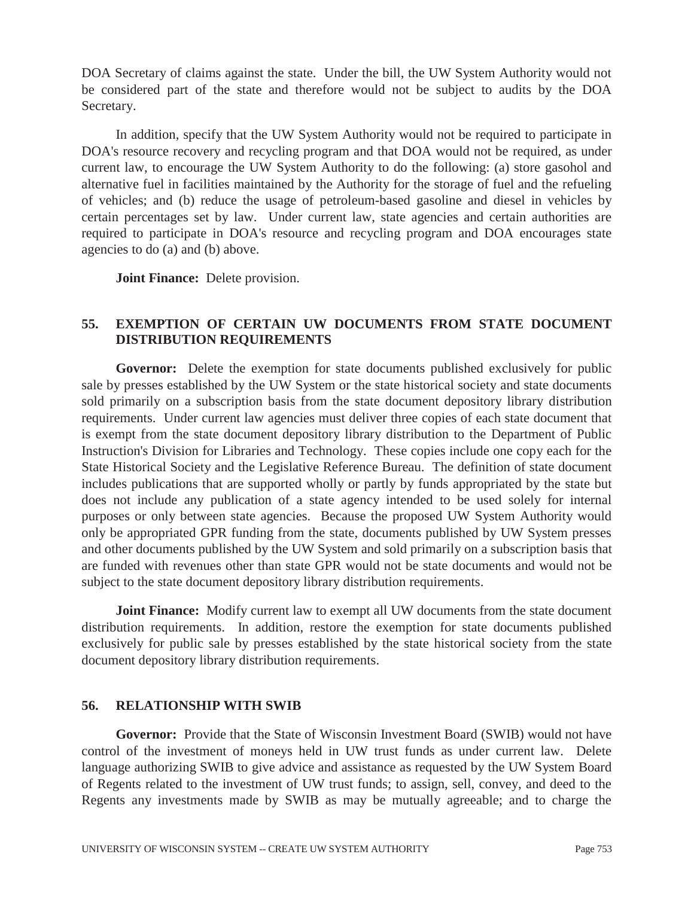DOA Secretary of claims against the state. Under the bill, the UW System Authority would not be considered part of the state and therefore would not be subject to audits by the DOA Secretary.

 In addition, specify that the UW System Authority would not be required to participate in DOA's resource recovery and recycling program and that DOA would not be required, as under current law, to encourage the UW System Authority to do the following: (a) store gasohol and alternative fuel in facilities maintained by the Authority for the storage of fuel and the refueling of vehicles; and (b) reduce the usage of petroleum-based gasoline and diesel in vehicles by certain percentages set by law. Under current law, state agencies and certain authorities are required to participate in DOA's resource and recycling program and DOA encourages state agencies to do (a) and (b) above.

 **Joint Finance:** Delete provision.

## **55. EXEMPTION OF CERTAIN UW DOCUMENTS FROM STATE DOCUMENT DISTRIBUTION REQUIREMENTS**

**Governor:** Delete the exemption for state documents published exclusively for public sale by presses established by the UW System or the state historical society and state documents sold primarily on a subscription basis from the state document depository library distribution requirements. Under current law agencies must deliver three copies of each state document that is exempt from the state document depository library distribution to the Department of Public Instruction's Division for Libraries and Technology. These copies include one copy each for the State Historical Society and the Legislative Reference Bureau. The definition of state document includes publications that are supported wholly or partly by funds appropriated by the state but does not include any publication of a state agency intended to be used solely for internal purposes or only between state agencies. Because the proposed UW System Authority would only be appropriated GPR funding from the state, documents published by UW System presses and other documents published by the UW System and sold primarily on a subscription basis that are funded with revenues other than state GPR would not be state documents and would not be subject to the state document depository library distribution requirements.

**Joint Finance:** Modify current law to exempt all UW documents from the state document distribution requirements. In addition, restore the exemption for state documents published exclusively for public sale by presses established by the state historical society from the state document depository library distribution requirements.

### **56. RELATIONSHIP WITH SWIB**

**Governor:** Provide that the State of Wisconsin Investment Board (SWIB) would not have control of the investment of moneys held in UW trust funds as under current law. Delete language authorizing SWIB to give advice and assistance as requested by the UW System Board of Regents related to the investment of UW trust funds; to assign, sell, convey, and deed to the Regents any investments made by SWIB as may be mutually agreeable; and to charge the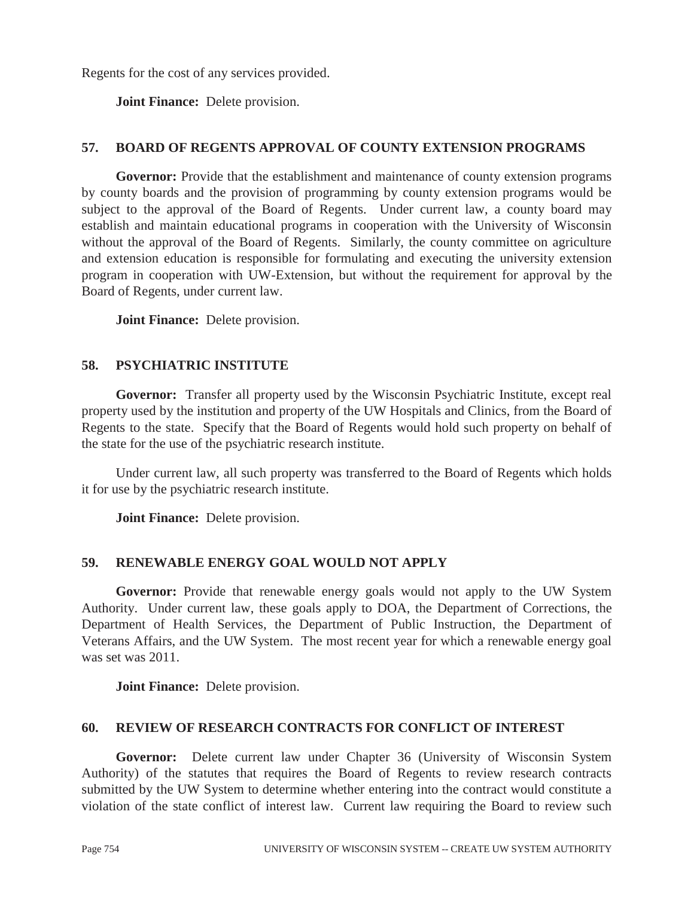Regents for the cost of any services provided.

 **Joint Finance:** Delete provision.

## **57. BOARD OF REGENTS APPROVAL OF COUNTY EXTENSION PROGRAMS**

**Governor:** Provide that the establishment and maintenance of county extension programs by county boards and the provision of programming by county extension programs would be subject to the approval of the Board of Regents. Under current law, a county board may establish and maintain educational programs in cooperation with the University of Wisconsin without the approval of the Board of Regents. Similarly, the county committee on agriculture and extension education is responsible for formulating and executing the university extension program in cooperation with UW-Extension, but without the requirement for approval by the Board of Regents, under current law.

 **Joint Finance:** Delete provision.

## **58. PSYCHIATRIC INSTITUTE**

**Governor:** Transfer all property used by the Wisconsin Psychiatric Institute, except real property used by the institution and property of the UW Hospitals and Clinics, from the Board of Regents to the state. Specify that the Board of Regents would hold such property on behalf of the state for the use of the psychiatric research institute.

 Under current law, all such property was transferred to the Board of Regents which holds it for use by the psychiatric research institute.

 **Joint Finance:** Delete provision.

## **59. RENEWABLE ENERGY GOAL WOULD NOT APPLY**

Governor: Provide that renewable energy goals would not apply to the UW System Authority. Under current law, these goals apply to DOA, the Department of Corrections, the Department of Health Services, the Department of Public Instruction, the Department of Veterans Affairs, and the UW System. The most recent year for which a renewable energy goal was set was 2011.

 **Joint Finance:** Delete provision.

## **60. REVIEW OF RESEARCH CONTRACTS FOR CONFLICT OF INTEREST**

**Governor:** Delete current law under Chapter 36 (University of Wisconsin System Authority) of the statutes that requires the Board of Regents to review research contracts submitted by the UW System to determine whether entering into the contract would constitute a violation of the state conflict of interest law. Current law requiring the Board to review such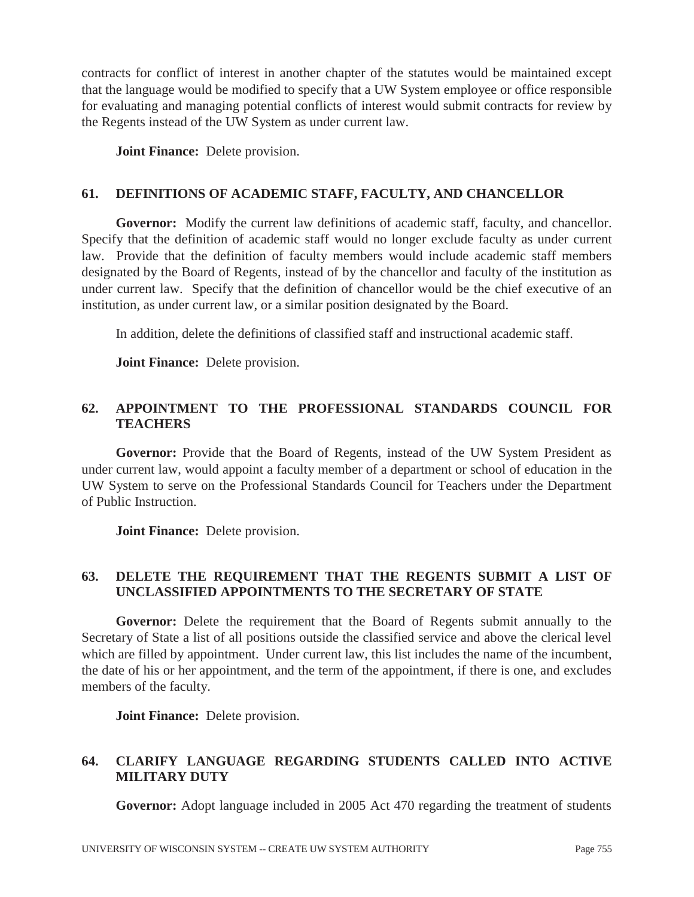contracts for conflict of interest in another chapter of the statutes would be maintained except that the language would be modified to specify that a UW System employee or office responsible for evaluating and managing potential conflicts of interest would submit contracts for review by the Regents instead of the UW System as under current law.

 **Joint Finance:** Delete provision.

## **61. DEFINITIONS OF ACADEMIC STAFF, FACULTY, AND CHANCELLOR**

**Governor:** Modify the current law definitions of academic staff, faculty, and chancellor. Specify that the definition of academic staff would no longer exclude faculty as under current law. Provide that the definition of faculty members would include academic staff members designated by the Board of Regents, instead of by the chancellor and faculty of the institution as under current law. Specify that the definition of chancellor would be the chief executive of an institution, as under current law, or a similar position designated by the Board.

In addition, delete the definitions of classified staff and instructional academic staff.

 **Joint Finance:** Delete provision.

# **62. APPOINTMENT TO THE PROFESSIONAL STANDARDS COUNCIL FOR TEACHERS**

**Governor:** Provide that the Board of Regents, instead of the UW System President as under current law, would appoint a faculty member of a department or school of education in the UW System to serve on the Professional Standards Council for Teachers under the Department of Public Instruction.

 **Joint Finance:** Delete provision.

## **63. DELETE THE REQUIREMENT THAT THE REGENTS SUBMIT A LIST OF UNCLASSIFIED APPOINTMENTS TO THE SECRETARY OF STATE**

**Governor:** Delete the requirement that the Board of Regents submit annually to the Secretary of State a list of all positions outside the classified service and above the clerical level which are filled by appointment. Under current law, this list includes the name of the incumbent, the date of his or her appointment, and the term of the appointment, if there is one, and excludes members of the faculty.

 **Joint Finance:** Delete provision.

# **64. CLARIFY LANGUAGE REGARDING STUDENTS CALLED INTO ACTIVE MILITARY DUTY**

**Governor:** Adopt language included in 2005 Act 470 regarding the treatment of students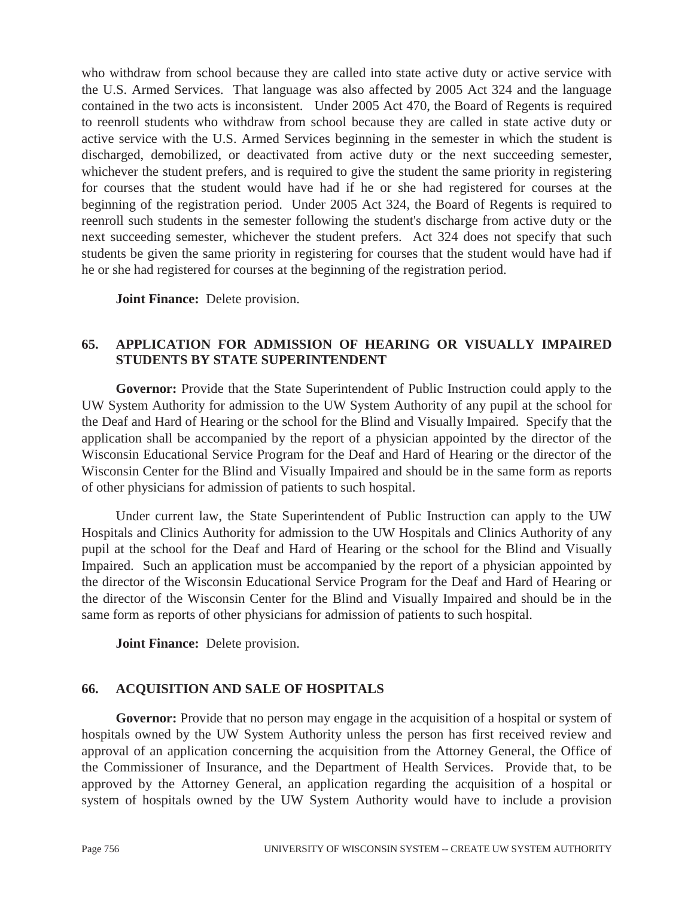who withdraw from school because they are called into state active duty or active service with the U.S. Armed Services. That language was also affected by 2005 Act 324 and the language contained in the two acts is inconsistent. Under 2005 Act 470, the Board of Regents is required to reenroll students who withdraw from school because they are called in state active duty or active service with the U.S. Armed Services beginning in the semester in which the student is discharged, demobilized, or deactivated from active duty or the next succeeding semester, whichever the student prefers, and is required to give the student the same priority in registering for courses that the student would have had if he or she had registered for courses at the beginning of the registration period. Under 2005 Act 324, the Board of Regents is required to reenroll such students in the semester following the student's discharge from active duty or the next succeeding semester, whichever the student prefers. Act 324 does not specify that such students be given the same priority in registering for courses that the student would have had if he or she had registered for courses at the beginning of the registration period.

 **Joint Finance:** Delete provision.

## **65. APPLICATION FOR ADMISSION OF HEARING OR VISUALLY IMPAIRED STUDENTS BY STATE SUPERINTENDENT**

**Governor:** Provide that the State Superintendent of Public Instruction could apply to the UW System Authority for admission to the UW System Authority of any pupil at the school for the Deaf and Hard of Hearing or the school for the Blind and Visually Impaired. Specify that the application shall be accompanied by the report of a physician appointed by the director of the Wisconsin Educational Service Program for the Deaf and Hard of Hearing or the director of the Wisconsin Center for the Blind and Visually Impaired and should be in the same form as reports of other physicians for admission of patients to such hospital.

 Under current law, the State Superintendent of Public Instruction can apply to the UW Hospitals and Clinics Authority for admission to the UW Hospitals and Clinics Authority of any pupil at the school for the Deaf and Hard of Hearing or the school for the Blind and Visually Impaired. Such an application must be accompanied by the report of a physician appointed by the director of the Wisconsin Educational Service Program for the Deaf and Hard of Hearing or the director of the Wisconsin Center for the Blind and Visually Impaired and should be in the same form as reports of other physicians for admission of patients to such hospital.

 **Joint Finance:** Delete provision.

### **66. ACQUISITION AND SALE OF HOSPITALS**

**Governor:** Provide that no person may engage in the acquisition of a hospital or system of hospitals owned by the UW System Authority unless the person has first received review and approval of an application concerning the acquisition from the Attorney General, the Office of the Commissioner of Insurance, and the Department of Health Services. Provide that, to be approved by the Attorney General, an application regarding the acquisition of a hospital or system of hospitals owned by the UW System Authority would have to include a provision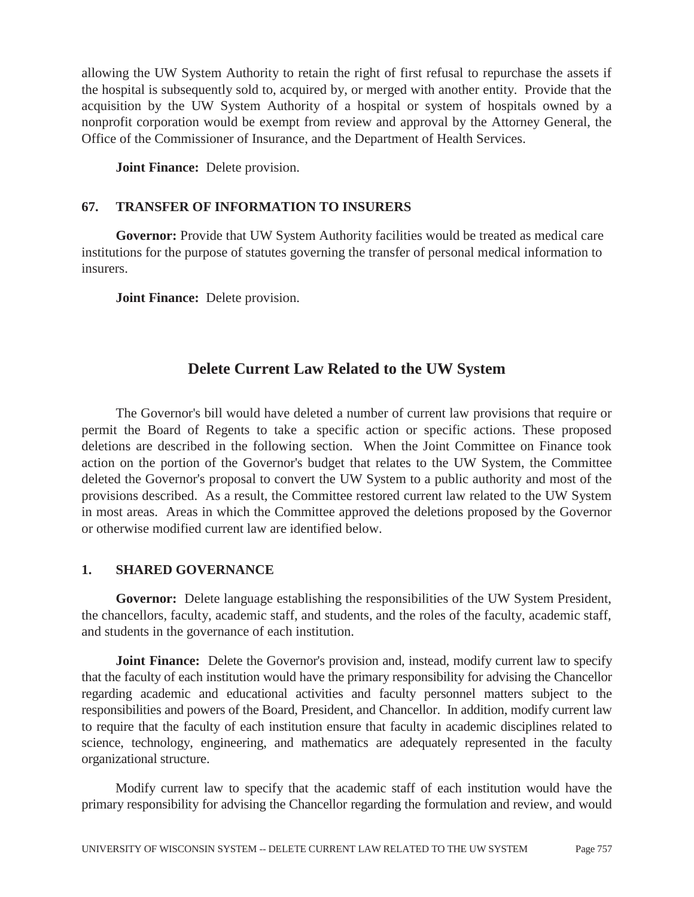allowing the UW System Authority to retain the right of first refusal to repurchase the assets if the hospital is subsequently sold to, acquired by, or merged with another entity. Provide that the acquisition by the UW System Authority of a hospital or system of hospitals owned by a nonprofit corporation would be exempt from review and approval by the Attorney General, the Office of the Commissioner of Insurance, and the Department of Health Services.

 **Joint Finance:** Delete provision.

## **67. TRANSFER OF INFORMATION TO INSURERS**

**Governor:** Provide that UW System Authority facilities would be treated as medical care institutions for the purpose of statutes governing the transfer of personal medical information to insurers.

 **Joint Finance:** Delete provision.

# **Delete Current Law Related to the UW System**

 The Governor's bill would have deleted a number of current law provisions that require or permit the Board of Regents to take a specific action or specific actions. These proposed deletions are described in the following section. When the Joint Committee on Finance took action on the portion of the Governor's budget that relates to the UW System, the Committee deleted the Governor's proposal to convert the UW System to a public authority and most of the provisions described. As a result, the Committee restored current law related to the UW System in most areas. Areas in which the Committee approved the deletions proposed by the Governor or otherwise modified current law are identified below.

## **1. SHARED GOVERNANCE**

**Governor:** Delete language establishing the responsibilities of the UW System President, the chancellors, faculty, academic staff, and students, and the roles of the faculty, academic staff, and students in the governance of each institution.

**Joint Finance:** Delete the Governor's provision and, instead, modify current law to specify that the faculty of each institution would have the primary responsibility for advising the Chancellor regarding academic and educational activities and faculty personnel matters subject to the responsibilities and powers of the Board, President, and Chancellor. In addition, modify current law to require that the faculty of each institution ensure that faculty in academic disciplines related to science, technology, engineering, and mathematics are adequately represented in the faculty organizational structure.

 Modify current law to specify that the academic staff of each institution would have the primary responsibility for advising the Chancellor regarding the formulation and review, and would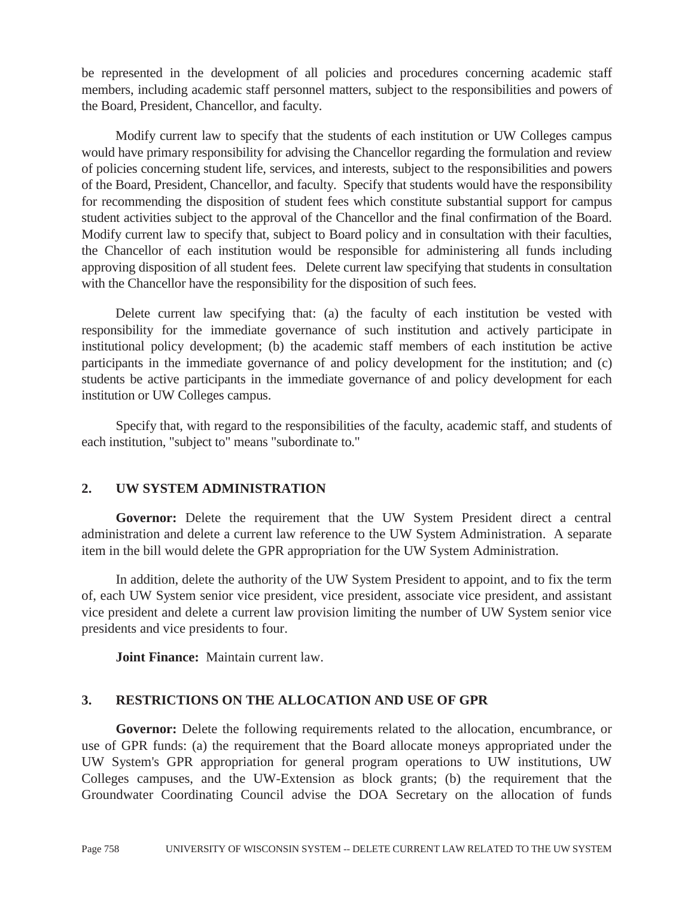be represented in the development of all policies and procedures concerning academic staff members, including academic staff personnel matters, subject to the responsibilities and powers of the Board, President, Chancellor, and faculty.

 Modify current law to specify that the students of each institution or UW Colleges campus would have primary responsibility for advising the Chancellor regarding the formulation and review of policies concerning student life, services, and interests, subject to the responsibilities and powers of the Board, President, Chancellor, and faculty. Specify that students would have the responsibility for recommending the disposition of student fees which constitute substantial support for campus student activities subject to the approval of the Chancellor and the final confirmation of the Board. Modify current law to specify that, subject to Board policy and in consultation with their faculties, the Chancellor of each institution would be responsible for administering all funds including approving disposition of all student fees. Delete current law specifying that students in consultation with the Chancellor have the responsibility for the disposition of such fees.

 Delete current law specifying that: (a) the faculty of each institution be vested with responsibility for the immediate governance of such institution and actively participate in institutional policy development; (b) the academic staff members of each institution be active participants in the immediate governance of and policy development for the institution; and (c) students be active participants in the immediate governance of and policy development for each institution or UW Colleges campus.

 Specify that, with regard to the responsibilities of the faculty, academic staff, and students of each institution, "subject to" means "subordinate to."

### **2. UW SYSTEM ADMINISTRATION**

**Governor:** Delete the requirement that the UW System President direct a central administration and delete a current law reference to the UW System Administration. A separate item in the bill would delete the GPR appropriation for the UW System Administration.

 In addition, delete the authority of the UW System President to appoint, and to fix the term of, each UW System senior vice president, vice president, associate vice president, and assistant vice president and delete a current law provision limiting the number of UW System senior vice presidents and vice presidents to four.

 **Joint Finance:** Maintain current law.

### **3. RESTRICTIONS ON THE ALLOCATION AND USE OF GPR**

**Governor:** Delete the following requirements related to the allocation, encumbrance, or use of GPR funds: (a) the requirement that the Board allocate moneys appropriated under the UW System's GPR appropriation for general program operations to UW institutions, UW Colleges campuses, and the UW-Extension as block grants; (b) the requirement that the Groundwater Coordinating Council advise the DOA Secretary on the allocation of funds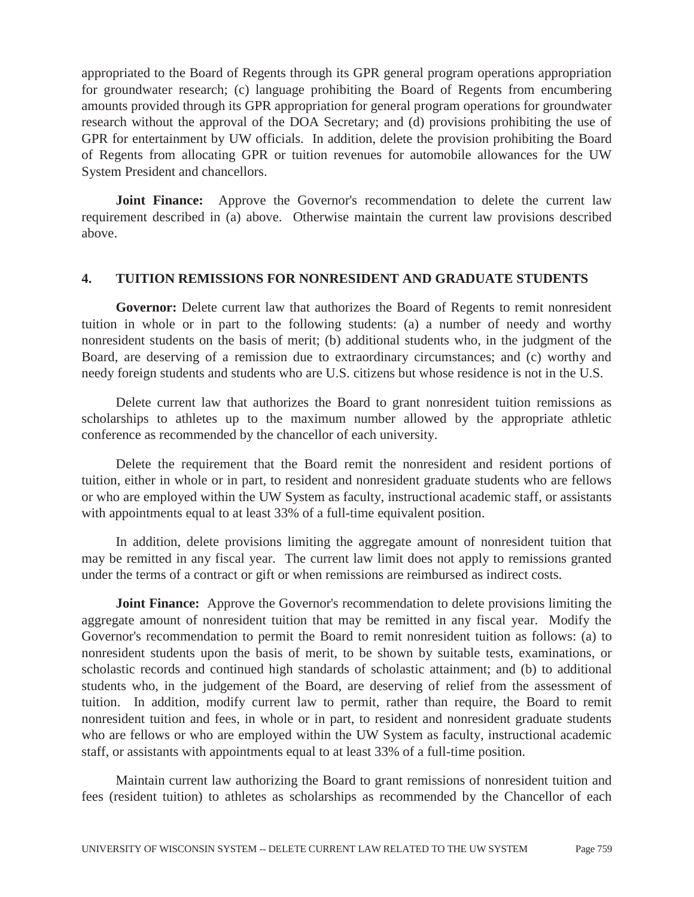appropriated to the Board of Regents through its GPR general program operations appropriation for groundwater research; (c) language prohibiting the Board of Regents from encumbering amounts provided through its GPR appropriation for general program operations for groundwater research without the approval of the DOA Secretary; and (d) provisions prohibiting the use of GPR for entertainment by UW officials. In addition, delete the provision prohibiting the Board of Regents from allocating GPR or tuition revenues for automobile allowances for the UW System President and chancellors.

**Joint Finance:** Approve the Governor's recommendation to delete the current law requirement described in (a) above. Otherwise maintain the current law provisions described above.

### **4. TUITION REMISSIONS FOR NONRESIDENT AND GRADUATE STUDENTS**

**Governor:** Delete current law that authorizes the Board of Regents to remit nonresident tuition in whole or in part to the following students: (a) a number of needy and worthy nonresident students on the basis of merit; (b) additional students who, in the judgment of the Board, are deserving of a remission due to extraordinary circumstances; and (c) worthy and needy foreign students and students who are U.S. citizens but whose residence is not in the U.S.

 Delete current law that authorizes the Board to grant nonresident tuition remissions as scholarships to athletes up to the maximum number allowed by the appropriate athletic conference as recommended by the chancellor of each university.

 Delete the requirement that the Board remit the nonresident and resident portions of tuition, either in whole or in part, to resident and nonresident graduate students who are fellows or who are employed within the UW System as faculty, instructional academic staff, or assistants with appointments equal to at least 33% of a full-time equivalent position.

 In addition, delete provisions limiting the aggregate amount of nonresident tuition that may be remitted in any fiscal year. The current law limit does not apply to remissions granted under the terms of a contract or gift or when remissions are reimbursed as indirect costs.

**Joint Finance:** Approve the Governor's recommendation to delete provisions limiting the aggregate amount of nonresident tuition that may be remitted in any fiscal year. Modify the Governor's recommendation to permit the Board to remit nonresident tuition as follows: (a) to nonresident students upon the basis of merit, to be shown by suitable tests, examinations, or scholastic records and continued high standards of scholastic attainment; and (b) to additional students who, in the judgement of the Board, are deserving of relief from the assessment of tuition. In addition, modify current law to permit, rather than require, the Board to remit nonresident tuition and fees, in whole or in part, to resident and nonresident graduate students who are fellows or who are employed within the UW System as faculty, instructional academic staff, or assistants with appointments equal to at least 33% of a full-time position.

 Maintain current law authorizing the Board to grant remissions of nonresident tuition and fees (resident tuition) to athletes as scholarships as recommended by the Chancellor of each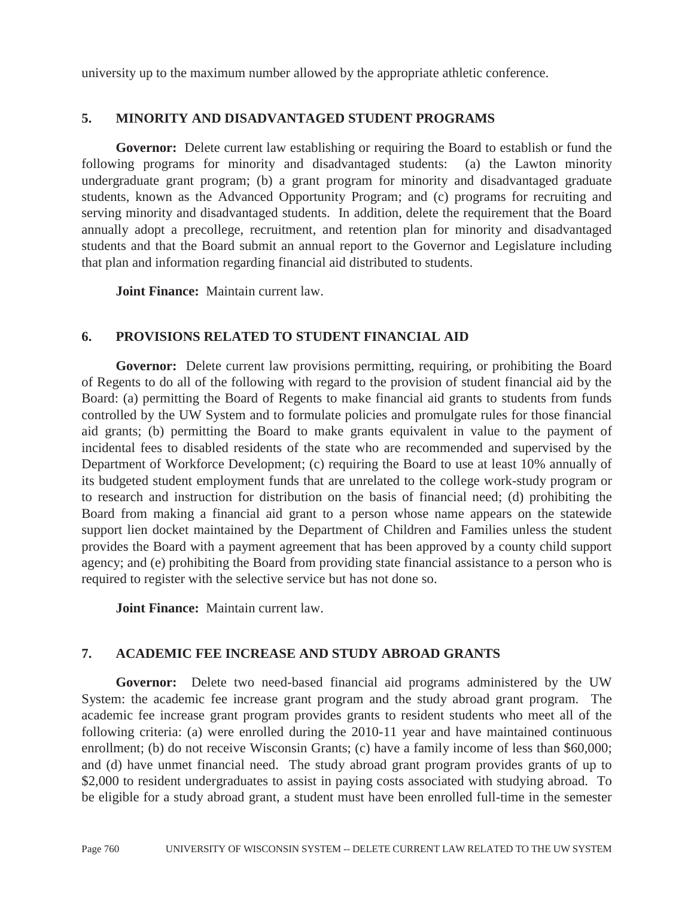university up to the maximum number allowed by the appropriate athletic conference.

### **5. MINORITY AND DISADVANTAGED STUDENT PROGRAMS**

**Governor:** Delete current law establishing or requiring the Board to establish or fund the following programs for minority and disadvantaged students: (a) the Lawton minority undergraduate grant program; (b) a grant program for minority and disadvantaged graduate students, known as the Advanced Opportunity Program; and (c) programs for recruiting and serving minority and disadvantaged students. In addition, delete the requirement that the Board annually adopt a precollege, recruitment, and retention plan for minority and disadvantaged students and that the Board submit an annual report to the Governor and Legislature including that plan and information regarding financial aid distributed to students.

 **Joint Finance:** Maintain current law.

### **6. PROVISIONS RELATED TO STUDENT FINANCIAL AID**

Governor: Delete current law provisions permitting, requiring, or prohibiting the Board of Regents to do all of the following with regard to the provision of student financial aid by the Board: (a) permitting the Board of Regents to make financial aid grants to students from funds controlled by the UW System and to formulate policies and promulgate rules for those financial aid grants; (b) permitting the Board to make grants equivalent in value to the payment of incidental fees to disabled residents of the state who are recommended and supervised by the Department of Workforce Development; (c) requiring the Board to use at least 10% annually of its budgeted student employment funds that are unrelated to the college work-study program or to research and instruction for distribution on the basis of financial need; (d) prohibiting the Board from making a financial aid grant to a person whose name appears on the statewide support lien docket maintained by the Department of Children and Families unless the student provides the Board with a payment agreement that has been approved by a county child support agency; and (e) prohibiting the Board from providing state financial assistance to a person who is required to register with the selective service but has not done so.

 **Joint Finance:** Maintain current law.

### **7. ACADEMIC FEE INCREASE AND STUDY ABROAD GRANTS**

Governor: Delete two need-based financial aid programs administered by the UW System: the academic fee increase grant program and the study abroad grant program. The academic fee increase grant program provides grants to resident students who meet all of the following criteria: (a) were enrolled during the 2010-11 year and have maintained continuous enrollment; (b) do not receive Wisconsin Grants; (c) have a family income of less than \$60,000; and (d) have unmet financial need. The study abroad grant program provides grants of up to \$2,000 to resident undergraduates to assist in paying costs associated with studying abroad. To be eligible for a study abroad grant, a student must have been enrolled full-time in the semester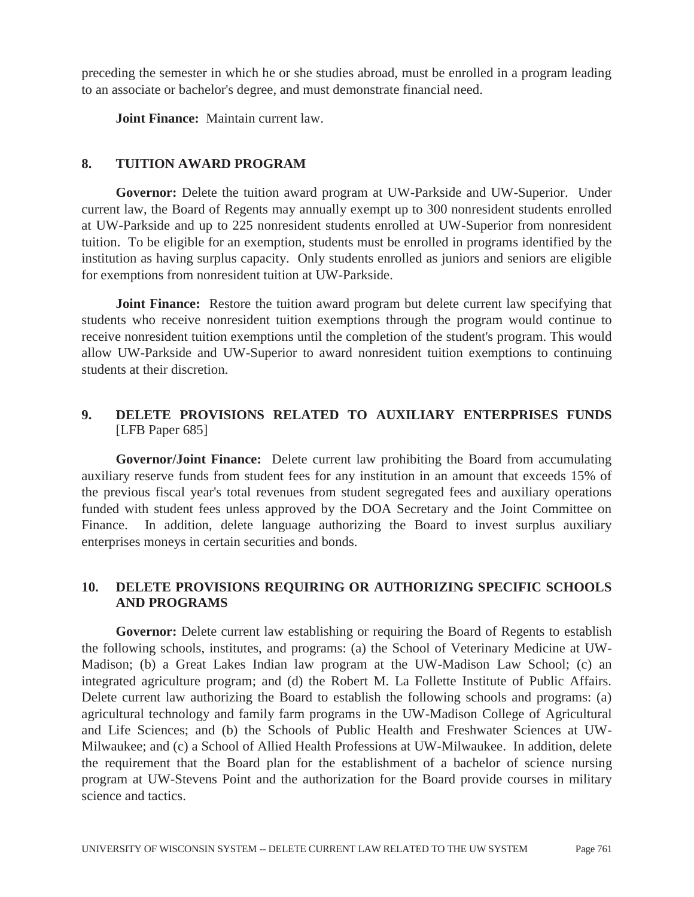preceding the semester in which he or she studies abroad, must be enrolled in a program leading to an associate or bachelor's degree, and must demonstrate financial need.

 **Joint Finance:** Maintain current law.

### **8. TUITION AWARD PROGRAM**

**Governor:** Delete the tuition award program at UW-Parkside and UW-Superior. Under current law, the Board of Regents may annually exempt up to 300 nonresident students enrolled at UW-Parkside and up to 225 nonresident students enrolled at UW-Superior from nonresident tuition. To be eligible for an exemption, students must be enrolled in programs identified by the institution as having surplus capacity. Only students enrolled as juniors and seniors are eligible for exemptions from nonresident tuition at UW-Parkside.

**Joint Finance:** Restore the tuition award program but delete current law specifying that students who receive nonresident tuition exemptions through the program would continue to receive nonresident tuition exemptions until the completion of the student's program. This would allow UW-Parkside and UW-Superior to award nonresident tuition exemptions to continuing students at their discretion.

## **9. DELETE PROVISIONS RELATED TO AUXILIARY ENTERPRISES FUNDS**  [LFB Paper 685]

**Governor/Joint Finance:** Delete current law prohibiting the Board from accumulating auxiliary reserve funds from student fees for any institution in an amount that exceeds 15% of the previous fiscal year's total revenues from student segregated fees and auxiliary operations funded with student fees unless approved by the DOA Secretary and the Joint Committee on Finance. In addition, delete language authorizing the Board to invest surplus auxiliary enterprises moneys in certain securities and bonds.

## **10. DELETE PROVISIONS REQUIRING OR AUTHORIZING SPECIFIC SCHOOLS AND PROGRAMS**

Governor: Delete current law establishing or requiring the Board of Regents to establish the following schools, institutes, and programs: (a) the School of Veterinary Medicine at UW-Madison; (b) a Great Lakes Indian law program at the UW-Madison Law School; (c) an integrated agriculture program; and (d) the Robert M. La Follette Institute of Public Affairs. Delete current law authorizing the Board to establish the following schools and programs: (a) agricultural technology and family farm programs in the UW-Madison College of Agricultural and Life Sciences; and (b) the Schools of Public Health and Freshwater Sciences at UW-Milwaukee; and (c) a School of Allied Health Professions at UW-Milwaukee. In addition, delete the requirement that the Board plan for the establishment of a bachelor of science nursing program at UW-Stevens Point and the authorization for the Board provide courses in military science and tactics.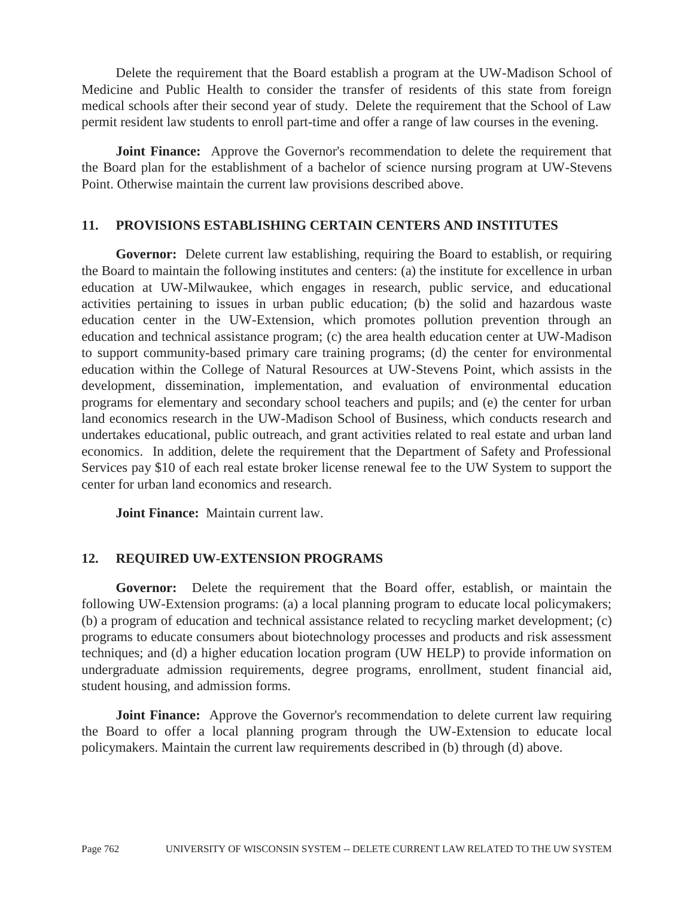Delete the requirement that the Board establish a program at the UW-Madison School of Medicine and Public Health to consider the transfer of residents of this state from foreign medical schools after their second year of study. Delete the requirement that the School of Law permit resident law students to enroll part-time and offer a range of law courses in the evening.

**Joint Finance:** Approve the Governor's recommendation to delete the requirement that the Board plan for the establishment of a bachelor of science nursing program at UW-Stevens Point. Otherwise maintain the current law provisions described above.

### **11. PROVISIONS ESTABLISHING CERTAIN CENTERS AND INSTITUTES**

**Governor:** Delete current law establishing, requiring the Board to establish, or requiring the Board to maintain the following institutes and centers: (a) the institute for excellence in urban education at UW-Milwaukee, which engages in research, public service, and educational activities pertaining to issues in urban public education; (b) the solid and hazardous waste education center in the UW-Extension, which promotes pollution prevention through an education and technical assistance program; (c) the area health education center at UW-Madison to support community-based primary care training programs; (d) the center for environmental education within the College of Natural Resources at UW-Stevens Point, which assists in the development, dissemination, implementation, and evaluation of environmental education programs for elementary and secondary school teachers and pupils; and (e) the center for urban land economics research in the UW-Madison School of Business, which conducts research and undertakes educational, public outreach, and grant activities related to real estate and urban land economics. In addition, delete the requirement that the Department of Safety and Professional Services pay \$10 of each real estate broker license renewal fee to the UW System to support the center for urban land economics and research.

 **Joint Finance:** Maintain current law.

## **12. REQUIRED UW-EXTENSION PROGRAMS**

**Governor:** Delete the requirement that the Board offer, establish, or maintain the following UW-Extension programs: (a) a local planning program to educate local policymakers; (b) a program of education and technical assistance related to recycling market development; (c) programs to educate consumers about biotechnology processes and products and risk assessment techniques; and (d) a higher education location program (UW HELP) to provide information on undergraduate admission requirements, degree programs, enrollment, student financial aid, student housing, and admission forms.

**Joint Finance:** Approve the Governor's recommendation to delete current law requiring the Board to offer a local planning program through the UW-Extension to educate local policymakers. Maintain the current law requirements described in (b) through (d) above.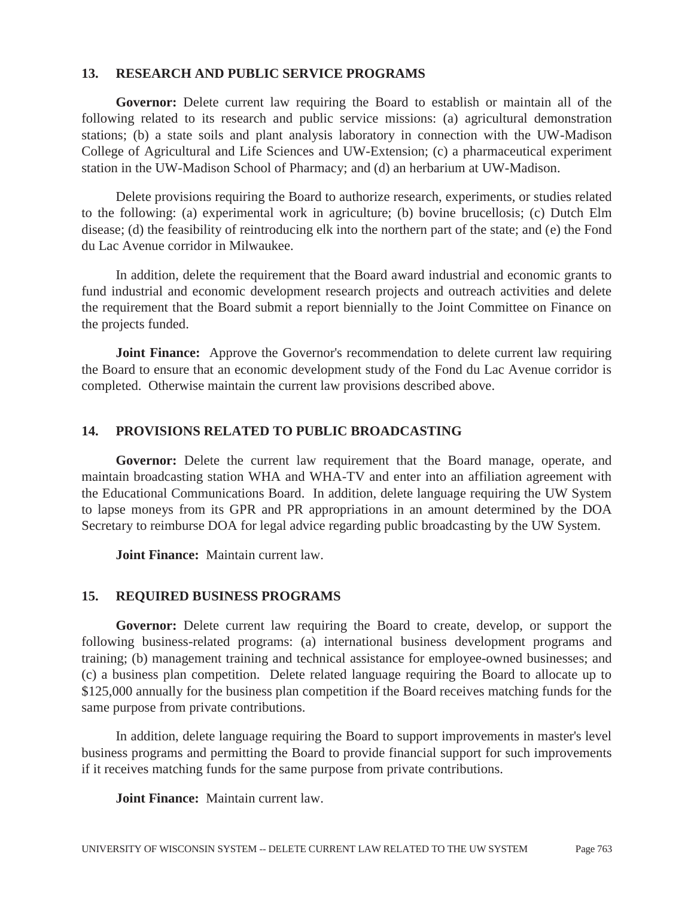### **13. RESEARCH AND PUBLIC SERVICE PROGRAMS**

**Governor:** Delete current law requiring the Board to establish or maintain all of the following related to its research and public service missions: (a) agricultural demonstration stations; (b) a state soils and plant analysis laboratory in connection with the UW-Madison College of Agricultural and Life Sciences and UW-Extension; (c) a pharmaceutical experiment station in the UW-Madison School of Pharmacy; and (d) an herbarium at UW-Madison.

 Delete provisions requiring the Board to authorize research, experiments, or studies related to the following: (a) experimental work in agriculture; (b) bovine brucellosis; (c) Dutch Elm disease; (d) the feasibility of reintroducing elk into the northern part of the state; and (e) the Fond du Lac Avenue corridor in Milwaukee.

 In addition, delete the requirement that the Board award industrial and economic grants to fund industrial and economic development research projects and outreach activities and delete the requirement that the Board submit a report biennially to the Joint Committee on Finance on the projects funded.

**Joint Finance:** Approve the Governor's recommendation to delete current law requiring the Board to ensure that an economic development study of the Fond du Lac Avenue corridor is completed. Otherwise maintain the current law provisions described above.

### **14. PROVISIONS RELATED TO PUBLIC BROADCASTING**

**Governor:** Delete the current law requirement that the Board manage, operate, and maintain broadcasting station WHA and WHA-TV and enter into an affiliation agreement with the Educational Communications Board. In addition, delete language requiring the UW System to lapse moneys from its GPR and PR appropriations in an amount determined by the DOA Secretary to reimburse DOA for legal advice regarding public broadcasting by the UW System.

 **Joint Finance:** Maintain current law.

### **15. REQUIRED BUSINESS PROGRAMS**

**Governor:** Delete current law requiring the Board to create, develop, or support the following business-related programs: (a) international business development programs and training; (b) management training and technical assistance for employee-owned businesses; and (c) a business plan competition. Delete related language requiring the Board to allocate up to \$125,000 annually for the business plan competition if the Board receives matching funds for the same purpose from private contributions.

 In addition, delete language requiring the Board to support improvements in master's level business programs and permitting the Board to provide financial support for such improvements if it receives matching funds for the same purpose from private contributions.

 **Joint Finance:** Maintain current law.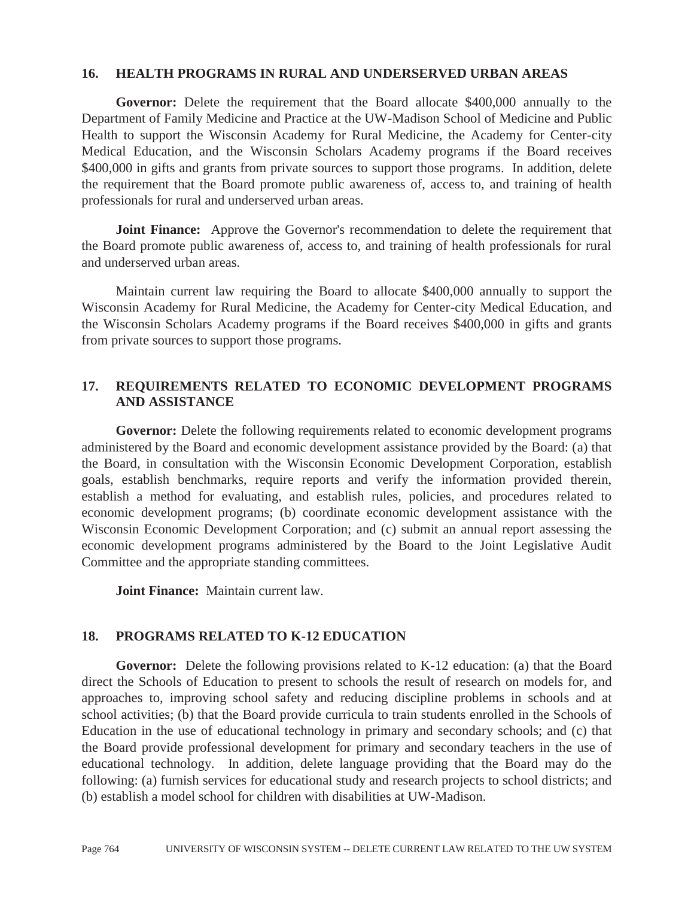#### **16. HEALTH PROGRAMS IN RURAL AND UNDERSERVED URBAN AREAS**

**Governor:** Delete the requirement that the Board allocate \$400,000 annually to the Department of Family Medicine and Practice at the UW-Madison School of Medicine and Public Health to support the Wisconsin Academy for Rural Medicine, the Academy for Center-city Medical Education, and the Wisconsin Scholars Academy programs if the Board receives \$400,000 in gifts and grants from private sources to support those programs. In addition, delete the requirement that the Board promote public awareness of, access to, and training of health professionals for rural and underserved urban areas.

**Joint Finance:** Approve the Governor's recommendation to delete the requirement that the Board promote public awareness of, access to, and training of health professionals for rural and underserved urban areas.

 Maintain current law requiring the Board to allocate \$400,000 annually to support the Wisconsin Academy for Rural Medicine, the Academy for Center-city Medical Education, and the Wisconsin Scholars Academy programs if the Board receives \$400,000 in gifts and grants from private sources to support those programs.

### **17. REQUIREMENTS RELATED TO ECONOMIC DEVELOPMENT PROGRAMS AND ASSISTANCE**

**Governor:** Delete the following requirements related to economic development programs administered by the Board and economic development assistance provided by the Board: (a) that the Board, in consultation with the Wisconsin Economic Development Corporation, establish goals, establish benchmarks, require reports and verify the information provided therein, establish a method for evaluating, and establish rules, policies, and procedures related to economic development programs; (b) coordinate economic development assistance with the Wisconsin Economic Development Corporation; and (c) submit an annual report assessing the economic development programs administered by the Board to the Joint Legislative Audit Committee and the appropriate standing committees.

 **Joint Finance:** Maintain current law.

## **18. PROGRAMS RELATED TO K-12 EDUCATION**

**Governor:** Delete the following provisions related to K-12 education: (a) that the Board direct the Schools of Education to present to schools the result of research on models for, and approaches to, improving school safety and reducing discipline problems in schools and at school activities; (b) that the Board provide curricula to train students enrolled in the Schools of Education in the use of educational technology in primary and secondary schools; and (c) that the Board provide professional development for primary and secondary teachers in the use of educational technology. In addition, delete language providing that the Board may do the following: (a) furnish services for educational study and research projects to school districts; and (b) establish a model school for children with disabilities at UW-Madison.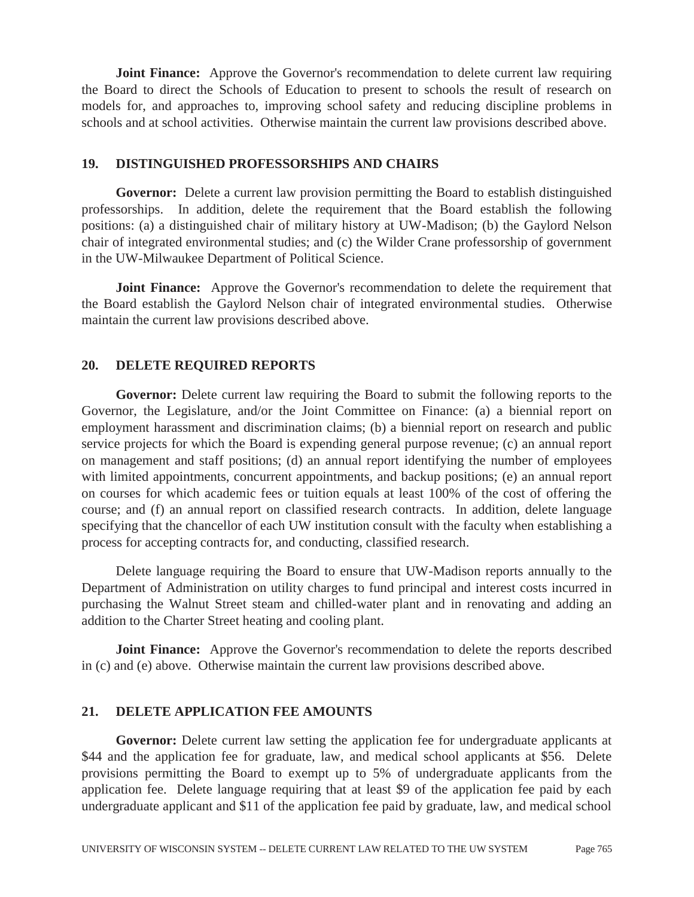**Joint Finance:** Approve the Governor's recommendation to delete current law requiring the Board to direct the Schools of Education to present to schools the result of research on models for, and approaches to, improving school safety and reducing discipline problems in schools and at school activities. Otherwise maintain the current law provisions described above.

### **19. DISTINGUISHED PROFESSORSHIPS AND CHAIRS**

**Governor:** Delete a current law provision permitting the Board to establish distinguished professorships. In addition, delete the requirement that the Board establish the following positions: (a) a distinguished chair of military history at UW-Madison; (b) the Gaylord Nelson chair of integrated environmental studies; and (c) the Wilder Crane professorship of government in the UW-Milwaukee Department of Political Science.

**Joint Finance:** Approve the Governor's recommendation to delete the requirement that the Board establish the Gaylord Nelson chair of integrated environmental studies. Otherwise maintain the current law provisions described above.

### **20. DELETE REQUIRED REPORTS**

**Governor:** Delete current law requiring the Board to submit the following reports to the Governor, the Legislature, and/or the Joint Committee on Finance: (a) a biennial report on employment harassment and discrimination claims; (b) a biennial report on research and public service projects for which the Board is expending general purpose revenue; (c) an annual report on management and staff positions; (d) an annual report identifying the number of employees with limited appointments, concurrent appointments, and backup positions; (e) an annual report on courses for which academic fees or tuition equals at least 100% of the cost of offering the course; and (f) an annual report on classified research contracts. In addition, delete language specifying that the chancellor of each UW institution consult with the faculty when establishing a process for accepting contracts for, and conducting, classified research.

 Delete language requiring the Board to ensure that UW-Madison reports annually to the Department of Administration on utility charges to fund principal and interest costs incurred in purchasing the Walnut Street steam and chilled-water plant and in renovating and adding an addition to the Charter Street heating and cooling plant.

**Joint Finance:** Approve the Governor's recommendation to delete the reports described in (c) and (e) above. Otherwise maintain the current law provisions described above.

## **21. DELETE APPLICATION FEE AMOUNTS**

**Governor:** Delete current law setting the application fee for undergraduate applicants at \$44 and the application fee for graduate, law, and medical school applicants at \$56. Delete provisions permitting the Board to exempt up to 5% of undergraduate applicants from the application fee. Delete language requiring that at least \$9 of the application fee paid by each undergraduate applicant and \$11 of the application fee paid by graduate, law, and medical school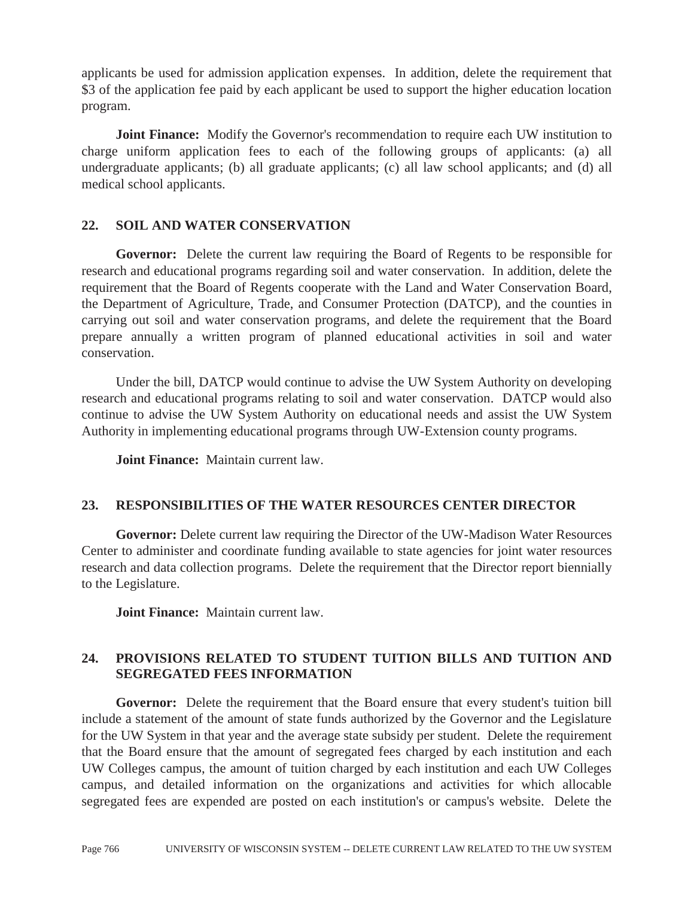applicants be used for admission application expenses. In addition, delete the requirement that \$3 of the application fee paid by each applicant be used to support the higher education location program.

**Joint Finance:** Modify the Governor's recommendation to require each UW institution to charge uniform application fees to each of the following groups of applicants: (a) all undergraduate applicants; (b) all graduate applicants; (c) all law school applicants; and (d) all medical school applicants.

## **22. SOIL AND WATER CONSERVATION**

**Governor:** Delete the current law requiring the Board of Regents to be responsible for research and educational programs regarding soil and water conservation. In addition, delete the requirement that the Board of Regents cooperate with the Land and Water Conservation Board, the Department of Agriculture, Trade, and Consumer Protection (DATCP), and the counties in carrying out soil and water conservation programs, and delete the requirement that the Board prepare annually a written program of planned educational activities in soil and water conservation.

 Under the bill, DATCP would continue to advise the UW System Authority on developing research and educational programs relating to soil and water conservation. DATCP would also continue to advise the UW System Authority on educational needs and assist the UW System Authority in implementing educational programs through UW-Extension county programs.

 **Joint Finance:** Maintain current law.

## **23. RESPONSIBILITIES OF THE WATER RESOURCES CENTER DIRECTOR**

**Governor:** Delete current law requiring the Director of the UW-Madison Water Resources Center to administer and coordinate funding available to state agencies for joint water resources research and data collection programs. Delete the requirement that the Director report biennially to the Legislature.

 **Joint Finance:** Maintain current law.

## **24. PROVISIONS RELATED TO STUDENT TUITION BILLS AND TUITION AND SEGREGATED FEES INFORMATION**

**Governor:** Delete the requirement that the Board ensure that every student's tuition bill include a statement of the amount of state funds authorized by the Governor and the Legislature for the UW System in that year and the average state subsidy per student. Delete the requirement that the Board ensure that the amount of segregated fees charged by each institution and each UW Colleges campus, the amount of tuition charged by each institution and each UW Colleges campus, and detailed information on the organizations and activities for which allocable segregated fees are expended are posted on each institution's or campus's website. Delete the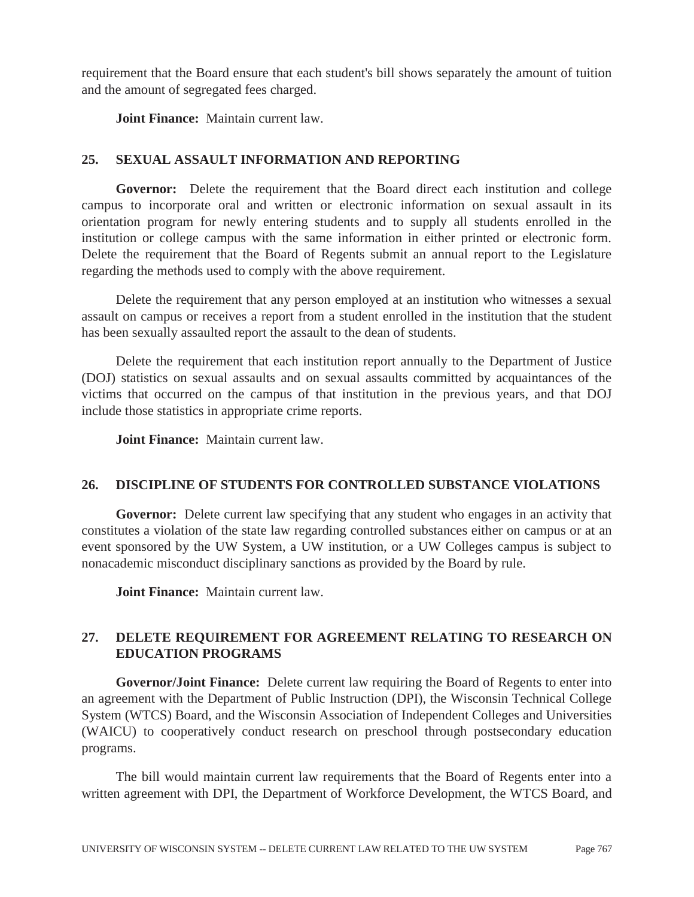requirement that the Board ensure that each student's bill shows separately the amount of tuition and the amount of segregated fees charged.

 **Joint Finance:** Maintain current law.

# **25. SEXUAL ASSAULT INFORMATION AND REPORTING**

**Governor:** Delete the requirement that the Board direct each institution and college campus to incorporate oral and written or electronic information on sexual assault in its orientation program for newly entering students and to supply all students enrolled in the institution or college campus with the same information in either printed or electronic form. Delete the requirement that the Board of Regents submit an annual report to the Legislature regarding the methods used to comply with the above requirement.

 Delete the requirement that any person employed at an institution who witnesses a sexual assault on campus or receives a report from a student enrolled in the institution that the student has been sexually assaulted report the assault to the dean of students.

 Delete the requirement that each institution report annually to the Department of Justice (DOJ) statistics on sexual assaults and on sexual assaults committed by acquaintances of the victims that occurred on the campus of that institution in the previous years, and that DOJ include those statistics in appropriate crime reports.

 **Joint Finance:** Maintain current law.

## **26. DISCIPLINE OF STUDENTS FOR CONTROLLED SUBSTANCE VIOLATIONS**

**Governor:** Delete current law specifying that any student who engages in an activity that constitutes a violation of the state law regarding controlled substances either on campus or at an event sponsored by the UW System, a UW institution, or a UW Colleges campus is subject to nonacademic misconduct disciplinary sanctions as provided by the Board by rule.

 **Joint Finance:** Maintain current law.

# **27. DELETE REQUIREMENT FOR AGREEMENT RELATING TO RESEARCH ON EDUCATION PROGRAMS**

**Governor/Joint Finance:** Delete current law requiring the Board of Regents to enter into an agreement with the Department of Public Instruction (DPI), the Wisconsin Technical College System (WTCS) Board, and the Wisconsin Association of Independent Colleges and Universities (WAICU) to cooperatively conduct research on preschool through postsecondary education programs.

 The bill would maintain current law requirements that the Board of Regents enter into a written agreement with DPI, the Department of Workforce Development, the WTCS Board, and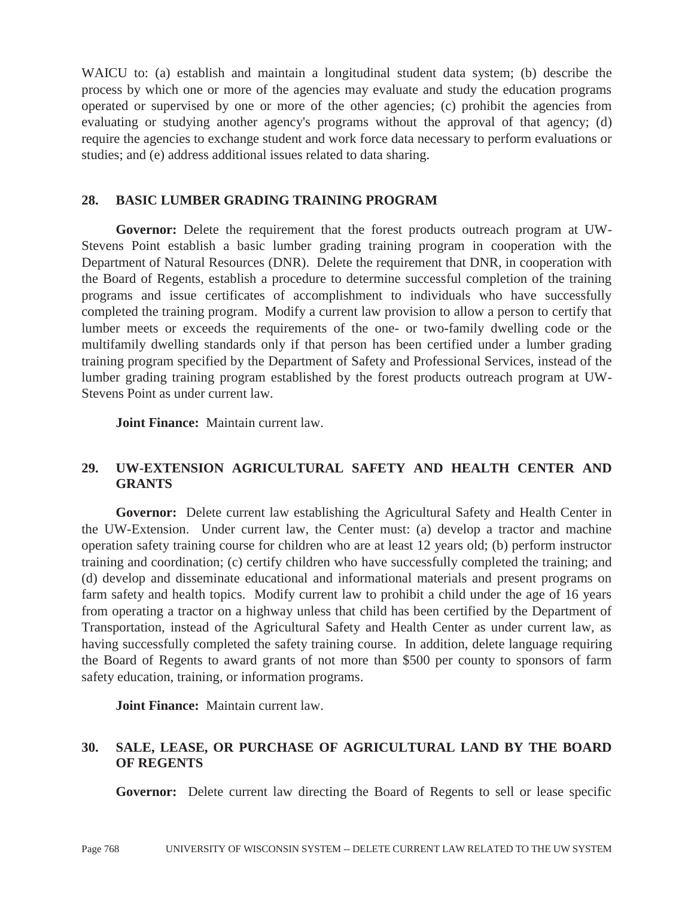WAICU to: (a) establish and maintain a longitudinal student data system; (b) describe the process by which one or more of the agencies may evaluate and study the education programs operated or supervised by one or more of the other agencies; (c) prohibit the agencies from evaluating or studying another agency's programs without the approval of that agency; (d) require the agencies to exchange student and work force data necessary to perform evaluations or studies; and (e) address additional issues related to data sharing.

### **28. BASIC LUMBER GRADING TRAINING PROGRAM**

**Governor:** Delete the requirement that the forest products outreach program at UW-Stevens Point establish a basic lumber grading training program in cooperation with the Department of Natural Resources (DNR). Delete the requirement that DNR, in cooperation with the Board of Regents, establish a procedure to determine successful completion of the training programs and issue certificates of accomplishment to individuals who have successfully completed the training program. Modify a current law provision to allow a person to certify that lumber meets or exceeds the requirements of the one- or two-family dwelling code or the multifamily dwelling standards only if that person has been certified under a lumber grading training program specified by the Department of Safety and Professional Services, instead of the lumber grading training program established by the forest products outreach program at UW-Stevens Point as under current law.

 **Joint Finance:** Maintain current law.

## **29. UW-EXTENSION AGRICULTURAL SAFETY AND HEALTH CENTER AND GRANTS**

**Governor:** Delete current law establishing the Agricultural Safety and Health Center in the UW-Extension. Under current law, the Center must: (a) develop a tractor and machine operation safety training course for children who are at least 12 years old; (b) perform instructor training and coordination; (c) certify children who have successfully completed the training; and (d) develop and disseminate educational and informational materials and present programs on farm safety and health topics. Modify current law to prohibit a child under the age of 16 years from operating a tractor on a highway unless that child has been certified by the Department of Transportation, instead of the Agricultural Safety and Health Center as under current law, as having successfully completed the safety training course. In addition, delete language requiring the Board of Regents to award grants of not more than \$500 per county to sponsors of farm safety education, training, or information programs.

 **Joint Finance:** Maintain current law.

## **30. SALE, LEASE, OR PURCHASE OF AGRICULTURAL LAND BY THE BOARD OF REGENTS**

**Governor:** Delete current law directing the Board of Regents to sell or lease specific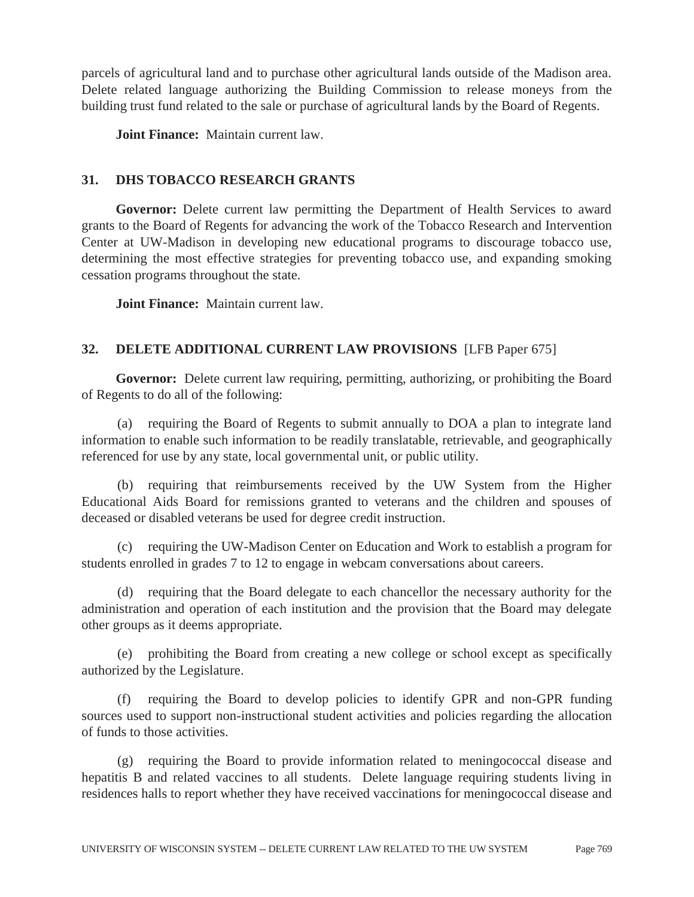parcels of agricultural land and to purchase other agricultural lands outside of the Madison area. Delete related language authorizing the Building Commission to release moneys from the building trust fund related to the sale or purchase of agricultural lands by the Board of Regents.

 **Joint Finance:** Maintain current law.

## **31. DHS TOBACCO RESEARCH GRANTS**

**Governor:** Delete current law permitting the Department of Health Services to award grants to the Board of Regents for advancing the work of the Tobacco Research and Intervention Center at UW-Madison in developing new educational programs to discourage tobacco use, determining the most effective strategies for preventing tobacco use, and expanding smoking cessation programs throughout the state.

 **Joint Finance:** Maintain current law.

# **32. DELETE ADDITIONAL CURRENT LAW PROVISIONS** [LFB Paper 675]

**Governor:** Delete current law requiring, permitting, authorizing, or prohibiting the Board of Regents to do all of the following:

(a) requiring the Board of Regents to submit annually to DOA a plan to integrate land information to enable such information to be readily translatable, retrievable, and geographically referenced for use by any state, local governmental unit, or public utility.

(b) requiring that reimbursements received by the UW System from the Higher Educational Aids Board for remissions granted to veterans and the children and spouses of deceased or disabled veterans be used for degree credit instruction.

(c) requiring the UW-Madison Center on Education and Work to establish a program for students enrolled in grades 7 to 12 to engage in webcam conversations about careers.

(d) requiring that the Board delegate to each chancellor the necessary authority for the administration and operation of each institution and the provision that the Board may delegate other groups as it deems appropriate.

(e) prohibiting the Board from creating a new college or school except as specifically authorized by the Legislature.

(f) requiring the Board to develop policies to identify GPR and non-GPR funding sources used to support non-instructional student activities and policies regarding the allocation of funds to those activities.

(g) requiring the Board to provide information related to meningococcal disease and hepatitis B and related vaccines to all students. Delete language requiring students living in residences halls to report whether they have received vaccinations for meningococcal disease and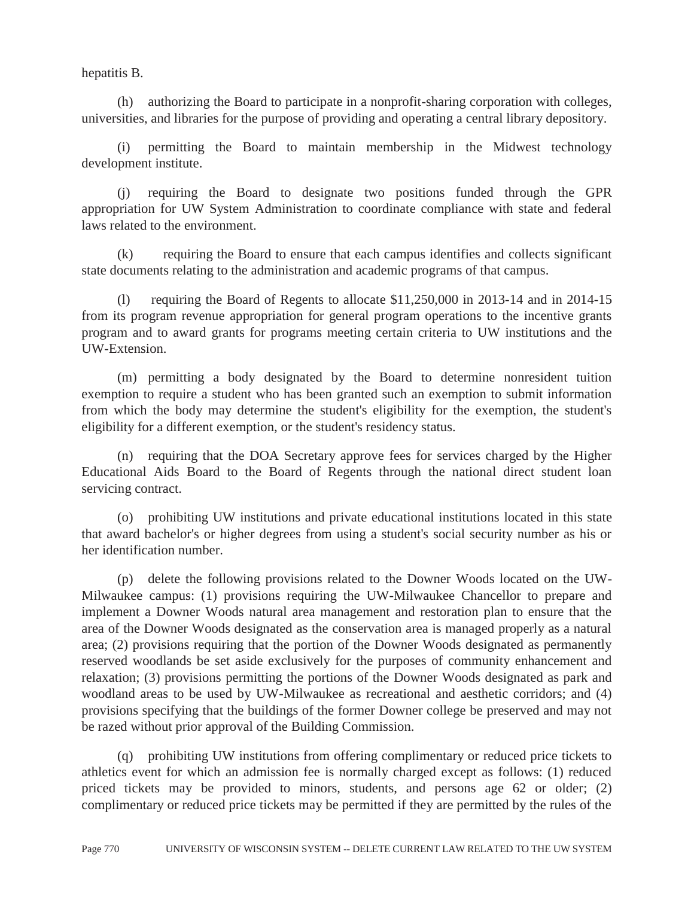hepatitis B.

(h) authorizing the Board to participate in a nonprofit-sharing corporation with colleges, universities, and libraries for the purpose of providing and operating a central library depository.

(i) permitting the Board to maintain membership in the Midwest technology development institute.

(j) requiring the Board to designate two positions funded through the GPR appropriation for UW System Administration to coordinate compliance with state and federal laws related to the environment.

(k) requiring the Board to ensure that each campus identifies and collects significant state documents relating to the administration and academic programs of that campus.

(l) requiring the Board of Regents to allocate \$11,250,000 in 2013-14 and in 2014-15 from its program revenue appropriation for general program operations to the incentive grants program and to award grants for programs meeting certain criteria to UW institutions and the UW-Extension.

(m) permitting a body designated by the Board to determine nonresident tuition exemption to require a student who has been granted such an exemption to submit information from which the body may determine the student's eligibility for the exemption, the student's eligibility for a different exemption, or the student's residency status.

(n) requiring that the DOA Secretary approve fees for services charged by the Higher Educational Aids Board to the Board of Regents through the national direct student loan servicing contract.

(o) prohibiting UW institutions and private educational institutions located in this state that award bachelor's or higher degrees from using a student's social security number as his or her identification number.

(p) delete the following provisions related to the Downer Woods located on the UW-Milwaukee campus: (1) provisions requiring the UW-Milwaukee Chancellor to prepare and implement a Downer Woods natural area management and restoration plan to ensure that the area of the Downer Woods designated as the conservation area is managed properly as a natural area; (2) provisions requiring that the portion of the Downer Woods designated as permanently reserved woodlands be set aside exclusively for the purposes of community enhancement and relaxation; (3) provisions permitting the portions of the Downer Woods designated as park and woodland areas to be used by UW-Milwaukee as recreational and aesthetic corridors; and (4) provisions specifying that the buildings of the former Downer college be preserved and may not be razed without prior approval of the Building Commission.

(q) prohibiting UW institutions from offering complimentary or reduced price tickets to athletics event for which an admission fee is normally charged except as follows: (1) reduced priced tickets may be provided to minors, students, and persons age 62 or older; (2) complimentary or reduced price tickets may be permitted if they are permitted by the rules of the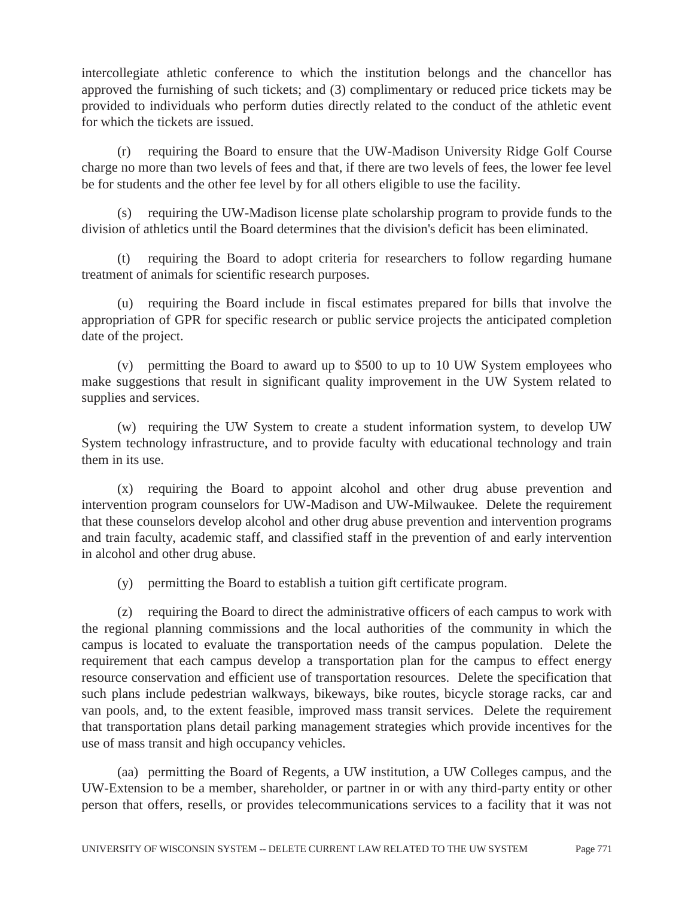intercollegiate athletic conference to which the institution belongs and the chancellor has approved the furnishing of such tickets; and (3) complimentary or reduced price tickets may be provided to individuals who perform duties directly related to the conduct of the athletic event for which the tickets are issued.

(r) requiring the Board to ensure that the UW-Madison University Ridge Golf Course charge no more than two levels of fees and that, if there are two levels of fees, the lower fee level be for students and the other fee level by for all others eligible to use the facility.

(s) requiring the UW-Madison license plate scholarship program to provide funds to the division of athletics until the Board determines that the division's deficit has been eliminated.

(t) requiring the Board to adopt criteria for researchers to follow regarding humane treatment of animals for scientific research purposes.

(u) requiring the Board include in fiscal estimates prepared for bills that involve the appropriation of GPR for specific research or public service projects the anticipated completion date of the project.

(v) permitting the Board to award up to \$500 to up to 10 UW System employees who make suggestions that result in significant quality improvement in the UW System related to supplies and services.

(w) requiring the UW System to create a student information system, to develop UW System technology infrastructure, and to provide faculty with educational technology and train them in its use.

(x) requiring the Board to appoint alcohol and other drug abuse prevention and intervention program counselors for UW-Madison and UW-Milwaukee. Delete the requirement that these counselors develop alcohol and other drug abuse prevention and intervention programs and train faculty, academic staff, and classified staff in the prevention of and early intervention in alcohol and other drug abuse.

(y) permitting the Board to establish a tuition gift certificate program.

(z) requiring the Board to direct the administrative officers of each campus to work with the regional planning commissions and the local authorities of the community in which the campus is located to evaluate the transportation needs of the campus population. Delete the requirement that each campus develop a transportation plan for the campus to effect energy resource conservation and efficient use of transportation resources. Delete the specification that such plans include pedestrian walkways, bikeways, bike routes, bicycle storage racks, car and van pools, and, to the extent feasible, improved mass transit services. Delete the requirement that transportation plans detail parking management strategies which provide incentives for the use of mass transit and high occupancy vehicles.

(aa) permitting the Board of Regents, a UW institution, a UW Colleges campus, and the UW-Extension to be a member, shareholder, or partner in or with any third-party entity or other person that offers, resells, or provides telecommunications services to a facility that it was not